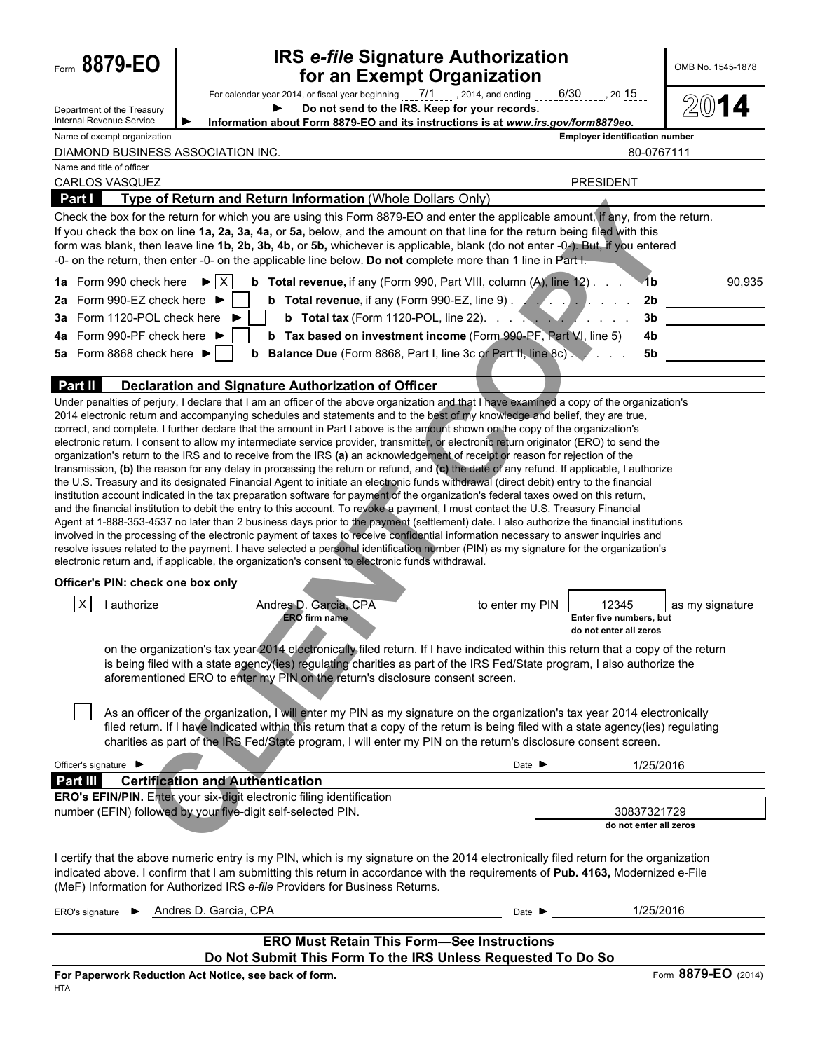| Form 8879-EO                                           | <b>IRS e-file Signature Authorization</b><br>for an Exempt Organization                                                                                                                                                                                                                                                                                                                                                                                                                                                                                                                                                                                                                                                                                                                                                                                                                                                                                                                                                                                                                                                                                                                                                                                                                                                                                                                                                                                                                                                                                                                                                                                                                                                                                                                 |                                                     | OMB No. 1545-1878              |
|--------------------------------------------------------|-----------------------------------------------------------------------------------------------------------------------------------------------------------------------------------------------------------------------------------------------------------------------------------------------------------------------------------------------------------------------------------------------------------------------------------------------------------------------------------------------------------------------------------------------------------------------------------------------------------------------------------------------------------------------------------------------------------------------------------------------------------------------------------------------------------------------------------------------------------------------------------------------------------------------------------------------------------------------------------------------------------------------------------------------------------------------------------------------------------------------------------------------------------------------------------------------------------------------------------------------------------------------------------------------------------------------------------------------------------------------------------------------------------------------------------------------------------------------------------------------------------------------------------------------------------------------------------------------------------------------------------------------------------------------------------------------------------------------------------------------------------------------------------------|-----------------------------------------------------|--------------------------------|
| Department of the Treasury<br>Internal Revenue Service | Do not send to the IRS. Keep for your records.<br>Information about Form 8879-EO and its instructions is at www.irs.gov/form8879eo.                                                                                                                                                                                                                                                                                                                                                                                                                                                                                                                                                                                                                                                                                                                                                                                                                                                                                                                                                                                                                                                                                                                                                                                                                                                                                                                                                                                                                                                                                                                                                                                                                                                     |                                                     |                                |
| Name of exempt organization                            |                                                                                                                                                                                                                                                                                                                                                                                                                                                                                                                                                                                                                                                                                                                                                                                                                                                                                                                                                                                                                                                                                                                                                                                                                                                                                                                                                                                                                                                                                                                                                                                                                                                                                                                                                                                         | <b>Employer identification number</b>               |                                |
| Name and title of officer                              | DIAMOND BUSINESS ASSOCIATION INC.                                                                                                                                                                                                                                                                                                                                                                                                                                                                                                                                                                                                                                                                                                                                                                                                                                                                                                                                                                                                                                                                                                                                                                                                                                                                                                                                                                                                                                                                                                                                                                                                                                                                                                                                                       |                                                     | 80-0767111                     |
| <b>CARLOS VASQUEZ</b>                                  |                                                                                                                                                                                                                                                                                                                                                                                                                                                                                                                                                                                                                                                                                                                                                                                                                                                                                                                                                                                                                                                                                                                                                                                                                                                                                                                                                                                                                                                                                                                                                                                                                                                                                                                                                                                         | <b>PRESIDENT</b>                                    |                                |
| Part I                                                 | Type of Return and Return Information (Whole Dollars Only)                                                                                                                                                                                                                                                                                                                                                                                                                                                                                                                                                                                                                                                                                                                                                                                                                                                                                                                                                                                                                                                                                                                                                                                                                                                                                                                                                                                                                                                                                                                                                                                                                                                                                                                              |                                                     |                                |
|                                                        | Check the box for the return for which you are using this Form 8879-EO and enter the applicable amount, if any, from the return.<br>If you check the box on line 1a, 2a, 3a, 4a, or 5a, below, and the amount on that line for the return being filed with this<br>form was blank, then leave line 1b, 2b, 3b, 4b, or 5b, whichever is applicable, blank (do not enter -0-). But, if you entered<br>-0- on the return, then enter -0- on the applicable line below. Do not complete more than 1 line in Part I.                                                                                                                                                                                                                                                                                                                                                                                                                                                                                                                                                                                                                                                                                                                                                                                                                                                                                                                                                                                                                                                                                                                                                                                                                                                                         |                                                     |                                |
| 1a Form 990 check here $\blacktriangleright$ $\mid$ X  | <b>b</b> Total revenue, if any (Form 990, Part VIII, column $(A)$ , line $12$ ).                                                                                                                                                                                                                                                                                                                                                                                                                                                                                                                                                                                                                                                                                                                                                                                                                                                                                                                                                                                                                                                                                                                                                                                                                                                                                                                                                                                                                                                                                                                                                                                                                                                                                                        | 1 <sub>b</sub>                                      | 90,935                         |
| 2a Form 990-EZ check here ▶                            | <b>b</b> Total revenue, if any (Form 990-EZ, line 9) $\sqrt{2}$                                                                                                                                                                                                                                                                                                                                                                                                                                                                                                                                                                                                                                                                                                                                                                                                                                                                                                                                                                                                                                                                                                                                                                                                                                                                                                                                                                                                                                                                                                                                                                                                                                                                                                                         | 2 <sub>b</sub>                                      | <u> Alexandria de la conte</u> |
| 3a Form 1120-POL check here                            | <b>b</b> Total tax (Form 1120-POL, line 22). $\ldots$ $\ldots$ $\ldots$ $\ldots$                                                                                                                                                                                                                                                                                                                                                                                                                                                                                                                                                                                                                                                                                                                                                                                                                                                                                                                                                                                                                                                                                                                                                                                                                                                                                                                                                                                                                                                                                                                                                                                                                                                                                                        |                                                     |                                |
| 4a Form 990-PF check here ▶                            | <b>b</b> Tax based on investment income (Form 990-PF, Part VI, line 5)                                                                                                                                                                                                                                                                                                                                                                                                                                                                                                                                                                                                                                                                                                                                                                                                                                                                                                                                                                                                                                                                                                                                                                                                                                                                                                                                                                                                                                                                                                                                                                                                                                                                                                                  | 4b                                                  |                                |
| 5a Form 8868 check here $\blacktriangleright$          | <b>b</b> Balance Due (Form 8868, Part I, line 3c or Part II, line 8c)                                                                                                                                                                                                                                                                                                                                                                                                                                                                                                                                                                                                                                                                                                                                                                                                                                                                                                                                                                                                                                                                                                                                                                                                                                                                                                                                                                                                                                                                                                                                                                                                                                                                                                                   | 5b                                                  |                                |
| Part II                                                | Declaration and Signature Authorization of Officer                                                                                                                                                                                                                                                                                                                                                                                                                                                                                                                                                                                                                                                                                                                                                                                                                                                                                                                                                                                                                                                                                                                                                                                                                                                                                                                                                                                                                                                                                                                                                                                                                                                                                                                                      |                                                     |                                |
|                                                        | Under penalties of perjury, I declare that I am an officer of the above organization and that I have examined a copy of the organization's<br>2014 electronic return and accompanying schedules and statements and to the best of my knowledge and belief, they are true,<br>correct, and complete. I further declare that the amount in Part I above is the amount shown on the copy of the organization's<br>electronic return. I consent to allow my intermediate service provider, transmitter, or electronic return originator (ERO) to send the<br>organization's return to the IRS and to receive from the IRS (a) an acknowledgement of receipt or reason for rejection of the<br>transmission, (b) the reason for any delay in processing the return or refund, and (c) the date of any refund. If applicable, I authorize<br>the U.S. Treasury and its designated Financial Agent to initiate an electronic funds withdrawal (direct debit) entry to the financial<br>institution account indicated in the tax preparation software for payment of the organization's federal taxes owed on this return,<br>and the financial institution to debit the entry to this account. To revoke a payment, I must contact the U.S. Treasury Financial<br>Agent at 1-888-353-4537 no later than 2 business days prior to the payment (settlement) date. I also authorize the financial institutions<br>involved in the processing of the electronic payment of taxes to receive confidential information necessary to answer inquiries and<br>resolve issues related to the payment. I have selected a personal identification number (PIN) as my signature for the organization's<br>electronic return and, if applicable, the organization's consent to electronic funds withdrawal. |                                                     |                                |
| Officer's PIN: check one box only                      |                                                                                                                                                                                                                                                                                                                                                                                                                                                                                                                                                                                                                                                                                                                                                                                                                                                                                                                                                                                                                                                                                                                                                                                                                                                                                                                                                                                                                                                                                                                                                                                                                                                                                                                                                                                         |                                                     |                                |
| ΙX<br>authorize                                        | Andres D. Garcia, CPA<br><b>ERO</b> firm name                                                                                                                                                                                                                                                                                                                                                                                                                                                                                                                                                                                                                                                                                                                                                                                                                                                                                                                                                                                                                                                                                                                                                                                                                                                                                                                                                                                                                                                                                                                                                                                                                                                                                                                                           | to enter my PIN<br>12345<br>Enter five numbers, but | as my signature                |
|                                                        | on the organization's tax year 2014 electronically filed return. If I have indicated within this return that a copy of the return<br>is being filed with a state agency(ies) regulating charities as part of the IRS Fed/State program, I also authorize the<br>aforementioned ERO to enter my PIN on the return's disclosure consent screen.                                                                                                                                                                                                                                                                                                                                                                                                                                                                                                                                                                                                                                                                                                                                                                                                                                                                                                                                                                                                                                                                                                                                                                                                                                                                                                                                                                                                                                           | do not enter all zeros                              |                                |
|                                                        | As an officer of the organization, I will enter my PIN as my signature on the organization's tax year 2014 electronically<br>filed return. If I have indicated within this return that a copy of the return is being filed with a state agency(ies) regulating<br>charities as part of the IRS Fed/State program, I will enter my PIN on the return's disclosure consent screen.                                                                                                                                                                                                                                                                                                                                                                                                                                                                                                                                                                                                                                                                                                                                                                                                                                                                                                                                                                                                                                                                                                                                                                                                                                                                                                                                                                                                        |                                                     |                                |
| Officer's signature ▶                                  |                                                                                                                                                                                                                                                                                                                                                                                                                                                                                                                                                                                                                                                                                                                                                                                                                                                                                                                                                                                                                                                                                                                                                                                                                                                                                                                                                                                                                                                                                                                                                                                                                                                                                                                                                                                         | Date $\blacktriangleright$                          | 1/25/2016                      |
| Part III                                               | <b>Certification and Authentication</b>                                                                                                                                                                                                                                                                                                                                                                                                                                                                                                                                                                                                                                                                                                                                                                                                                                                                                                                                                                                                                                                                                                                                                                                                                                                                                                                                                                                                                                                                                                                                                                                                                                                                                                                                                 |                                                     |                                |
|                                                        | ERO's EFIN/PIN. Enter your six-digit electronic filing identification<br>number (EFIN) followed by your five-digit self-selected PIN.                                                                                                                                                                                                                                                                                                                                                                                                                                                                                                                                                                                                                                                                                                                                                                                                                                                                                                                                                                                                                                                                                                                                                                                                                                                                                                                                                                                                                                                                                                                                                                                                                                                   | 30837321729<br>do not enter all zeros               |                                |
|                                                        | I certify that the above numeric entry is my PIN, which is my signature on the 2014 electronically filed return for the organization<br>indicated above. I confirm that I am submitting this return in accordance with the requirements of Pub. 4163, Modernized e-File<br>(MeF) Information for Authorized IRS e-file Providers for Business Returns.                                                                                                                                                                                                                                                                                                                                                                                                                                                                                                                                                                                                                                                                                                                                                                                                                                                                                                                                                                                                                                                                                                                                                                                                                                                                                                                                                                                                                                  |                                                     |                                |
| ERO's signature $\blacktriangleright$                  | Andres D. Garcia, CPA                                                                                                                                                                                                                                                                                                                                                                                                                                                                                                                                                                                                                                                                                                                                                                                                                                                                                                                                                                                                                                                                                                                                                                                                                                                                                                                                                                                                                                                                                                                                                                                                                                                                                                                                                                   | Date $\blacktriangleright$                          | 1/25/2016                      |
|                                                        | <b>ERO Must Retain This Form-See Instructions</b>                                                                                                                                                                                                                                                                                                                                                                                                                                                                                                                                                                                                                                                                                                                                                                                                                                                                                                                                                                                                                                                                                                                                                                                                                                                                                                                                                                                                                                                                                                                                                                                                                                                                                                                                       |                                                     |                                |
|                                                        | Do Not Submit This Form To the IRS Unless Requested To Do So                                                                                                                                                                                                                                                                                                                                                                                                                                                                                                                                                                                                                                                                                                                                                                                                                                                                                                                                                                                                                                                                                                                                                                                                                                                                                                                                                                                                                                                                                                                                                                                                                                                                                                                            |                                                     |                                |
|                                                        | For Paperwork Reduction Act Notice, see back of form.                                                                                                                                                                                                                                                                                                                                                                                                                                                                                                                                                                                                                                                                                                                                                                                                                                                                                                                                                                                                                                                                                                                                                                                                                                                                                                                                                                                                                                                                                                                                                                                                                                                                                                                                   |                                                     | Form 8879-EO (2014)            |
| <b>HTA</b>                                             |                                                                                                                                                                                                                                                                                                                                                                                                                                                                                                                                                                                                                                                                                                                                                                                                                                                                                                                                                                                                                                                                                                                                                                                                                                                                                                                                                                                                                                                                                                                                                                                                                                                                                                                                                                                         |                                                     |                                |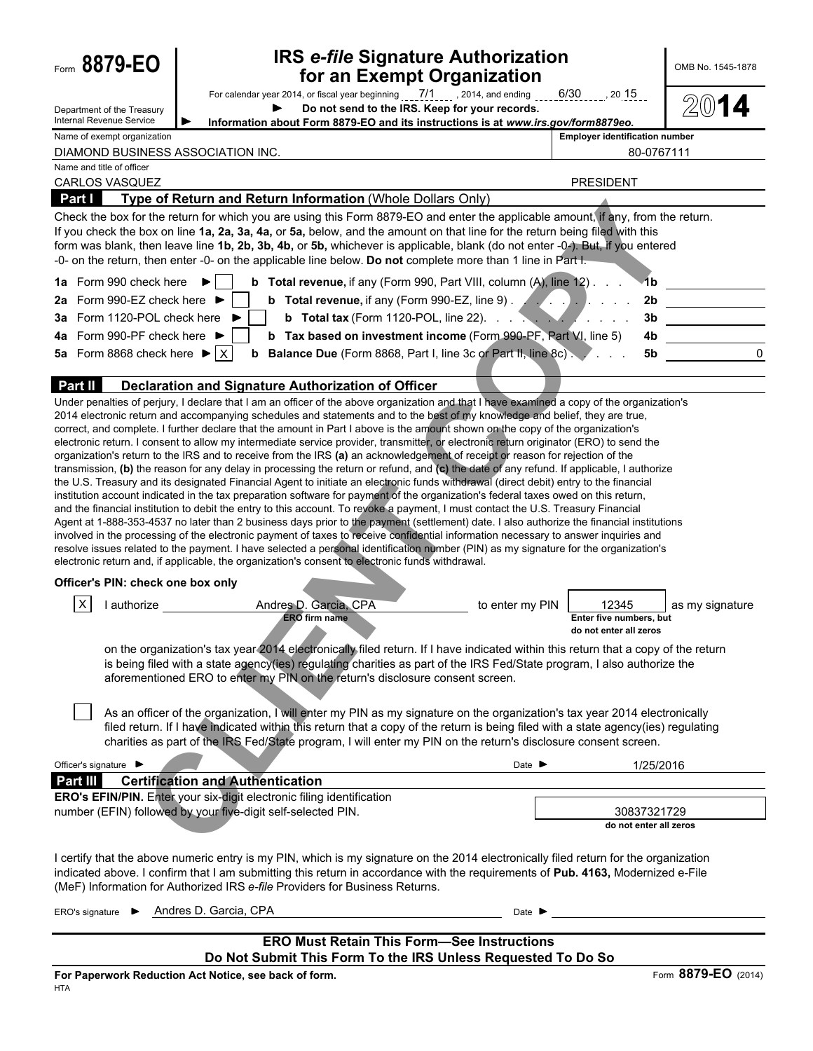| Form 8879-EO                                                  |                                                        | <b>IRS e-file Signature Authorization</b><br>for an Exempt Organization                                                                                                                                                                                                                                                                                                                                                                                                                                                                                                                                                                                                                                                                                                                                                                                                                                                                                                                                                                                                                                                                                                                                                                                                                                                                                                                                                                                                                                                                                                                                                                                                                                                                                                                 |                                       |                                                            | OMB No. 1545-1878   |
|---------------------------------------------------------------|--------------------------------------------------------|-----------------------------------------------------------------------------------------------------------------------------------------------------------------------------------------------------------------------------------------------------------------------------------------------------------------------------------------------------------------------------------------------------------------------------------------------------------------------------------------------------------------------------------------------------------------------------------------------------------------------------------------------------------------------------------------------------------------------------------------------------------------------------------------------------------------------------------------------------------------------------------------------------------------------------------------------------------------------------------------------------------------------------------------------------------------------------------------------------------------------------------------------------------------------------------------------------------------------------------------------------------------------------------------------------------------------------------------------------------------------------------------------------------------------------------------------------------------------------------------------------------------------------------------------------------------------------------------------------------------------------------------------------------------------------------------------------------------------------------------------------------------------------------------|---------------------------------------|------------------------------------------------------------|---------------------|
| Department of the Treasurv<br><b>Internal Revenue Service</b> |                                                        | For calendar year 2014, or fiscal year beginning ___7/1____, 2014, and ending ____6/30____, 20.15__<br>Do not send to the IRS. Keep for your records.<br>Information about Form 8879-EO and its instructions is at www.irs.gov/form8879eo.                                                                                                                                                                                                                                                                                                                                                                                                                                                                                                                                                                                                                                                                                                                                                                                                                                                                                                                                                                                                                                                                                                                                                                                                                                                                                                                                                                                                                                                                                                                                              |                                       |                                                            |                     |
| Name of exempt organization                                   |                                                        |                                                                                                                                                                                                                                                                                                                                                                                                                                                                                                                                                                                                                                                                                                                                                                                                                                                                                                                                                                                                                                                                                                                                                                                                                                                                                                                                                                                                                                                                                                                                                                                                                                                                                                                                                                                         | <b>Employer identification number</b> |                                                            |                     |
| Name and title of officer                                     |                                                        | DIAMOND BUSINESS ASSOCIATION INC.                                                                                                                                                                                                                                                                                                                                                                                                                                                                                                                                                                                                                                                                                                                                                                                                                                                                                                                                                                                                                                                                                                                                                                                                                                                                                                                                                                                                                                                                                                                                                                                                                                                                                                                                                       |                                       | 80-0767111                                                 |                     |
| <b>CARLOS VASQUEZ</b>                                         |                                                        |                                                                                                                                                                                                                                                                                                                                                                                                                                                                                                                                                                                                                                                                                                                                                                                                                                                                                                                                                                                                                                                                                                                                                                                                                                                                                                                                                                                                                                                                                                                                                                                                                                                                                                                                                                                         | <b>PRESIDENT</b>                      |                                                            |                     |
| <b>Part I</b>                                                 |                                                        | Type of Return and Return Information (Whole Dollars Only)                                                                                                                                                                                                                                                                                                                                                                                                                                                                                                                                                                                                                                                                                                                                                                                                                                                                                                                                                                                                                                                                                                                                                                                                                                                                                                                                                                                                                                                                                                                                                                                                                                                                                                                              |                                       |                                                            |                     |
|                                                               |                                                        | Check the box for the return for which you are using this Form 8879-EO and enter the applicable amount, if any, from the return.<br>If you check the box on line 1a, 2a, 3a, 4a, or 5a, below, and the amount on that line for the return being filed with this<br>form was blank, then leave line 1b, 2b, 3b, 4b, or 5b, whichever is applicable, blank (do not enter -0-). But, if you entered<br>-0- on the return, then enter -0- on the applicable line below. Do not complete more than 1 line in Part I.                                                                                                                                                                                                                                                                                                                                                                                                                                                                                                                                                                                                                                                                                                                                                                                                                                                                                                                                                                                                                                                                                                                                                                                                                                                                         |                                       |                                                            |                     |
|                                                               | 1a Form 990 check here                                 | <b>b</b> Total revenue, if any (Form 990, Part VIII, column $(A)$ , line $12$ ).                                                                                                                                                                                                                                                                                                                                                                                                                                                                                                                                                                                                                                                                                                                                                                                                                                                                                                                                                                                                                                                                                                                                                                                                                                                                                                                                                                                                                                                                                                                                                                                                                                                                                                        |                                       | <b>-1b</b>                                                 |                     |
| 2a                                                            | Form 990-EZ check here ▶                               | <b>b</b> Total revenue, if any (Form 990-EZ, line 9) $\ldots$ , $\ldots$                                                                                                                                                                                                                                                                                                                                                                                                                                                                                                                                                                                                                                                                                                                                                                                                                                                                                                                                                                                                                                                                                                                                                                                                                                                                                                                                                                                                                                                                                                                                                                                                                                                                                                                |                                       | 2 <sub>b</sub>                                             |                     |
| За                                                            | Form 1120-POL check here                               | <b>b</b> Total tax (Form 1120-POL, line 22). $\ldots$ $\ldots$ $\ldots$                                                                                                                                                                                                                                                                                                                                                                                                                                                                                                                                                                                                                                                                                                                                                                                                                                                                                                                                                                                                                                                                                                                                                                                                                                                                                                                                                                                                                                                                                                                                                                                                                                                                                                                 |                                       |                                                            |                     |
| 4a                                                            | Form 990-PF check here ▶                               | <b>b</b> Tax based on investment income (Form 990-PF, Part VI, line 5)                                                                                                                                                                                                                                                                                                                                                                                                                                                                                                                                                                                                                                                                                                                                                                                                                                                                                                                                                                                                                                                                                                                                                                                                                                                                                                                                                                                                                                                                                                                                                                                                                                                                                                                  |                                       | 4b                                                         |                     |
|                                                               | 5a Form 8868 check here $\blacktriangleright$ $\mid$ X | <b>b</b> Balance Due (Form 8868, Part I, line 3c or Part II, line 8c).                                                                                                                                                                                                                                                                                                                                                                                                                                                                                                                                                                                                                                                                                                                                                                                                                                                                                                                                                                                                                                                                                                                                                                                                                                                                                                                                                                                                                                                                                                                                                                                                                                                                                                                  |                                       | 5b                                                         |                     |
| <b>Part II</b>                                                |                                                        | Declaration and Signature Authorization of Officer                                                                                                                                                                                                                                                                                                                                                                                                                                                                                                                                                                                                                                                                                                                                                                                                                                                                                                                                                                                                                                                                                                                                                                                                                                                                                                                                                                                                                                                                                                                                                                                                                                                                                                                                      |                                       |                                                            |                     |
|                                                               |                                                        | Under penalties of perjury, I declare that I am an officer of the above organization and that I have examined a copy of the organization's<br>2014 electronic return and accompanying schedules and statements and to the best of my knowledge and belief, they are true,<br>correct, and complete. I further declare that the amount in Part I above is the amount shown on the copy of the organization's<br>electronic return. I consent to allow my intermediate service provider, transmitter, or electronic return originator (ERO) to send the<br>organization's return to the IRS and to receive from the IRS (a) an acknowledgement of receipt or reason for rejection of the<br>transmission, (b) the reason for any delay in processing the return or refund, and (c) the date of any refund. If applicable, I authorize<br>the U.S. Treasury and its designated Financial Agent to initiate an electronic funds withdrawal (direct debit) entry to the financial<br>institution account indicated in the tax preparation software for payment of the organization's federal taxes owed on this return,<br>and the financial institution to debit the entry to this account. To revoke a payment, I must contact the U.S. Treasury Financial<br>Agent at 1-888-353-4537 no later than 2 business days prior to the payment (settlement) date. I also authorize the financial institutions<br>involved in the processing of the electronic payment of taxes to receive confidential information necessary to answer inquiries and<br>resolve issues related to the payment. I have selected a personal identification number (PIN) as my signature for the organization's<br>electronic return and, if applicable, the organization's consent to electronic funds withdrawal. |                                       |                                                            |                     |
|                                                               | Officer's PIN: check one box only                      |                                                                                                                                                                                                                                                                                                                                                                                                                                                                                                                                                                                                                                                                                                                                                                                                                                                                                                                                                                                                                                                                                                                                                                                                                                                                                                                                                                                                                                                                                                                                                                                                                                                                                                                                                                                         |                                       |                                                            |                     |
| X                                                             | I authorize                                            | Andres D. Garcia, CPA<br><b>ERO</b> firm name<br>on the organization's tax year 2014 electronically filed return. If I have indicated within this return that a copy of the return<br>is being filed with a state agency(ies) regulating charities as part of the IRS Fed/State program, I also authorize the<br>aforementioned ERO to enter my PIN on the return's disclosure consent screen.                                                                                                                                                                                                                                                                                                                                                                                                                                                                                                                                                                                                                                                                                                                                                                                                                                                                                                                                                                                                                                                                                                                                                                                                                                                                                                                                                                                          | to enter my PIN                       | 12345<br>Enter five numbers, but<br>do not enter all zeros | as my signature     |
|                                                               |                                                        | As an officer of the organization, I will enter my PIN as my signature on the organization's tax year 2014 electronically<br>filed return. If I have indicated within this return that a copy of the return is being filed with a state agency(ies) regulating<br>charities as part of the IRS Fed/State program, I will enter my PIN on the return's disclosure consent screen.                                                                                                                                                                                                                                                                                                                                                                                                                                                                                                                                                                                                                                                                                                                                                                                                                                                                                                                                                                                                                                                                                                                                                                                                                                                                                                                                                                                                        |                                       |                                                            |                     |
| Officer's signature $\blacktriangleright$                     |                                                        |                                                                                                                                                                                                                                                                                                                                                                                                                                                                                                                                                                                                                                                                                                                                                                                                                                                                                                                                                                                                                                                                                                                                                                                                                                                                                                                                                                                                                                                                                                                                                                                                                                                                                                                                                                                         | Date $\blacktriangleright$            | 1/25/2016                                                  |                     |
| <b>Part III</b>                                               |                                                        | <b>Certification and Authentication</b>                                                                                                                                                                                                                                                                                                                                                                                                                                                                                                                                                                                                                                                                                                                                                                                                                                                                                                                                                                                                                                                                                                                                                                                                                                                                                                                                                                                                                                                                                                                                                                                                                                                                                                                                                 |                                       |                                                            |                     |
|                                                               |                                                        | ERO's EFIN/PIN. Enter your six-digit electronic filing identification<br>number (EFIN) followed by your five-digit self-selected PIN.                                                                                                                                                                                                                                                                                                                                                                                                                                                                                                                                                                                                                                                                                                                                                                                                                                                                                                                                                                                                                                                                                                                                                                                                                                                                                                                                                                                                                                                                                                                                                                                                                                                   |                                       | 30837321729<br>do not enter all zeros                      |                     |
|                                                               |                                                        | I certify that the above numeric entry is my PIN, which is my signature on the 2014 electronically filed return for the organization<br>indicated above. I confirm that I am submitting this return in accordance with the requirements of Pub. 4163, Modernized e-File<br>(MeF) Information for Authorized IRS e-file Providers for Business Returns.                                                                                                                                                                                                                                                                                                                                                                                                                                                                                                                                                                                                                                                                                                                                                                                                                                                                                                                                                                                                                                                                                                                                                                                                                                                                                                                                                                                                                                  |                                       |                                                            |                     |
| ERO's signature $\blacktriangleright$                         |                                                        | Andres D. Garcia, CPA                                                                                                                                                                                                                                                                                                                                                                                                                                                                                                                                                                                                                                                                                                                                                                                                                                                                                                                                                                                                                                                                                                                                                                                                                                                                                                                                                                                                                                                                                                                                                                                                                                                                                                                                                                   | Date $\blacksquare$                   |                                                            |                     |
|                                                               |                                                        |                                                                                                                                                                                                                                                                                                                                                                                                                                                                                                                                                                                                                                                                                                                                                                                                                                                                                                                                                                                                                                                                                                                                                                                                                                                                                                                                                                                                                                                                                                                                                                                                                                                                                                                                                                                         |                                       |                                                            |                     |
|                                                               |                                                        | <b>ERO Must Retain This Form-See Instructions</b><br>Do Not Submit This Form To the IRS Unless Requested To Do So                                                                                                                                                                                                                                                                                                                                                                                                                                                                                                                                                                                                                                                                                                                                                                                                                                                                                                                                                                                                                                                                                                                                                                                                                                                                                                                                                                                                                                                                                                                                                                                                                                                                       |                                       |                                                            |                     |
|                                                               |                                                        | For Paperwork Reduction Act Notice, see back of form.                                                                                                                                                                                                                                                                                                                                                                                                                                                                                                                                                                                                                                                                                                                                                                                                                                                                                                                                                                                                                                                                                                                                                                                                                                                                                                                                                                                                                                                                                                                                                                                                                                                                                                                                   |                                       |                                                            | Form 8879-EO (2014) |
| HTA                                                           |                                                        |                                                                                                                                                                                                                                                                                                                                                                                                                                                                                                                                                                                                                                                                                                                                                                                                                                                                                                                                                                                                                                                                                                                                                                                                                                                                                                                                                                                                                                                                                                                                                                                                                                                                                                                                                                                         |                                       |                                                            |                     |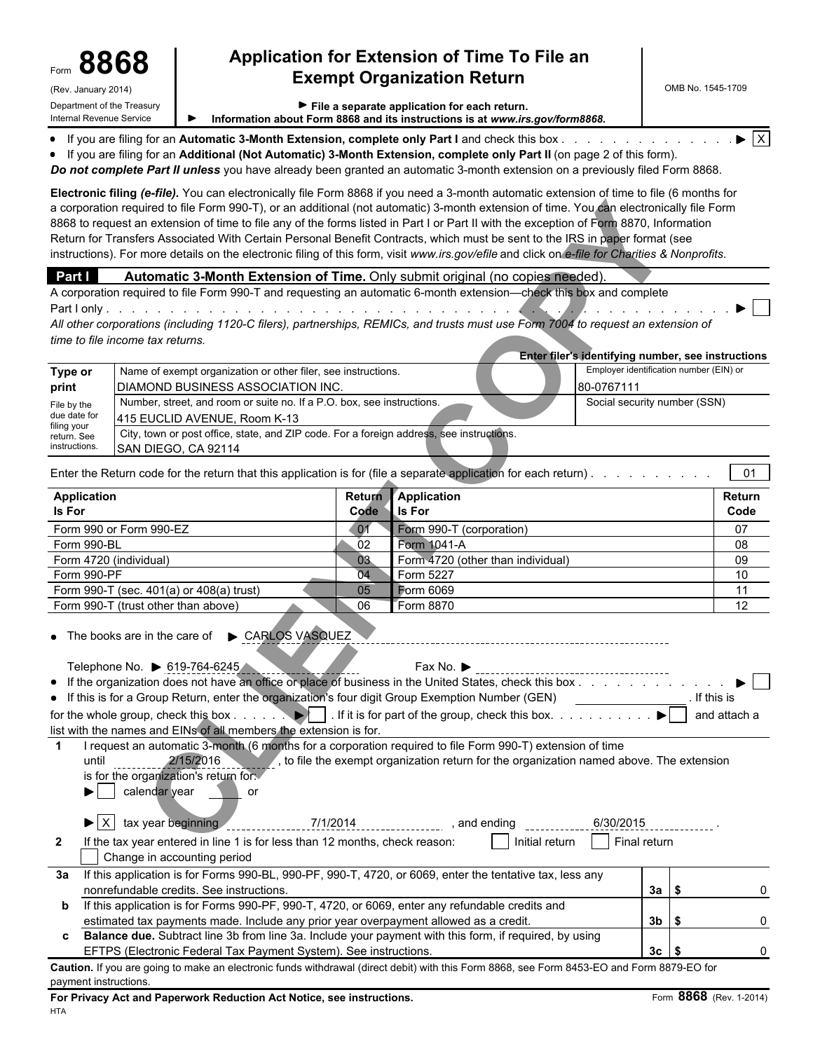# Form **8868 Application for Extension of Time To File an Exempt Organization Return**

Internal Revenue Service **Information about Form 8868 and its instructions is at** *www.irs.gov/form8868.*

| • If you are filing for an Automatic 3-Month Extension, complete only Part I and check this box<br>• If you are filing for an Additional (Not Automatic) 3-Month Extension, complete only Part II (on page 2 of this form).<br>Do not complete Part II unless you have already been granted an automatic 3-month extension on a previously filed Form 8868.                                                                                                                                                                                                                                                                                                                                                      |               |                                                                                          |                                                    | $\blacktriangleright$ $\overline{X}$ |
|------------------------------------------------------------------------------------------------------------------------------------------------------------------------------------------------------------------------------------------------------------------------------------------------------------------------------------------------------------------------------------------------------------------------------------------------------------------------------------------------------------------------------------------------------------------------------------------------------------------------------------------------------------------------------------------------------------------|---------------|------------------------------------------------------------------------------------------|----------------------------------------------------|--------------------------------------|
| Electronic filing (e-file). You can electronically file Form 8868 if you need a 3-month automatic extension of time to file (6 months for<br>a corporation required to file Form 990-T), or an additional (not automatic) 3-month extension of time. You can electronically file Form<br>8868 to request an extension of time to file any of the forms listed in Part I or Part II with the exception of Form 8870, Information<br>Return for Transfers Associated With Certain Personal Benefit Contracts, which must be sent to the IRS in paper format (see<br>instructions). For more details on the electronic filing of this form, visit www.irs.gov/efile and click on e-file for Charities & Nonprofits. |               |                                                                                          |                                                    |                                      |
| Part I<br>Automatic 3-Month Extension of Time. Only submit original (no copies needed)                                                                                                                                                                                                                                                                                                                                                                                                                                                                                                                                                                                                                           |               |                                                                                          |                                                    |                                      |
| A corporation required to file Form 990-T and requesting an automatic 6-month extension—check this box and complete                                                                                                                                                                                                                                                                                                                                                                                                                                                                                                                                                                                              |               |                                                                                          |                                                    |                                      |
| All other corporations (including 1120-C filers), partnerships, REMICs, and trusts must use Form 7004 to request an extension of                                                                                                                                                                                                                                                                                                                                                                                                                                                                                                                                                                                 |               |                                                                                          |                                                    |                                      |
| time to file income tax returns.                                                                                                                                                                                                                                                                                                                                                                                                                                                                                                                                                                                                                                                                                 |               |                                                                                          |                                                    |                                      |
|                                                                                                                                                                                                                                                                                                                                                                                                                                                                                                                                                                                                                                                                                                                  |               |                                                                                          | Enter filer's identifying number, see instructions |                                      |
| Name of exempt organization or other filer, see instructions.<br>Type or                                                                                                                                                                                                                                                                                                                                                                                                                                                                                                                                                                                                                                         |               |                                                                                          | Employer identification number (EIN) or            |                                      |
| print<br><b>DIAMOND BUSINESS ASSOCIATION INC.</b>                                                                                                                                                                                                                                                                                                                                                                                                                                                                                                                                                                                                                                                                |               |                                                                                          | 80-0767111                                         |                                      |
| Number, street, and room or suite no. If a P.O. box, see instructions.<br>File by the<br>due date for<br>415 EUCLID AVENUE, Room K-13                                                                                                                                                                                                                                                                                                                                                                                                                                                                                                                                                                            |               |                                                                                          | Social security number (SSN)                       |                                      |
| filing your<br>City, town or post office, state, and ZIP code. For a foreign address, see instructions.<br>return. See                                                                                                                                                                                                                                                                                                                                                                                                                                                                                                                                                                                           |               |                                                                                          |                                                    |                                      |
| instructions.<br>SAN DIEGO, CA 92114                                                                                                                                                                                                                                                                                                                                                                                                                                                                                                                                                                                                                                                                             |               |                                                                                          |                                                    |                                      |
| Enter the Return code for the return that this application is for (file a separate application for each return).                                                                                                                                                                                                                                                                                                                                                                                                                                                                                                                                                                                                 |               |                                                                                          |                                                    | 01                                   |
| <b>Application</b>                                                                                                                                                                                                                                                                                                                                                                                                                                                                                                                                                                                                                                                                                               | <b>Return</b> | Application                                                                              |                                                    | Return                               |
| <b>Is For</b>                                                                                                                                                                                                                                                                                                                                                                                                                                                                                                                                                                                                                                                                                                    | Code          | <b>Is For</b>                                                                            |                                                    | Code                                 |
| Form 990 or Form 990-EZ                                                                                                                                                                                                                                                                                                                                                                                                                                                                                                                                                                                                                                                                                          | $-01$         | Form 990-T (corporation)                                                                 |                                                    | 07                                   |
| Form 990-BL<br>Form 4720 (individual)                                                                                                                                                                                                                                                                                                                                                                                                                                                                                                                                                                                                                                                                            | 02<br>03      | Form 1041-A<br>Form 4720 (other than individual)                                         |                                                    | 08<br>09                             |
| Form 990-PF                                                                                                                                                                                                                                                                                                                                                                                                                                                                                                                                                                                                                                                                                                      | 04            | Form 5227                                                                                |                                                    | 10                                   |
| Form 990-T (sec. 401(a) or 408(a) trust)                                                                                                                                                                                                                                                                                                                                                                                                                                                                                                                                                                                                                                                                         | 05            | Form 6069                                                                                |                                                    | 11                                   |
| Form 990-T (trust other than above)                                                                                                                                                                                                                                                                                                                                                                                                                                                                                                                                                                                                                                                                              | 06            | Form 8870                                                                                |                                                    | 12                                   |
| CARLOS VASQUEZ<br>• The books are in the care of                                                                                                                                                                                                                                                                                                                                                                                                                                                                                                                                                                                                                                                                 |               |                                                                                          |                                                    |                                      |
| Telephone No. ▶ 619-764-6245                                                                                                                                                                                                                                                                                                                                                                                                                                                                                                                                                                                                                                                                                     |               | Fax No. ▶                                                                                |                                                    |                                      |
| • If the organization does not have an office or place of business in the United States, check this box<br>• If this is for a Group Return, enter the organization's four digit Group Exemption Number (GEN)                                                                                                                                                                                                                                                                                                                                                                                                                                                                                                     |               |                                                                                          |                                                    | If this is                           |
| for the whole group, check this box $\ldots$ .                                                                                                                                                                                                                                                                                                                                                                                                                                                                                                                                                                                                                                                                   |               | If it is for part of the group, check this box.                                          | $\blacktriangleright$                              | and attach a                         |
| list with the names and EINs of all members the extension is for.                                                                                                                                                                                                                                                                                                                                                                                                                                                                                                                                                                                                                                                |               |                                                                                          |                                                    |                                      |
| I request an automatic 3-month (6 months for a corporation required to file Form 990-T) extension of time                                                                                                                                                                                                                                                                                                                                                                                                                                                                                                                                                                                                        |               |                                                                                          |                                                    |                                      |
| 2/15/2016<br>until<br>is for the organization's return for<br>$\blacktriangleright$   calendar year<br>or                                                                                                                                                                                                                                                                                                                                                                                                                                                                                                                                                                                                        |               | , to file the exempt organization return for the organization named above. The extension |                                                    |                                      |
| $\blacktriangleright$ $\mid$ X $\mid$ tax year beginning                                                                                                                                                                                                                                                                                                                                                                                                                                                                                                                                                                                                                                                         | 7/1/2014      | , and ending                                                                             | 6/30/2015                                          |                                      |
| If the tax year entered in line 1 is for less than 12 months, check reason:<br>$\mathbf{2}$<br>Change in accounting period                                                                                                                                                                                                                                                                                                                                                                                                                                                                                                                                                                                       |               | Initial return                                                                           | Final return                                       |                                      |
| If this application is for Forms 990-BL, 990-PF, 990-T, 4720, or 6069, enter the tentative tax, less any<br>За<br>nonrefundable credits. See instructions.                                                                                                                                                                                                                                                                                                                                                                                                                                                                                                                                                       |               |                                                                                          | $3a$ $\sqrt{5}$                                    |                                      |
|                                                                                                                                                                                                                                                                                                                                                                                                                                                                                                                                                                                                                                                                                                                  |               |                                                                                          |                                                    |                                      |

**Caution.** If you are going to make an electronic funds withdrawal (direct debit) with this Form 8868, see Form 8453-EO and Form 8879-EO for payment instructions.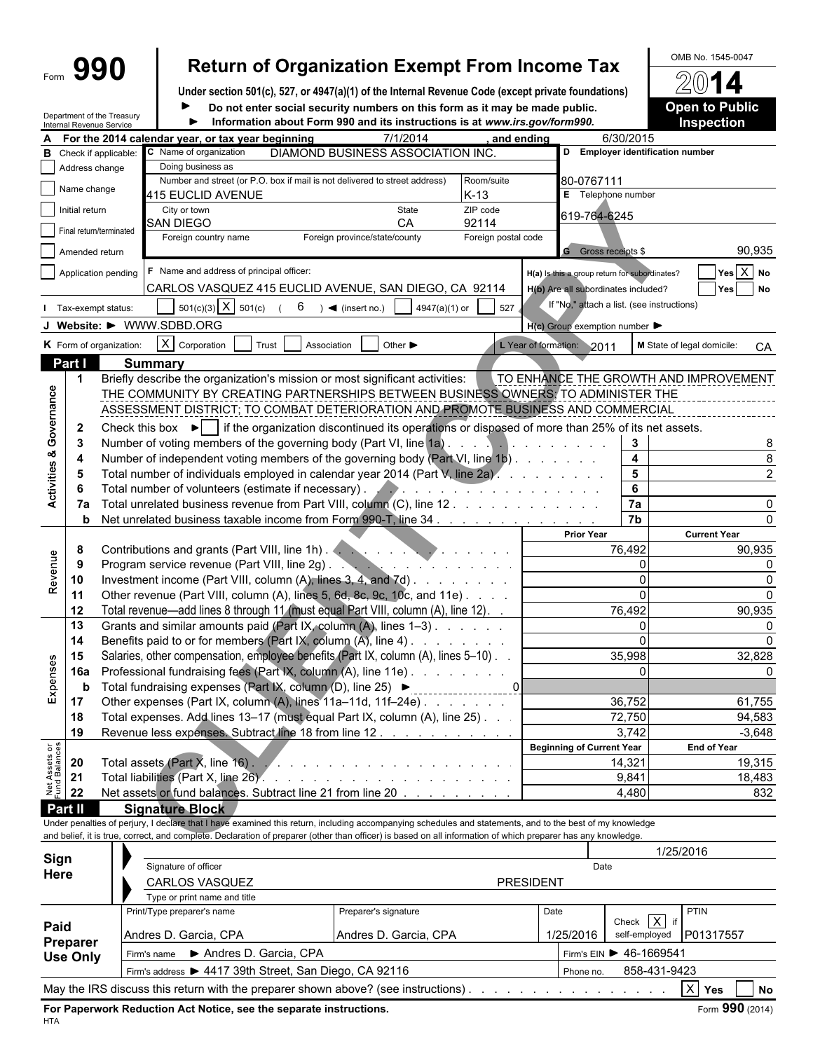|                                                |                      |                            |                                                                                                                                                                                                                                                                                                                 | <b>Return of Organization Exempt From Income Tax</b>                                                                                                      |                                                                               |                                               |                            | OMB No. 1545-0047                   |
|------------------------------------------------|----------------------|----------------------------|-----------------------------------------------------------------------------------------------------------------------------------------------------------------------------------------------------------------------------------------------------------------------------------------------------------------|-----------------------------------------------------------------------------------------------------------------------------------------------------------|-------------------------------------------------------------------------------|-----------------------------------------------|----------------------------|-------------------------------------|
|                                                |                      | 990                        |                                                                                                                                                                                                                                                                                                                 |                                                                                                                                                           |                                                                               |                                               |                            |                                     |
|                                                |                      |                            | Under section 501(c), 527, or 4947(a)(1) of the Internal Revenue Code (except private foundations)                                                                                                                                                                                                              |                                                                                                                                                           |                                                                               |                                               |                            |                                     |
|                                                |                      | Department of the Treasury | ▶                                                                                                                                                                                                                                                                                                               | Do not enter social security numbers on this form as it may be made public.<br>Information about Form 990 and its instructions is at www.irs.gov/form990. |                                                                               |                                               |                            | <b>Open to Public</b><br>Inspection |
|                                                |                      | Internal Revenue Service   | A For the 2014 calendar year, or tax year beginning                                                                                                                                                                                                                                                             | 7/1/2014                                                                                                                                                  | and ending                                                                    | 6/30/2015                                     |                            |                                     |
| в                                              |                      | Check if applicable:       | C Name of organization                                                                                                                                                                                                                                                                                          | DIAMOND BUSINESS ASSOCIATION INC.                                                                                                                         |                                                                               | D Employer identification number              |                            |                                     |
|                                                |                      | Address change             | Doing business as                                                                                                                                                                                                                                                                                               |                                                                                                                                                           |                                                                               |                                               |                            |                                     |
|                                                | Name change          |                            | Number and street (or P.O. box if mail is not delivered to street address)                                                                                                                                                                                                                                      |                                                                                                                                                           | Room/suite                                                                    | 80-0767111                                    |                            |                                     |
|                                                |                      |                            | 415 EUCLID AVENUE                                                                                                                                                                                                                                                                                               |                                                                                                                                                           | $K-13$                                                                        | E Telephone number                            |                            |                                     |
|                                                | Initial return       |                            | City or town<br>SAN DIEGO                                                                                                                                                                                                                                                                                       | State<br>CA                                                                                                                                               | ZIP code<br>92114                                                             | 619-764-6245                                  |                            |                                     |
|                                                |                      | Final return/terminated    | Foreign country name                                                                                                                                                                                                                                                                                            | Foreign province/state/county                                                                                                                             | Foreign postal code                                                           |                                               |                            |                                     |
|                                                |                      | Amended return             |                                                                                                                                                                                                                                                                                                                 |                                                                                                                                                           |                                                                               | <b>G</b> Gross receipts \$                    |                            | 90,935                              |
|                                                |                      | Application pending        | F Name and address of principal officer:                                                                                                                                                                                                                                                                        |                                                                                                                                                           |                                                                               | H(a) Is this a group return for subordinates? |                            | $Yes \overline{X} No$               |
|                                                |                      |                            | CARLOS VASQUEZ 415 EUCLID AVENUE, SAN DIEGO, CA 92114                                                                                                                                                                                                                                                           |                                                                                                                                                           |                                                                               | H(b) Are all subordinates included?           |                            | Yes<br><b>No</b>                    |
|                                                |                      | I Tax-exempt status:       | $501(c)(3)$ X $501(c)$                                                                                                                                                                                                                                                                                          | $6 \rightarrow \bullet$ (insert no.)<br>4947(a)(1) or                                                                                                     | 527                                                                           | If "No," attach a list. (see instructions)    |                            |                                     |
|                                                |                      |                            | J Website: $\blacktriangleright$ WWW.SDBD.ORG                                                                                                                                                                                                                                                                   |                                                                                                                                                           |                                                                               | H(c) Group exemption number                   |                            |                                     |
|                                                |                      |                            |                                                                                                                                                                                                                                                                                                                 |                                                                                                                                                           |                                                                               |                                               |                            |                                     |
|                                                |                      | K Form of organization:    | $X$ Corporation<br>Trust                                                                                                                                                                                                                                                                                        | Association<br>Other $\blacktriangleright$                                                                                                                |                                                                               | L Year of formation: 2011                     | M State of legal domicile: | CA                                  |
|                                                | Part I               |                            | <b>Summary</b>                                                                                                                                                                                                                                                                                                  |                                                                                                                                                           |                                                                               |                                               |                            |                                     |
|                                                | $\blacktriangleleft$ |                            | Briefly describe the organization's mission or most significant activities:<br>THE COMMUNITY BY CREATING PARTNERSHIPS BETWEEN BUSINESS OWNERS: TO ADMINISTER THE                                                                                                                                                |                                                                                                                                                           |                                                                               | TO ENHANCE THE GROWTH AND IMPROVEMENT         |                            |                                     |
| Governance                                     |                      |                            | ASSESSMENT DISTRICT; TO COMBAT DETERIORATION AND PROMOTE BUSINESS AND COMMERCIAL                                                                                                                                                                                                                                |                                                                                                                                                           |                                                                               |                                               |                            |                                     |
|                                                |                      |                            |                                                                                                                                                                                                                                                                                                                 |                                                                                                                                                           |                                                                               |                                               |                            |                                     |
|                                                | $\mathbf{2}$         |                            | Check this box $\blacktriangleright$   if the organization discontinued its operations or disposed of more than 25% of its net assets.                                                                                                                                                                          |                                                                                                                                                           |                                                                               |                                               |                            |                                     |
| ఱ                                              | 3                    |                            | Number of voting members of the governing body (Part VI, line 1a)                                                                                                                                                                                                                                               |                                                                                                                                                           |                                                                               | 3                                             |                            |                                     |
|                                                |                      |                            | Number of independent voting members of the governing body (Part VI, line 1b)                                                                                                                                                                                                                                   |                                                                                                                                                           |                                                                               | 4<br>5                                        |                            |                                     |
|                                                |                      |                            | Total number of individuals employed in calendar year 2014 (Part V, line 2a).<br>Total number of volunteers (estimate if necessary). And a contract of the contract of the contract of the contract of the contract of the contract of the contract of the contract of the contract of the contract of the cont |                                                                                                                                                           |                                                                               | 6                                             |                            |                                     |
| Activities                                     |                      |                            | Total unrelated business revenue from Part VIII, column (C), line 12                                                                                                                                                                                                                                            |                                                                                                                                                           |                                                                               | 7a                                            |                            |                                     |
|                                                | b                    |                            | Net unrelated business taxable income from Form 990-T, line 34                                                                                                                                                                                                                                                  |                                                                                                                                                           |                                                                               | $\overline{7b}$                               |                            |                                     |
|                                                |                      |                            |                                                                                                                                                                                                                                                                                                                 |                                                                                                                                                           |                                                                               | <b>Prior Year</b>                             |                            | <b>Current Year</b>                 |
|                                                | 8                    |                            | Contributions and grants (Part VIII, line 1h).                                                                                                                                                                                                                                                                  |                                                                                                                                                           | $\mathcal{L}$ , $\mathcal{L}$ , $\mathcal{L}$ , $\mathcal{L}$ , $\mathcal{L}$ | 76,492                                        |                            | 90,935                              |
| Revenue                                        | 9                    |                            | Program service revenue (Part VIII, line 2g).                                                                                                                                                                                                                                                                   | <u> De Santa Alemania de Santa Alemania de Santa Alemania de Santa Alemania de Santa Alemania de Santa Alemania de S</u>                                  |                                                                               |                                               | $\mathbf 0$                |                                     |
|                                                | 10                   |                            | Investment income (Part VIII, column (A), lines 3, 4, and 7d)                                                                                                                                                                                                                                                   |                                                                                                                                                           |                                                                               |                                               | $\mathbf 0$                |                                     |
|                                                | 11                   |                            | Other revenue (Part VIII, column (A), lines 5, 6d, 8c, 9c, 10c, and 11e)                                                                                                                                                                                                                                        |                                                                                                                                                           |                                                                               |                                               | $\Omega$                   |                                     |
|                                                | 12                   |                            | Total revenue—add lines 8 through 11 (must equal Part VIII, column (A), line 12).                                                                                                                                                                                                                               |                                                                                                                                                           |                                                                               | 76,492                                        |                            | 90,935                              |
|                                                | 13                   |                            | Grants and similar amounts paid (Part IX, column (A), lines 1-3)                                                                                                                                                                                                                                                |                                                                                                                                                           |                                                                               |                                               | $\Omega$                   |                                     |
|                                                | 14                   |                            | Benefits paid to or for members (Part IX, column $(A)$ , line 4) $\ldots$                                                                                                                                                                                                                                       |                                                                                                                                                           |                                                                               |                                               | $\overline{0}$             |                                     |
|                                                | 15                   |                            | Salaries, other compensation, employee benefits (Part IX, column (A), lines 5-10)                                                                                                                                                                                                                               |                                                                                                                                                           |                                                                               | 35,998                                        |                            | 32,828                              |
|                                                | 16a                  |                            | Professional fundraising fees (Part IX, column (A), line 11e)                                                                                                                                                                                                                                                   |                                                                                                                                                           |                                                                               |                                               | $\mathbf 0$                |                                     |
| Expenses                                       | $\mathbf b$          |                            |                                                                                                                                                                                                                                                                                                                 |                                                                                                                                                           |                                                                               |                                               |                            |                                     |
|                                                | 17                   |                            | Other expenses (Part IX, column (A), lines 11a-11d, 11f-24e).                                                                                                                                                                                                                                                   |                                                                                                                                                           |                                                                               | 36,752                                        |                            | 61,755                              |
|                                                | 18                   |                            | Total expenses. Add lines 13-17 (must equal Part IX, column (A), line 25)                                                                                                                                                                                                                                       |                                                                                                                                                           |                                                                               | 72,750                                        |                            | 94,583                              |
|                                                | 19                   |                            | Revenue less expenses. Subtract line 18 from line 12                                                                                                                                                                                                                                                            |                                                                                                                                                           |                                                                               | 3,742                                         |                            | $-3,648$                            |
| <b>ASSES</b><br>Fund Balances<br>Fund 21<br>22 |                      |                            |                                                                                                                                                                                                                                                                                                                 |                                                                                                                                                           |                                                                               | <b>Beginning of Current Year</b>              |                            | <b>End of Year</b>                  |
|                                                |                      |                            |                                                                                                                                                                                                                                                                                                                 |                                                                                                                                                           |                                                                               | 14,321<br>9,841                               |                            | 19,315                              |
|                                                |                      |                            | Net assets or fund balances. Subtract line 21 from line 20                                                                                                                                                                                                                                                      |                                                                                                                                                           |                                                                               | 4,480                                         |                            | 18,483<br>832                       |
|                                                | Part II              |                            | <b>Signature Block</b>                                                                                                                                                                                                                                                                                          |                                                                                                                                                           |                                                                               |                                               |                            |                                     |
|                                                |                      |                            | Under penalties of perjury, I declare that I have examined this return, including accompanying schedules and statements, and to the best of my knowledge                                                                                                                                                        |                                                                                                                                                           |                                                                               |                                               |                            |                                     |
|                                                |                      |                            | and belief, it is true, correct, and complete. Declaration of preparer (other than officer) is based on all information of which preparer has any knowledge.                                                                                                                                                    |                                                                                                                                                           |                                                                               |                                               |                            |                                     |

|                             |                                                        |                                                                                    |                           |           | 1/25/2016                    |  |  |  |
|-----------------------------|--------------------------------------------------------|------------------------------------------------------------------------------------|---------------------------|-----------|------------------------------|--|--|--|
| Sign                        | Signature of officer                                   |                                                                                    |                           |           |                              |  |  |  |
| Here                        | CARLOS VASQUEZ                                         | <b>PRESIDENT</b>                                                                   |                           |           |                              |  |  |  |
|                             | Type or print name and title                           |                                                                                    |                           |           |                              |  |  |  |
|                             | Print/Type preparer's name                             | Preparer's signature                                                               | Date                      | $\sqrt{}$ | <b>PTIN</b>                  |  |  |  |
| Paid                        | Andres D. Garcia, CPA                                  | 1/25/2016                                                                          | Check<br>self-employed    | P01317557 |                              |  |  |  |
| Preparer<br><b>Use Only</b> | Andres D. Garcia, CPA<br>Firm's name                   |                                                                                    | Firm's EIN > 46-1669541   |           |                              |  |  |  |
|                             | Firm's address > 4417 39th Street, San Diego, CA 92116 |                                                                                    | 858-431-9423<br>Phone no. |           |                              |  |  |  |
|                             |                                                        | May the IRS discuss this return with the preparer shown above? (see instructions). |                           |           | $\times$<br><b>Yes</b><br>No |  |  |  |

**For Paperwork Reduction Act Notice, see the separate instructions.** Form 990 (2014)

HTA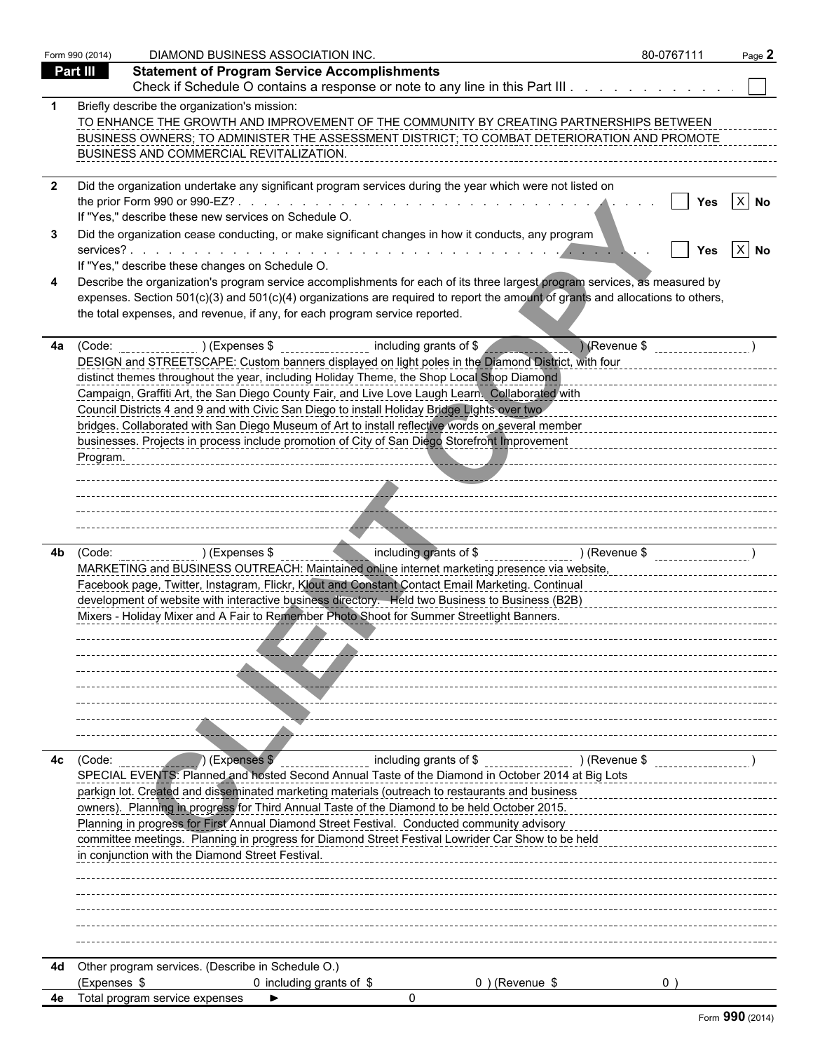|    | Form 990 (2014) | DIAMOND BUSINESS ASSOCIATION INC.                                                                                                                                                                                                                            | 80-0767111 | Page 2 |
|----|-----------------|--------------------------------------------------------------------------------------------------------------------------------------------------------------------------------------------------------------------------------------------------------------|------------|--------|
|    | Part III        | <b>Statement of Program Service Accomplishments</b>                                                                                                                                                                                                          |            |        |
|    |                 | Check if Schedule O contains a response or note to any line in this Part III                                                                                                                                                                                 |            |        |
|    |                 | Briefly describe the organization's mission:<br>TO ENHANCE THE GROWTH AND IMPROVEMENT OF THE COMMUNITY BY CREATING PARTNERSHIPS BETWEEN                                                                                                                      |            |        |
|    |                 | BUSINESS OWNERS; TO ADMINISTER THE ASSESSMENT DISTRICT; TO COMBAT DETERIORATION AND PROMOTE<br>BUSINESS AND COMMERCIAL REVITALIZATION.                                                                                                                       |            |        |
|    |                 | Did the organization undertake any significant program services during the year which were not listed on                                                                                                                                                     | Yes        | $X$ No |
|    |                 | If "Yes," describe these new services on Schedule O.                                                                                                                                                                                                         |            |        |
|    |                 | Did the organization cease conducting, or make significant changes in how it conducts, any program                                                                                                                                                           |            | $X$ No |
|    |                 | If "Yes," describe these changes on Schedule O.                                                                                                                                                                                                              |            |        |
|    |                 | Describe the organization's program service accomplishments for each of its three largest program services, as measured by<br>expenses. Section 501(c)(3) and 501(c)(4) organizations are required to report the amount of grants and allocations to others, |            |        |
|    |                 | the total expenses, and revenue, if any, for each program service reported.                                                                                                                                                                                  |            |        |
| 4a | (Code:          | ) (Revenue \$<br>) (Expenses \$<br>including grants of \$                                                                                                                                                                                                    |            |        |
|    |                 | DESIGN and STREETSCAPE: Custom banners displayed on light poles in the Diamond District, with four                                                                                                                                                           |            |        |
|    |                 | distinct themes throughout the year, including Holiday Theme, the Shop Local Shop Diamond                                                                                                                                                                    |            |        |
|    |                 | Campaign, Graffiti Art, the San Diego County Fair, and Live Love Laugh Learn. Collaborated with<br>Council Districts 4 and 9 and with Civic San Diego to install Holiday Bridge Lights over two                                                              |            |        |
|    |                 | bridges. Collaborated with San Diego Museum of Art to install reflective words on several member                                                                                                                                                             |            |        |
|    |                 | businesses. Projects in process include promotion of City of San Diego Storefront Improvement                                                                                                                                                                |            |        |
|    | Program.        |                                                                                                                                                                                                                                                              |            |        |
|    |                 |                                                                                                                                                                                                                                                              |            |        |
|    |                 |                                                                                                                                                                                                                                                              |            |        |
|    |                 |                                                                                                                                                                                                                                                              |            |        |
|    |                 |                                                                                                                                                                                                                                                              |            |        |
| 4b | (Code:          | including grants of \$ ______________________ ) (Revenue \$<br>) (Expenses \$                                                                                                                                                                                |            |        |
|    |                 | MARKETING and BUSINESS OUTREACH: Maintained online internet marketing presence via website,                                                                                                                                                                  |            |        |
|    |                 | Facebook page, Twitter, Instagram, Flickr, Klout and Constant Contact Email Marketing. Continual                                                                                                                                                             |            |        |
|    |                 | development of website with interactive business directory. Held two Business to Business (B2B)                                                                                                                                                              |            |        |
|    |                 | Mixers - Holiday Mixer and A Fair to Remember Photo Shoot for Summer Streetlight Banners.                                                                                                                                                                    |            |        |
|    |                 |                                                                                                                                                                                                                                                              |            |        |
|    |                 |                                                                                                                                                                                                                                                              |            |        |
|    |                 |                                                                                                                                                                                                                                                              |            |        |
|    |                 |                                                                                                                                                                                                                                                              |            |        |
|    |                 |                                                                                                                                                                                                                                                              |            |        |
|    |                 |                                                                                                                                                                                                                                                              |            |        |
| 4с | (Code:          | (Expenses \$<br>including grants of \$<br>) (Revenue \$                                                                                                                                                                                                      |            |        |
|    |                 | SPECIAL EVENTS: Planned and hosted Second Annual Taste of the Diamond in October 2014 at Big Lots                                                                                                                                                            |            |        |
|    |                 | parkign lot. Created and disseminated marketing materials (outreach to restaurants and business                                                                                                                                                              |            |        |
|    |                 | owners). Planning in progress for Third Annual Taste of the Diamond to be held October 2015.                                                                                                                                                                 |            |        |
|    |                 | Planning in progress for First Annual Diamond Street Festival. Conducted community advisory                                                                                                                                                                  |            |        |
|    |                 | committee meetings. Planning in progress for Diamond Street Festival Lowrider Car Show to be held                                                                                                                                                            |            |        |
|    |                 | in conjunction with the Diamond Street Festival.                                                                                                                                                                                                             |            |        |
|    |                 |                                                                                                                                                                                                                                                              |            |        |
|    |                 |                                                                                                                                                                                                                                                              |            |        |
|    |                 |                                                                                                                                                                                                                                                              |            |        |
|    |                 |                                                                                                                                                                                                                                                              |            |        |
|    |                 |                                                                                                                                                                                                                                                              |            |        |
| 4d |                 | Other program services. (Describe in Schedule O.)                                                                                                                                                                                                            |            |        |
|    | (Expenses \$    | 0 including grants of $$$<br>$0$ ) (Revenue \$                                                                                                                                                                                                               | 0          |        |
|    |                 | 4e Total program service expenses<br>$\mathbf{0}$                                                                                                                                                                                                            |            |        |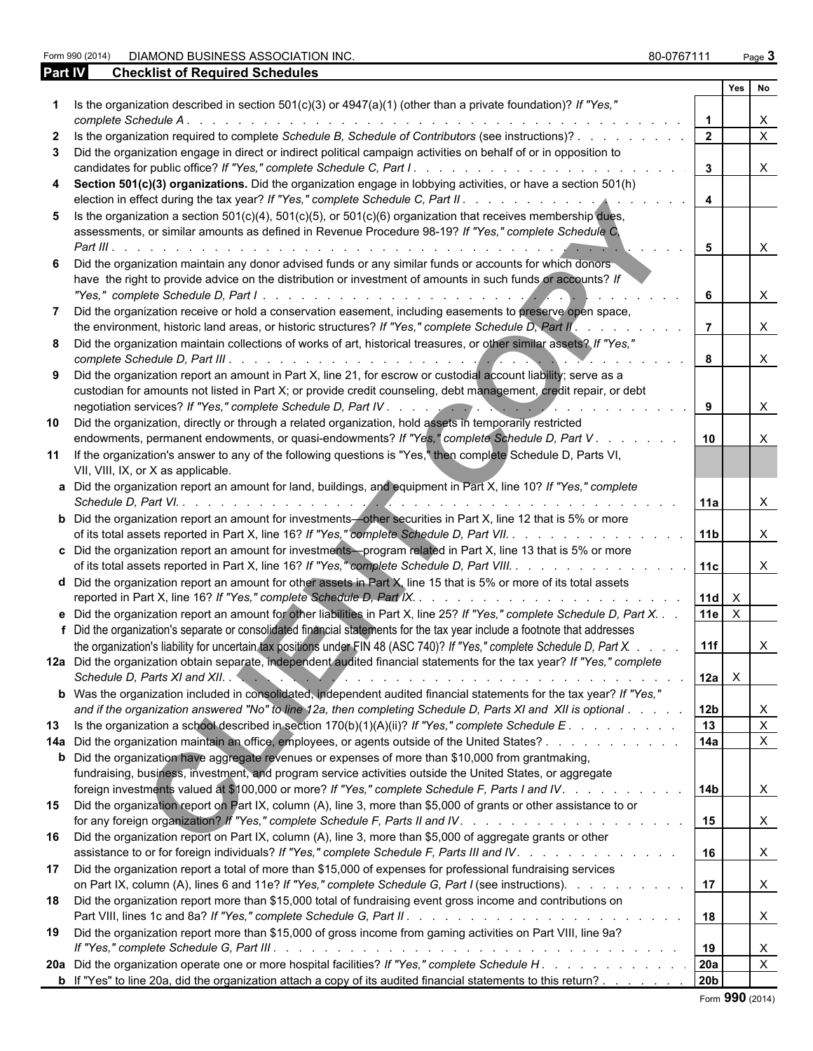Form 990 (2014) DIAMOND BUSINESS ASSOCIATION INC. **80-0767111** Page 3

| <b>Part IV</b> | <b>Checklist of Required Schedules</b>                                                                                                                                                                                                                |                         |                    |              |
|----------------|-------------------------------------------------------------------------------------------------------------------------------------------------------------------------------------------------------------------------------------------------------|-------------------------|--------------------|--------------|
|                |                                                                                                                                                                                                                                                       |                         | Yes                | No           |
|                | Is the organization described in section 501(c)(3) or 4947(a)(1) (other than a private foundation)? If "Yes,"                                                                                                                                         |                         |                    | $\mathsf{X}$ |
|                | Is the organization required to complete Schedule B, Schedule of Contributors (see instructions)?                                                                                                                                                     | $\overline{2}$          |                    | $\mathsf{X}$ |
|                | Did the organization engage in direct or indirect political campaign activities on behalf of or in opposition to                                                                                                                                      | 3 <sup>1</sup>          |                    | $\mathsf{X}$ |
| 4              | Section 501(c)(3) organizations. Did the organization engage in lobbying activities, or have a section 501(h)                                                                                                                                         | $\overline{\mathbf{4}}$ |                    |              |
| 5.             | Is the organization a section $501(c)(4)$ , $501(c)(5)$ , or $501(c)(6)$ organization that receives membership dues,<br>assessments, or similar amounts as defined in Revenue Procedure 98-19? If "Yes," complete Schedule C,                         |                         |                    |              |
|                | Did the organization maintain any donor advised funds or any similar funds or accounts for which donors<br>have the right to provide advice on the distribution or investment of amounts in such funds or accounts? If                                | 5                       |                    | $\mathsf{X}$ |
|                | Did the organization receive or hold a conservation easement, including easements to preserve open space,                                                                                                                                             | 6                       |                    | $\mathsf{X}$ |
|                | the environment, historic land areas, or historic structures? If "Yes," complete Schedule D, Part II'.                                                                                                                                                |                         |                    | $\mathsf{X}$ |
| 8              | Did the organization maintain collections of works of art, historical treasures, or other similar assets? If "Yes,"                                                                                                                                   | 8                       |                    | $\mathsf{X}$ |
|                | Did the organization report an amount in Part X, line 21, for escrow or custodial account liability; serve as a<br>custodian for amounts not listed in Part X; or provide credit counseling, debt management, credit repair, or debt                  | 9                       |                    | $\mathsf{X}$ |
| 10             | Did the organization, directly or through a related organization, hold assets in temporarily restricted<br>endowments, permanent endowments, or quasi-endowments? If "Yes," complete Schedule D, Part V.                                              | 10                      |                    | $\times$     |
| 11             | If the organization's answer to any of the following questions is "Yes," then complete Schedule D, Parts VI,<br>VII, VIII, IX, or X as applicable.                                                                                                    |                         |                    |              |
|                | a Did the organization report an amount for land, buildings, and equipment in Part X, line 10? If "Yes," complete                                                                                                                                     | 11a                     |                    | $\times$     |
|                | <b>b</b> Did the organization report an amount for investments-other securities in Part X, line 12 that is 5% or more<br>of its total assets reported in Part X, line 16? If "Yes," complete Schedule D, Part VII. 11b                                |                         |                    | $\mathsf{X}$ |
|                | c Did the organization report an amount for investments-program related in Part X, line 13 that is 5% or more<br>of its total assets reported in Part X, line 16? If "Yes," complete Schedule D, Part VIII. 11c                                       |                         |                    | $\mathsf{X}$ |
|                | d Did the organization report an amount for other assets in Part X, line 15 that is 5% or more of its total assets                                                                                                                                    | $11d \times$            |                    |              |
|                | e Did the organization report an amount for other liabilities in Part X, line 25? If "Yes," complete Schedule D, Part X.<br>f Did the organization's separate or consolidated financial statements for the tax year include a footnote that addresses |                         | 11e $\overline{X}$ |              |
|                | the organization's liability for uncertain tax positions under FIN 48 (ASC 740)? If "Yes," complete Schedule D, Part X.<br>12a Did the organization obtain separate, independent audited financial statements for the tax year? If "Yes," complete    | 11f                     |                    | X            |
|                | Schedule D, Parts XI and XII.                                                                                                                                                                                                                         | $12a \times$            |                    |              |
|                | b Was the organization included in consolidated, independent audited financial statements for the tax year? If "Yes,"<br>and if the organization answered "No" to line 12a, then completing Schedule D, Parts XI and XII is optional                  | 12 <sub>b</sub>         |                    | X            |
| 13             | Is the organization a school described in section $170(b)(1)(A)(ii)?$ If "Yes," complete Schedule E.                                                                                                                                                  | 13                      |                    | $\mathsf{X}$ |
|                | 14a Did the organization maintain an office, employees, or agents outside of the United States?                                                                                                                                                       | 14a                     |                    | $\mathsf{X}$ |
|                | <b>b</b> Did the organization have aggregate revenues or expenses of more than \$10,000 from grantmaking,                                                                                                                                             |                         |                    |              |
|                | fundraising, business, investment, and program service activities outside the United States, or aggregate                                                                                                                                             |                         |                    |              |
| 15             | foreign investments valued at \$100,000 or more? If "Yes," complete Schedule F, Parts I and IV.<br>Did the organization report on Part IX, column (A), line 3, more than \$5,000 of grants or other assistance to or                                  | 14b                     |                    | $\mathsf{X}$ |
|                |                                                                                                                                                                                                                                                       | 15                      |                    | $\mathsf{X}$ |
| 16             | Did the organization report on Part IX, column (A), line 3, more than \$5,000 of aggregate grants or other<br>assistance to or for foreign individuals? If "Yes," complete Schedule F, Parts III and IV.                                              | 16                      |                    | $\mathsf{X}$ |
| 17             | Did the organization report a total of more than \$15,000 of expenses for professional fundraising services<br>on Part IX, column (A), lines 6 and 11e? If "Yes," complete Schedule G, Part I (see instructions).                                     | 17                      |                    | $\mathsf{X}$ |
| 18             | Did the organization report more than \$15,000 total of fundraising event gross income and contributions on                                                                                                                                           | 18                      |                    | $\mathsf{X}$ |
| 19             | Did the organization report more than \$15,000 of gross income from gaming activities on Part VIII, line 9a?                                                                                                                                          | 19                      |                    | X            |
|                | 20a Did the organization operate one or more hospital facilities? If "Yes," complete Schedule H.                                                                                                                                                      | <b>20a</b>              |                    | $\mathsf{x}$ |

**b** If "Yes" to line 20a, did the organization attach a copy of its audited financial statements to this return? . . . . . . . . 20b

|  |  | Form 990 (2014) |
|--|--|-----------------|
|--|--|-----------------|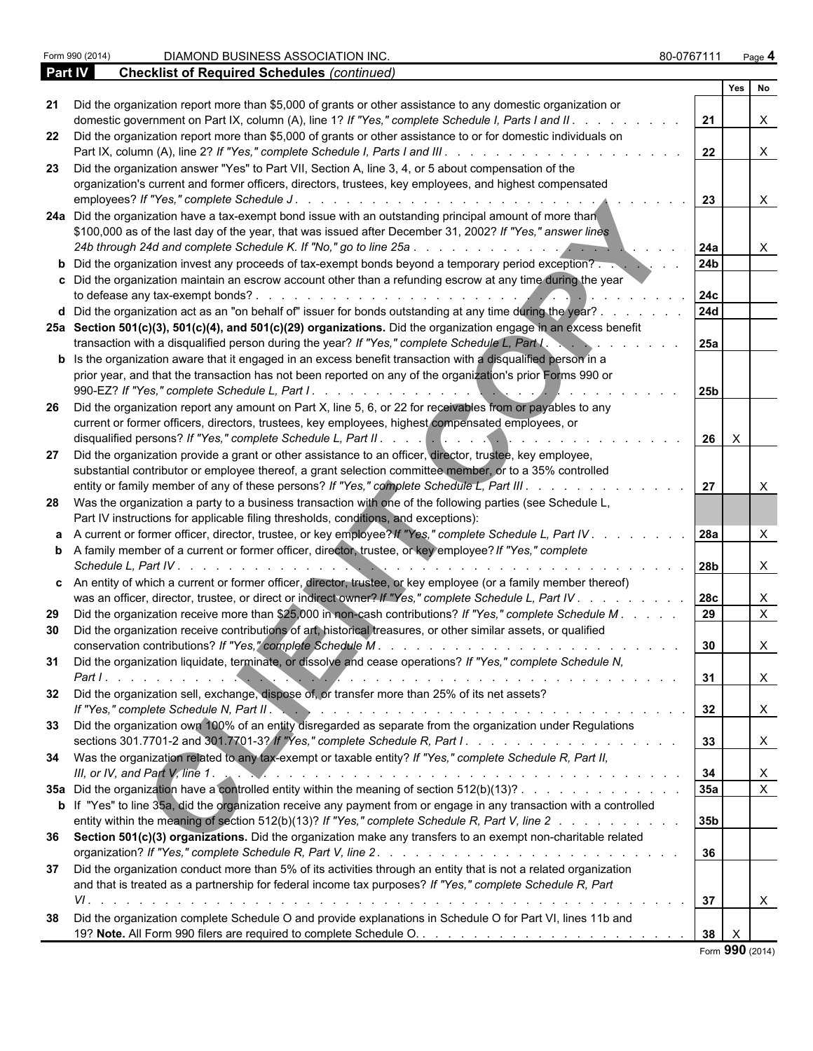| Part IV | <b>Checklist of Required Schedules (continued)</b>                                                                          |                 |     |                           |  |
|---------|-----------------------------------------------------------------------------------------------------------------------------|-----------------|-----|---------------------------|--|
|         |                                                                                                                             |                 | Yes | l No                      |  |
| 21      | Did the organization report more than \$5,000 of grants or other assistance to any domestic organization or                 |                 |     |                           |  |
|         | domestic government on Part IX, column (A), line 1? If "Yes," complete Schedule I, Parts I and II. .                        | 21              |     | Χ                         |  |
|         | 22 Did the organization report more than \$5,000 of grants or other assistance to or for domestic individuals on            |                 |     |                           |  |
|         |                                                                                                                             | 22              |     | X                         |  |
| 23      | Did the organization answer "Yes" to Part VII, Section A, line 3, 4, or 5 about compensation of the                         |                 |     |                           |  |
|         | organization's current and former officers, directors, trustees, key employees, and highest compensated                     |                 |     |                           |  |
|         |                                                                                                                             | 23              |     | X                         |  |
|         | 24a Did the organization have a tax-exempt bond issue with an outstanding principal amount of more than                     |                 |     |                           |  |
|         | \$100,000 as of the last day of the year, that was issued after December 31, 2002? If "Yes," answer lines                   |                 |     |                           |  |
|         |                                                                                                                             |                 |     |                           |  |
|         |                                                                                                                             | 24a             |     | X                         |  |
|         | <b>b</b> Did the organization invest any proceeds of tax-exempt bonds beyond a temporary period exception?                  | 24b             |     |                           |  |
|         | c Did the organization maintain an escrow account other than a refunding escrow at any time during the year                 |                 |     |                           |  |
|         |                                                                                                                             | 24c             |     |                           |  |
|         | d Did the organization act as an "on behalf of" issuer for bonds outstanding at any time during the year?.                  | 24d             |     |                           |  |
|         | 25a Section 501(c)(3), 501(c)(4), and 501(c)(29) organizations. Did the organization engage in an excess benefit            |                 |     |                           |  |
|         | transaction with a disqualified person during the year? If "Yes," complete Schedule L, Part I.                              | 25a             |     |                           |  |
|         | <b>b</b> Is the organization aware that it engaged in an excess benefit transaction with a disqualified person in a         |                 |     |                           |  |
|         | prior year, and that the transaction has not been reported on any of the organization's prior Forms 990 or                  |                 |     |                           |  |
|         |                                                                                                                             | 25 <sub>b</sub> |     |                           |  |
| 26      | Did the organization report any amount on Part X, line 5, 6, or 22 for receivables from or payables to any                  |                 |     |                           |  |
|         | current or former officers, directors, trustees, key employees, highest compensated employees, or                           |                 |     |                           |  |
|         |                                                                                                                             | $26$ $\times$   |     |                           |  |
|         |                                                                                                                             |                 |     |                           |  |
| 27      | Did the organization provide a grant or other assistance to an officer, director, trustee, key employee,                    |                 |     |                           |  |
|         | substantial contributor or employee thereof, a grant selection committee member, or to a 35% controlled                     |                 |     |                           |  |
|         | entity or family member of any of these persons? If "Yes," complete Schedule L, Part III                                    | 27              |     |                           |  |
|         | 28 Was the organization a party to a business transaction with one of the following parties (see Schedule L,                |                 |     |                           |  |
|         | Part IV instructions for applicable filing thresholds, conditions, and exceptions):                                         |                 |     |                           |  |
|         | a A current or former officer, director, trustee, or key employee? If "Yes," complete Schedule L, Part IV.                  | <b>28a</b>      |     | X                         |  |
|         | <b>b</b> A family member of a current or former officer, director, trustee, or key employee? If "Yes," complete             |                 |     |                           |  |
|         | Schedule L, Part IV.                                                                                                        | 28b             |     | X                         |  |
|         | c An entity of which a current or former officer, director, trustee, or key employee (or a family member thereof)           |                 |     |                           |  |
|         | was an officer, director, trustee, or direct or indirect owner? If "Yes," complete Schedule L, Part IV.                     | 28c             |     | X                         |  |
|         | Did the organization receive more than \$25,000 in non-cash contributions? If "Yes," complete Schedule M.                   | 29              |     | $\mathsf{X}$              |  |
| 29      |                                                                                                                             |                 |     |                           |  |
| 30      | Did the organization receive contributions of art, historical treasures, or other similar assets, or qualified              |                 |     |                           |  |
|         |                                                                                                                             | 30              |     | X                         |  |
|         | Did the organization liquidate, terminate, or dissolve and cease operations? If "Yes," complete Schedule N,                 |                 |     |                           |  |
|         |                                                                                                                             | 31              |     | X                         |  |
|         | 32 Did the organization sell, exchange, dispose of, or transfer more than 25% of its net assets?                            |                 |     |                           |  |
|         | If "Yes," complete Schedule N, Part II. And Albert Albert And Albert Albert Albert Albert Albert Albert Albert              | 32              |     | $\boldsymbol{\mathsf{X}}$ |  |
|         | 33 Did the organization own 100% of an entity disregarded as separate from the organization under Regulations               |                 |     |                           |  |
|         |                                                                                                                             | 33              |     | $\boldsymbol{\mathsf{X}}$ |  |
|         | 34 Was the organization related to any tax-exempt or taxable entity? If "Yes," complete Schedule R, Part II,                |                 |     |                           |  |
|         |                                                                                                                             | 34              |     | X                         |  |
|         | 35a Did the organization have a controlled entity within the meaning of section 512(b)(13)?                                 | 35a             |     | $\pmb{\times}$            |  |
|         |                                                                                                                             |                 |     |                           |  |
|         | <b>b</b> If "Yes" to line 35a, did the organization receive any payment from or engage in any transaction with a controlled |                 |     |                           |  |
|         | entity within the meaning of section 512(b)(13)? If "Yes," complete Schedule R, Part V, line 2                              | 35b             |     |                           |  |
|         | 36 Section 501(c)(3) organizations. Did the organization make any transfers to an exempt non-charitable related             |                 |     |                           |  |
|         |                                                                                                                             | 36              |     |                           |  |
| 37      | Did the organization conduct more than 5% of its activities through an entity that is not a related organization            |                 |     |                           |  |
|         | and that is treated as a partnership for federal income tax purposes? If "Yes," complete Schedule R, Part                   |                 |     |                           |  |
|         |                                                                                                                             | 37              |     | X                         |  |
| 38      | Did the organization complete Schedule O and provide explanations in Schedule O for Part VI, lines 11b and                  |                 |     |                           |  |
|         |                                                                                                                             | 38              |     |                           |  |

Form **990** (2014)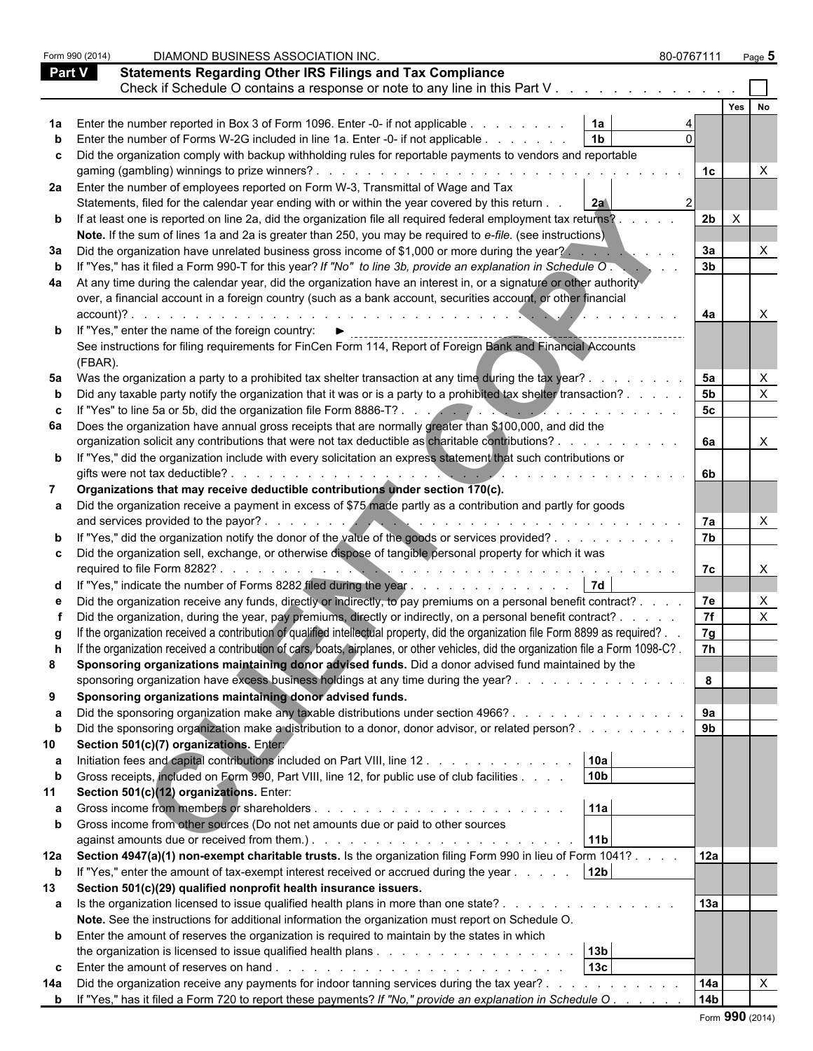|               | Form 990 (2014) | DIAMOND BUSINESS ASSOCIATION INC.                                                                                                                                                                                                      | 80-0767111      | Page $5$         |  |
|---------------|-----------------|----------------------------------------------------------------------------------------------------------------------------------------------------------------------------------------------------------------------------------------|-----------------|------------------|--|
| <b>Part V</b> |                 | <b>Statements Regarding Other IRS Filings and Tax Compliance</b>                                                                                                                                                                       |                 |                  |  |
|               |                 | Check if Schedule O contains a response or note to any line in this Part V. .                                                                                                                                                          |                 |                  |  |
|               |                 |                                                                                                                                                                                                                                        |                 | Yes<br><b>No</b> |  |
|               |                 |                                                                                                                                                                                                                                        |                 |                  |  |
|               |                 | 1a<br>Enter the number reported in Box 3 of Form 1096. Enter -0- if not applicable<br>1 <sub>b</sub>                                                                                                                                   |                 |                  |  |
|               |                 | Enter the number of Forms W-2G included in line 1a. Enter -0- if not applicable                                                                                                                                                        |                 |                  |  |
|               |                 | Did the organization comply with backup withholding rules for reportable payments to vendors and reportable                                                                                                                            |                 |                  |  |
|               |                 |                                                                                                                                                                                                                                        | 1с              |                  |  |
|               |                 | 2a Enter the number of employees reported on Form W-3, Transmittal of Wage and Tax                                                                                                                                                     |                 |                  |  |
|               |                 | Statements, filed for the calendar year ending with or within the year covered by this return.<br>2a                                                                                                                                   |                 |                  |  |
|               |                 | <b>b</b> If at least one is reported on line 2a, did the organization file all required federal employment tax returns?                                                                                                                | 2b<br>$\times$  |                  |  |
|               |                 | Note. If the sum of lines 1a and 2a is greater than 250, you may be required to e-file. (see instructions)                                                                                                                             |                 |                  |  |
| За            |                 | Did the organization have unrelated business gross income of \$1,000 or more during the year?                                                                                                                                          | 3a              |                  |  |
|               |                 | If "Yes," has it filed a Form 990-T for this year? If "No" to line 3b, provide an explanation in Schedule O.                                                                                                                           | 3 <sub>b</sub>  |                  |  |
| 4a            |                 | At any time during the calendar year, did the organization have an interest in, or a signature or other authority                                                                                                                      |                 |                  |  |
|               |                 | over, a financial account in a foreign country (such as a bank account, securities account, or other financial                                                                                                                         |                 |                  |  |
|               | account)?.      |                                                                                                                                                                                                                                        | 4a              |                  |  |
|               |                 | <b>b</b> If "Yes," enter the name of the foreign country:                                                                                                                                                                              |                 |                  |  |
|               |                 | See instructions for filing requirements for FinCen Form 114, Report of Foreign Bank and Financial Accounts                                                                                                                            |                 |                  |  |
|               | (FBAR).         |                                                                                                                                                                                                                                        |                 |                  |  |
|               |                 | 5a Was the organization a party to a prohibited tax shelter transaction at any time during the tax year?.                                                                                                                              | 5a              |                  |  |
|               |                 | Did any taxable party notify the organization that it was or is a party to a prohibited tax shelter transaction? .                                                                                                                     | 5 <sub>b</sub>  |                  |  |
|               |                 | If "Yes" to line 5a or 5b, did the organization file Form 8886-T?                                                                                                                                                                      | 5 <sub>c</sub>  |                  |  |
| 6а            |                 | Does the organization have annual gross receipts that are normally greater than \$100,000, and did the                                                                                                                                 |                 |                  |  |
|               |                 | organization solicit any contributions that were not tax deductible as charitable contributions?.                                                                                                                                      | 6а              | X                |  |
|               |                 | <b>b</b> If "Yes," did the organization include with every solicitation an express statement that such contributions or                                                                                                                |                 |                  |  |
|               |                 | gifts were not tax deductible?.                                                                                                                                                                                                        | 6b.             |                  |  |
|               |                 | Organizations that may receive deductible contributions under section 170(c).                                                                                                                                                          |                 |                  |  |
|               |                 | Did the organization receive a payment in excess of \$75 made partly as a contribution and partly for goods                                                                                                                            |                 |                  |  |
|               |                 | and services provided to the payor?.<br><u>Alexander and the second property of the second property</u>                                                                                                                                | 7a              |                  |  |
|               |                 | "Yes," did the organization notify the donor of the value of the goods or services provided?                                                                                                                                           | 7 <sub>b</sub>  |                  |  |
|               |                 | Did the organization sell, exchange, or otherwise dispose of tangible personal property for which it was                                                                                                                               |                 |                  |  |
|               |                 | required to file Form 8282?                                                                                                                                                                                                            | 7c              |                  |  |
|               |                 | <b>7d</b><br>"Yes," indicate the number of Forms 8282 filed during the year $\dots \dots \dots \dots \dots$                                                                                                                            |                 |                  |  |
|               |                 | Did the organization receive any funds, directly or indirectly, to pay premiums on a personal benefit contract?                                                                                                                        | 7e              |                  |  |
|               |                 | Did the organization, during the year, pay premiums, directly or indirectly, on a personal benefit contract? .                                                                                                                         | 7f              |                  |  |
|               |                 | If the organization received a contribution of qualified intellectual property, did the organization file Form 8899 as required?.                                                                                                      | 7g              |                  |  |
|               |                 | If the organization received a contribution of cars, boats, airplanes, or other vehicles, did the organization file a Form 1098-C?.                                                                                                    | 7h              |                  |  |
| 8             |                 | Sponsoring organizations maintaining donor advised funds. Did a donor advised fund maintained by the                                                                                                                                   |                 |                  |  |
|               |                 | sponsoring organization have excess business holdings at any time during the year?                                                                                                                                                     | 8               |                  |  |
| 9             |                 | Sponsoring organizations maintaining donor advised funds.                                                                                                                                                                              |                 |                  |  |
| а             |                 | Did the sponsoring organization make any taxable distributions under section 4966?                                                                                                                                                     | 9a              |                  |  |
| b             |                 | Did the sponsoring organization make a distribution to a donor, donor advisor, or related person?                                                                                                                                      | 9 <sub>b</sub>  |                  |  |
| 10            |                 | Section 501(c)(7) organizations. Entery                                                                                                                                                                                                |                 |                  |  |
| а             |                 | 10a<br>Initiation fees and capital contributions included on Part VIII, line 12                                                                                                                                                        |                 |                  |  |
|               |                 | 10 <sub>b</sub><br>Gross receipts, included on Form 990, Part VIII, line 12, for public use of club facilities                                                                                                                         |                 |                  |  |
|               |                 |                                                                                                                                                                                                                                        |                 |                  |  |
| 11            |                 | Section 501(c)(12) organizations. Enter:<br>11a                                                                                                                                                                                        |                 |                  |  |
| а             |                 |                                                                                                                                                                                                                                        |                 |                  |  |
|               |                 | Gross income from other sources (Do not net amounts due or paid to other sources                                                                                                                                                       |                 |                  |  |
|               |                 | against amounts due or received from them.). The state of the state of the state of the state of the state of the state of the state of the state of the state of the state of the state of the state of the state of the stat<br> 11b |                 |                  |  |
| 12a           |                 | Section 4947(a)(1) non-exempt charitable trusts. Is the organization filing Form 990 in lieu of Form 1041?                                                                                                                             | 12a             |                  |  |
| $\mathbf b$   |                 | 12 <sub>b</sub><br>If "Yes," enter the amount of tax-exempt interest received or accrued during the year                                                                                                                               |                 |                  |  |
| 13            |                 | Section 501(c)(29) qualified nonprofit health insurance issuers.                                                                                                                                                                       |                 |                  |  |
|               |                 | a Is the organization licensed to issue qualified health plans in more than one state?                                                                                                                                                 | 13a             |                  |  |
|               |                 | Note. See the instructions for additional information the organization must report on Schedule O.                                                                                                                                      |                 |                  |  |
|               |                 | <b>b</b> Enter the amount of reserves the organization is required to maintain by the states in which                                                                                                                                  |                 |                  |  |
|               |                 | 13b                                                                                                                                                                                                                                    |                 |                  |  |
| C             |                 | 13 <sub>c</sub>                                                                                                                                                                                                                        |                 |                  |  |
| 14a           |                 | Did the organization receive any payments for indoor tanning services during the tax year?                                                                                                                                             | 14a             |                  |  |
|               |                 | <b>b</b> If "Yes," has it filed a Form 720 to report these payments? If "No," provide an explanation in Schedule O.                                                                                                                    | 14 <sub>b</sub> |                  |  |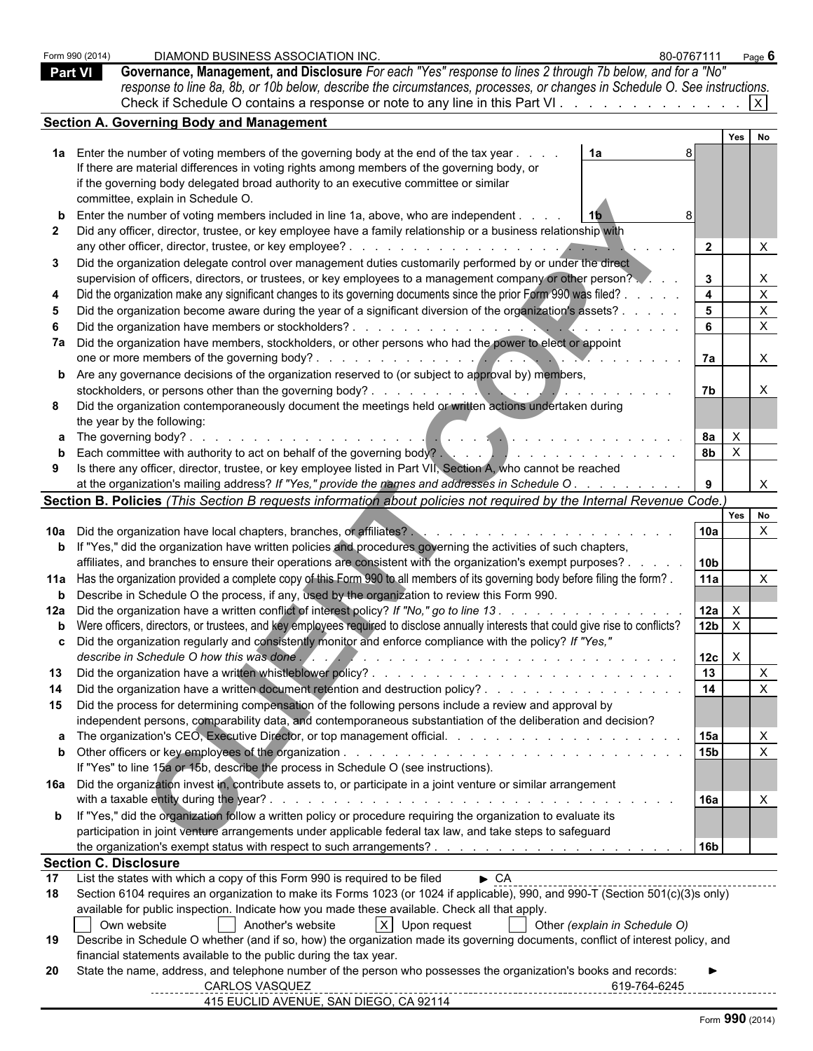|    | DIAMOND BUSINESS ASSOCIATION INC.<br>80-0767111<br>Form 990 (2014)<br>Governance, Management, and Disclosure For each "Yes" response to lines 2 through 7b below, and for a "No"<br><b>Part VI</b><br>response to line 8a, 8b, or 10b below, describe the circumstances, processes, or changes in Schedule O. See instructions.<br>Check if Schedule O contains a response or note to any line in this Part VI. |                        |              | Page $6$                     |  |
|----|-----------------------------------------------------------------------------------------------------------------------------------------------------------------------------------------------------------------------------------------------------------------------------------------------------------------------------------------------------------------------------------------------------------------|------------------------|--------------|------------------------------|--|
|    | <b>Section A. Governing Body and Management</b>                                                                                                                                                                                                                                                                                                                                                                 |                        |              |                              |  |
|    |                                                                                                                                                                                                                                                                                                                                                                                                                 |                        | Yes          |                              |  |
|    | 1a Enter the number of voting members of the governing body at the end of the tax year.<br>1a<br>If there are material differences in voting rights among members of the governing body, or<br>if the governing body delegated broad authority to an executive committee or similar                                                                                                                             |                        |              |                              |  |
|    | committee, explain in Schedule O.                                                                                                                                                                                                                                                                                                                                                                               |                        |              |                              |  |
|    | Enter the number of voting members included in line 1a, above, who are independent.<br>Did any officer, director, trustee, or key employee have a family relationship or a business relationship with                                                                                                                                                                                                           | $\overline{2}$         |              | X                            |  |
|    | Did the organization delegate control over management duties customarily performed by or under the direct<br>supervision of officers, directors, or trustees, or key employees to a management company or other person?                                                                                                                                                                                         | $\mathbf{3}$           |              | X                            |  |
|    | Did the organization make any significant changes to its governing documents since the prior Form 990 was filed?                                                                                                                                                                                                                                                                                                | $\overline{4}$         |              | $\pmb{\times}$               |  |
|    | Did the organization become aware during the year of a significant diversion of the organization's assets?                                                                                                                                                                                                                                                                                                      | 5                      |              | $\mathsf{X}$                 |  |
|    |                                                                                                                                                                                                                                                                                                                                                                                                                 | 6                      |              | $\mathsf{X}$                 |  |
|    | 7a Did the organization have members, stockholders, or other persons who had the power to elect or appoint                                                                                                                                                                                                                                                                                                      |                        |              |                              |  |
|    |                                                                                                                                                                                                                                                                                                                                                                                                                 | <b>7a</b>              |              | X                            |  |
|    | <b>b</b> Are any governance decisions of the organization reserved to (or subject to approval by) members,                                                                                                                                                                                                                                                                                                      | 7b                     |              | X                            |  |
|    | Did the organization contemporaneously document the meetings held or written actions undertaken during                                                                                                                                                                                                                                                                                                          |                        |              |                              |  |
|    | the year by the following:                                                                                                                                                                                                                                                                                                                                                                                      |                        |              |                              |  |
|    |                                                                                                                                                                                                                                                                                                                                                                                                                 | 8а                     | $\mathsf{X}$ |                              |  |
|    | Each committee with authority to act on behalf of the governing body?<br>and the set of the set of the set of the set of the set of the set of the set of the set of the set of the set of the set of the set of the set of the                                                                                                                                                                                 | 8 <sub>b</sub>         | $\mathsf{X}$ |                              |  |
|    | Is there any officer, director, trustee, or key employee listed in Part VII, Section A, who cannot be reached<br>at the organization's mailing address? If "Yes," provide the names and addresses in Schedule O.                                                                                                                                                                                                | 9                      |              |                              |  |
|    | Section B. Policies (This Section B requests information about policies not required by the Internal Revenue Code.)                                                                                                                                                                                                                                                                                             |                        |              |                              |  |
|    |                                                                                                                                                                                                                                                                                                                                                                                                                 |                        |              | Yes No                       |  |
|    |                                                                                                                                                                                                                                                                                                                                                                                                                 | 10a                    |              | $\times$                     |  |
|    | b If "Yes," did the organization have written policies and procedures governing the activities of such chapters,                                                                                                                                                                                                                                                                                                |                        |              |                              |  |
|    | affiliates, and branches to ensure their operations are consistent with the organization's exempt purposes? .                                                                                                                                                                                                                                                                                                   | 10 <sub>b</sub><br>11a |              |                              |  |
|    | 11a Has the organization provided a complete copy of this Form 990 to all members of its governing body before filing the form?.<br><b>b</b> Describe in Schedule O the process, if any, used by the organization to review this Form 990.                                                                                                                                                                      |                        |              | $\times$                     |  |
|    | 12a Did the organization have a written conflict of interest policy? If "No," go to line 13.                                                                                                                                                                                                                                                                                                                    | 12a                    | $\mathsf{X}$ |                              |  |
|    | b Were officers, directors, or trustees, and key employees required to disclose annually interests that could give rise to conflicts?                                                                                                                                                                                                                                                                           | 12 <sub>b</sub>        | $\mathsf{X}$ |                              |  |
|    | c Did the organization regularly and consistently monitor and enforce compliance with the policy? If "Yes,"                                                                                                                                                                                                                                                                                                     |                        |              |                              |  |
|    | describe in Schedule O how this was done.                                                                                                                                                                                                                                                                                                                                                                       | 12c                    | $\mathsf{X}$ |                              |  |
| 13 |                                                                                                                                                                                                                                                                                                                                                                                                                 | 13                     |              | $\mathsf{X}$<br>$\mathsf{x}$ |  |
|    | Did the organization have a written document retention and destruction policy?<br>15 Did the process for determining compensation of the following persons include a review and approval by                                                                                                                                                                                                                     | 14                     |              |                              |  |
|    | independent persons, comparability data, and contemporaneous substantiation of the deliberation and decision?                                                                                                                                                                                                                                                                                                   |                        |              |                              |  |
|    |                                                                                                                                                                                                                                                                                                                                                                                                                 |                        |              | $\times$                     |  |
|    |                                                                                                                                                                                                                                                                                                                                                                                                                 | 15b                    |              | $\mathsf{X}$                 |  |
|    | If "Yes" to line 15a or 15b, describe the process in Schedule O (see instructions).                                                                                                                                                                                                                                                                                                                             |                        |              |                              |  |
|    | 16a Did the organization invest in, contribute assets to, or participate in a joint venture or similar arrangement                                                                                                                                                                                                                                                                                              |                        |              |                              |  |
|    | with a taxable entity during the year?.<br>and the contract of the contract of the contract of the contract of the contract of the contract of the contract of the contract of the contract of the contract of the contract of the contract of the contract of the contra<br><b>b</b> If "Yes," did the organization follow a written policy or procedure requiring the organization to evaluate its            | <b>16a</b>             |              | X                            |  |
|    | participation in joint venture arrangements under applicable federal tax law, and take steps to safeguard                                                                                                                                                                                                                                                                                                       |                        |              |                              |  |
|    | <b>Section C. Disclosure</b>                                                                                                                                                                                                                                                                                                                                                                                    | l 16b                  |              |                              |  |
| 17 | List the states with which a copy of this Form 990 is required to be filed<br>$\triangleright$ CA                                                                                                                                                                                                                                                                                                               |                        |              |                              |  |
| 18 | Section 6104 requires an organization to make its Forms 1023 (or 1024 if applicable), 990, and 990-T (Section 501(c)(3)s only)                                                                                                                                                                                                                                                                                  |                        |              |                              |  |
|    | available for public inspection. Indicate how you made these available. Check all that apply.                                                                                                                                                                                                                                                                                                                   |                        |              |                              |  |
|    | Another's website<br>X Upon request<br>Own website<br>Other (explain in Schedule O)                                                                                                                                                                                                                                                                                                                             |                        |              |                              |  |
| 19 | Describe in Schedule O whether (and if so, how) the organization made its governing documents, conflict of interest policy, and<br>financial statements available to the public during the tax year.                                                                                                                                                                                                            |                        |              |                              |  |
| 20 | State the name, address, and telephone number of the person who possesses the organization's books and records:<br><b>CARLOS VASQUEZ</b><br>619-764-6245                                                                                                                                                                                                                                                        |                        |              |                              |  |
|    | 415 EUCLID AVENUE, SAN DIEGO, CA 92114                                                                                                                                                                                                                                                                                                                                                                          |                        |              |                              |  |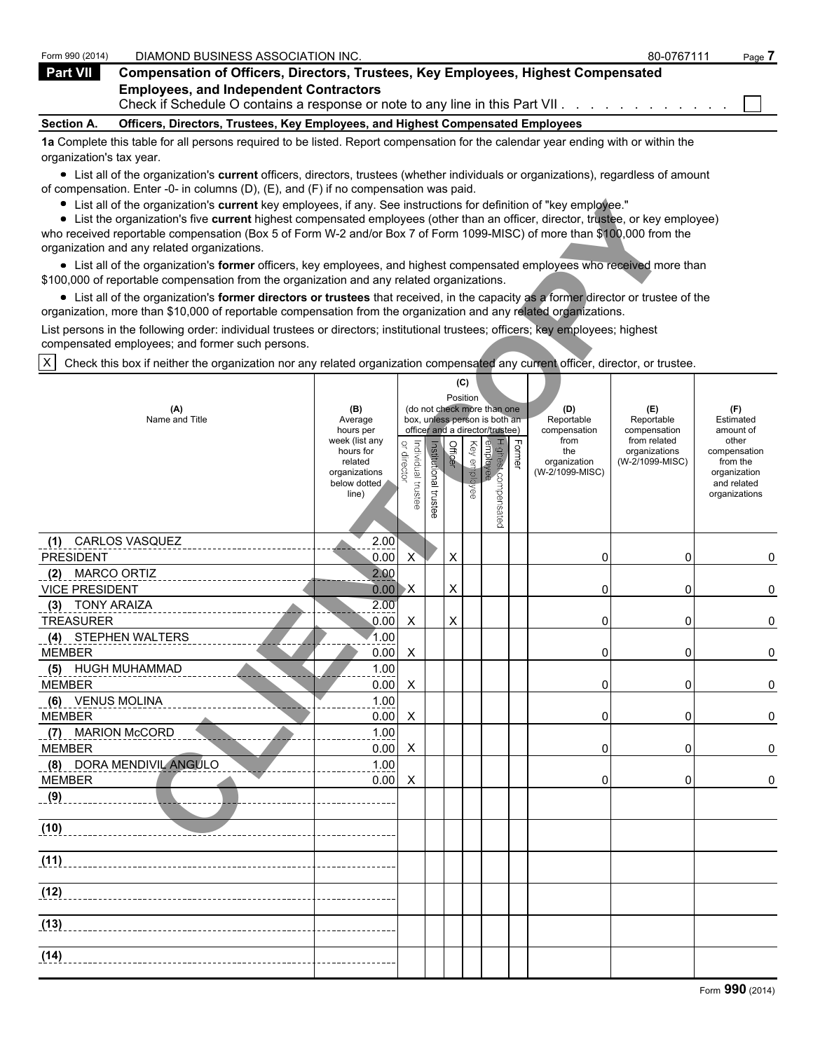| Form 990 (2014)                                                                                                                   | DIAMOND BUSINESS ASSOCIATION INC.                                                                                              | 80-0767111 | Page. |  |  |  |
|-----------------------------------------------------------------------------------------------------------------------------------|--------------------------------------------------------------------------------------------------------------------------------|------------|-------|--|--|--|
| <b>Part VII</b>                                                                                                                   | <b>Compensation of Officers, Directors, Trustees, Key Employees, Highest Compensated</b>                                       |            |       |  |  |  |
|                                                                                                                                   | <b>Employees, and Independent Contractors</b><br>Check if Schedule O contains a response or note to any line in this Part VII. |            |       |  |  |  |
| <b>Section A.</b>                                                                                                                 | Officers, Directors, Trustees, Key Employees, and Highest Compensated Employees                                                |            |       |  |  |  |
| de Osmalate this tehle fer ell nemere remuined te ha listed. Deneut componentian fer the celendary user coding with an within the |                                                                                                                                |            |       |  |  |  |

**1a** Complete this table for all persons required to be listed. Report compensation for the calendar year ending with or within the organization's tax year.

List all of the organization's **current** officers, directors, trustees (whether individuals or organizations), regardless of amount of compensation. Enter -0- in columns (D), (E), and (F) if no compensation was paid.

| List all of the organization's current key employees, if any. See instructions for definition of "key employee."<br>List the organization's five current highest compensated employees (other than an officer, director, trustee, or key employee)<br>who received reportable compensation (Box 5 of Form W-2 and/or Box 7 of Form 1099-MISC) of more than \$100,000 from the<br>organization and any related organizations. |                                                                |                                   |                          |          |              |                                                                                                 |        |                                           |                                                   |                                                                          |
|------------------------------------------------------------------------------------------------------------------------------------------------------------------------------------------------------------------------------------------------------------------------------------------------------------------------------------------------------------------------------------------------------------------------------|----------------------------------------------------------------|-----------------------------------|--------------------------|----------|--------------|-------------------------------------------------------------------------------------------------|--------|-------------------------------------------|---------------------------------------------------|--------------------------------------------------------------------------|
| • List all of the organization's former officers, key employees, and highest compensated employees who received more than<br>\$100,000 of reportable compensation from the organization and any related organizations.                                                                                                                                                                                                       |                                                                |                                   |                          |          |              |                                                                                                 |        |                                           |                                                   |                                                                          |
| • List all of the organization's former directors or trustees that received, in the capacity as a former director or trustee of the<br>organization, more than \$10,000 of reportable compensation from the organization and any related organizations.                                                                                                                                                                      |                                                                |                                   |                          |          |              |                                                                                                 |        |                                           |                                                   |                                                                          |
| List persons in the following order: individual trustees or directors; institutional trustees; officers; key employees; highest<br>compensated employees; and former such persons.                                                                                                                                                                                                                                           |                                                                |                                   |                          |          |              |                                                                                                 |        |                                           |                                                   |                                                                          |
| $\times$<br>Check this box if neither the organization nor any related organization compensated any current officer, director, or trustee.                                                                                                                                                                                                                                                                                   |                                                                |                                   |                          |          |              |                                                                                                 |        |                                           |                                                   |                                                                          |
| (A)<br>Name and Title                                                                                                                                                                                                                                                                                                                                                                                                        | (B)<br>Average<br>hours per<br>week (list any                  |                                   |                          | Position | (C)          | (do not check more than one<br>box, unless person is both an<br>officer and a director/trustee) |        | (D)<br>Reportable<br>compensation<br>from | (E)<br>Reportable<br>compensation<br>from related | (F)<br>Estimated<br>amount of<br>other                                   |
|                                                                                                                                                                                                                                                                                                                                                                                                                              | hours for<br>related<br>organizations<br>below dotted<br>line) | or director<br>Individual trustee | Institutional<br>trustee | Officer  | Key employee | Highest compensated<br>employee                                                                 | Former | the<br>organization<br>(W-2/1099-MISC)    | organizations<br>(W-2/1099-MISC)                  | compensation<br>from the<br>organization<br>and related<br>organizations |
| (1) CARLOS VASQUEZ<br><b>PRESIDENT</b>                                                                                                                                                                                                                                                                                                                                                                                       | 2.00<br>0.00                                                   | X                                 |                          | X        |              |                                                                                                 |        | 0                                         | 0                                                 | 0                                                                        |
| <b>MARCO ORTIZ</b><br>(2)<br><b>VICE PRESIDENT</b>                                                                                                                                                                                                                                                                                                                                                                           | 2.00<br>0.00                                                   | $\mathsf{X}$                      |                          | Χ        |              |                                                                                                 |        | 0                                         | 0                                                 | 0                                                                        |
| (3) TONY ARAIZA<br><b>TREASURER</b>                                                                                                                                                                                                                                                                                                                                                                                          | 2.00<br>0.00                                                   | X                                 |                          | X        |              |                                                                                                 |        | 0                                         | 0                                                 | 0                                                                        |
| (4) STEPHEN WALTERS<br><b>MEMBER</b>                                                                                                                                                                                                                                                                                                                                                                                         | 1.00<br>0.00                                                   | X                                 |                          |          |              |                                                                                                 |        | 0                                         | 0                                                 | 0                                                                        |
| (5) HUGH MUHAMMAD<br><b>MEMBER</b>                                                                                                                                                                                                                                                                                                                                                                                           | 1.00<br>0.00                                                   | X                                 |                          |          |              |                                                                                                 |        | 0                                         | 0                                                 | 0                                                                        |
| (6) VENUS MOLINA<br><b>MEMBER</b>                                                                                                                                                                                                                                                                                                                                                                                            | 1.00<br>0.00                                                   | X                                 |                          |          |              |                                                                                                 |        | 0                                         | 0                                                 | 0                                                                        |
| (7) MARION McCORD<br><b>MEMBER</b>                                                                                                                                                                                                                                                                                                                                                                                           | 1.00<br>0.00                                                   | X                                 |                          |          |              |                                                                                                 |        | 0                                         | 0                                                 | 0                                                                        |
| (8) DORA MENDIVIL ANGULO<br><b>MEMBER</b>                                                                                                                                                                                                                                                                                                                                                                                    | 1.00<br>0.00                                                   | X                                 |                          |          |              |                                                                                                 |        | 0                                         | 0                                                 | 0                                                                        |
| (9)                                                                                                                                                                                                                                                                                                                                                                                                                          |                                                                |                                   |                          |          |              |                                                                                                 |        |                                           |                                                   |                                                                          |
| (10)                                                                                                                                                                                                                                                                                                                                                                                                                         |                                                                |                                   |                          |          |              |                                                                                                 |        |                                           |                                                   |                                                                          |
| (11)                                                                                                                                                                                                                                                                                                                                                                                                                         |                                                                |                                   |                          |          |              |                                                                                                 |        |                                           |                                                   |                                                                          |
| (12)                                                                                                                                                                                                                                                                                                                                                                                                                         |                                                                |                                   |                          |          |              |                                                                                                 |        |                                           |                                                   |                                                                          |
| (13)                                                                                                                                                                                                                                                                                                                                                                                                                         |                                                                |                                   |                          |          |              |                                                                                                 |        |                                           |                                                   |                                                                          |
| (14)                                                                                                                                                                                                                                                                                                                                                                                                                         |                                                                |                                   |                          |          |              |                                                                                                 |        |                                           |                                                   |                                                                          |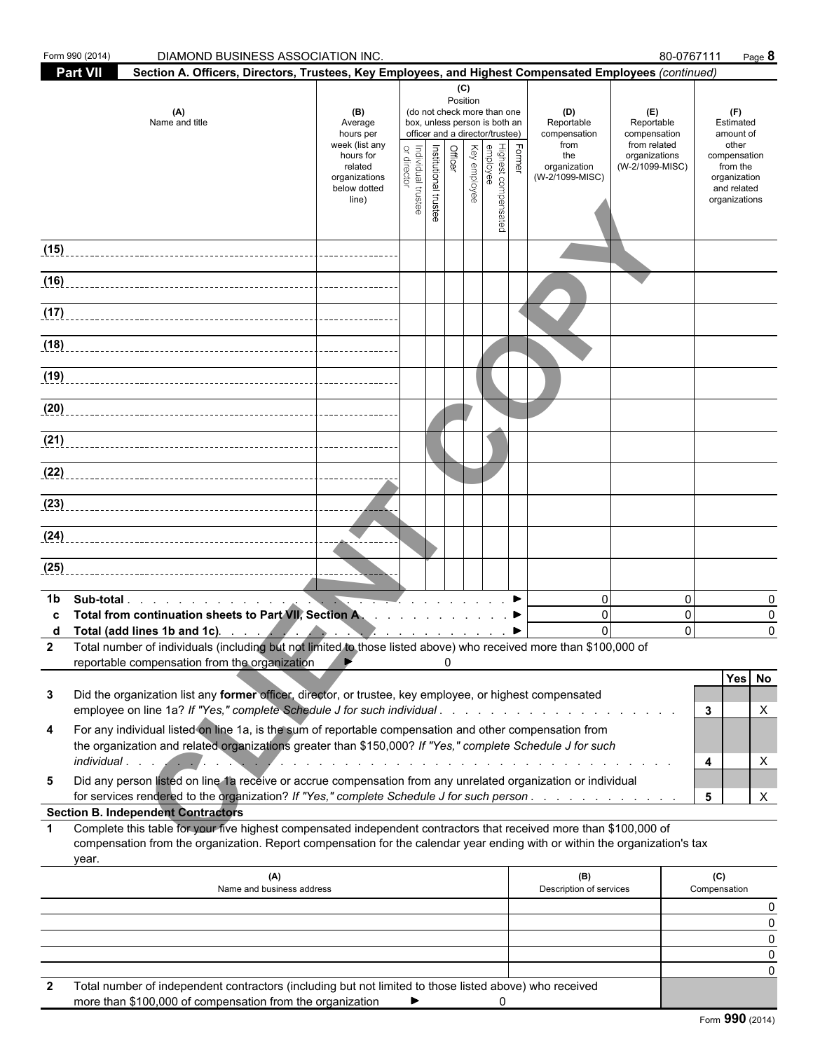|              | Form 990 (2014)<br>DIAMOND BUSINESS ASSOCIATION INC.                                                                                                                                                                                                                                                                                             |                                                                                                                 |                                    |                       |                |                 |                                                                                                                                                              |        |                                                                                     | 80-0767111                                                                            | Page 8                                                                                                             |
|--------------|--------------------------------------------------------------------------------------------------------------------------------------------------------------------------------------------------------------------------------------------------------------------------------------------------------------------------------------------------|-----------------------------------------------------------------------------------------------------------------|------------------------------------|-----------------------|----------------|-----------------|--------------------------------------------------------------------------------------------------------------------------------------------------------------|--------|-------------------------------------------------------------------------------------|---------------------------------------------------------------------------------------|--------------------------------------------------------------------------------------------------------------------|
|              | <b>Part VII</b><br>Section A. Officers, Directors, Trustees, Key Employees, and Highest Compensated Employees (continued)                                                                                                                                                                                                                        |                                                                                                                 |                                    |                       |                |                 |                                                                                                                                                              |        |                                                                                     |                                                                                       |                                                                                                                    |
|              | (A)<br>Name and title                                                                                                                                                                                                                                                                                                                            | (B)<br>Average<br>hours per<br>week (list any<br>hours for<br>related<br>organizations<br>below dotted<br>line) | or director<br>Individual trustee  | Institutional trustee | <b>Officer</b> | (C)<br>Position | (do not check more than one<br>box, unless person is both an<br>officer and a director/trustee)<br>Highest comper<br>employee<br>Key employee<br>compensated | Former | (D)<br>Reportable<br>compensation<br>from<br>the<br>organization<br>(W-2/1099-MISC) | (E)<br>Reportable<br>compensation<br>from related<br>organizations<br>(W-2/1099-MISC) | (F)<br>Estimated<br>amount of<br>other<br>compensation<br>from the<br>organization<br>and related<br>organizations |
| (15)         |                                                                                                                                                                                                                                                                                                                                                  |                                                                                                                 |                                    |                       |                |                 |                                                                                                                                                              |        |                                                                                     |                                                                                       |                                                                                                                    |
|              |                                                                                                                                                                                                                                                                                                                                                  |                                                                                                                 |                                    |                       |                |                 |                                                                                                                                                              |        |                                                                                     |                                                                                       |                                                                                                                    |
| (16)         |                                                                                                                                                                                                                                                                                                                                                  |                                                                                                                 |                                    |                       |                |                 |                                                                                                                                                              |        |                                                                                     |                                                                                       |                                                                                                                    |
|              |                                                                                                                                                                                                                                                                                                                                                  |                                                                                                                 |                                    |                       |                |                 |                                                                                                                                                              |        |                                                                                     |                                                                                       |                                                                                                                    |
|              | (18)                                                                                                                                                                                                                                                                                                                                             |                                                                                                                 |                                    |                       |                |                 |                                                                                                                                                              |        |                                                                                     |                                                                                       |                                                                                                                    |
| (19)         |                                                                                                                                                                                                                                                                                                                                                  |                                                                                                                 |                                    |                       |                |                 |                                                                                                                                                              |        |                                                                                     |                                                                                       |                                                                                                                    |
| (20)         |                                                                                                                                                                                                                                                                                                                                                  |                                                                                                                 |                                    |                       |                |                 |                                                                                                                                                              |        |                                                                                     |                                                                                       |                                                                                                                    |
| (21)         |                                                                                                                                                                                                                                                                                                                                                  |                                                                                                                 |                                    |                       |                |                 |                                                                                                                                                              |        |                                                                                     |                                                                                       |                                                                                                                    |
| (22)         |                                                                                                                                                                                                                                                                                                                                                  |                                                                                                                 |                                    |                       |                |                 |                                                                                                                                                              |        |                                                                                     |                                                                                       |                                                                                                                    |
|              |                                                                                                                                                                                                                                                                                                                                                  |                                                                                                                 |                                    |                       |                |                 |                                                                                                                                                              |        |                                                                                     |                                                                                       |                                                                                                                    |
|              | <u>(24)</u> ___________________________________                                                                                                                                                                                                                                                                                                  |                                                                                                                 |                                    |                       |                |                 |                                                                                                                                                              |        |                                                                                     |                                                                                       |                                                                                                                    |
| (25)         |                                                                                                                                                                                                                                                                                                                                                  |                                                                                                                 |                                    |                       |                |                 |                                                                                                                                                              |        |                                                                                     |                                                                                       |                                                                                                                    |
| 1b           | Total from continuation sheets to Part VII, Section A. ▶<br>Total (add lines 1b and 1c). $\qquad \qquad$ $\qquad \qquad$ $\qquad \qquad$ $\qquad \qquad$ $\qquad \qquad$<br>2 Total number of individuals (including but not limited to those listed above) who received more than \$100,000 of<br>reportable compensation from the organization |                                                                                                                 | $\mathbb{Z}$ $\blacktriangleright$ |                       | 0              |                 |                                                                                                                                                              |        | $\mathbf{0}$<br>$\mathbf{0}$<br>$\Omega$                                            | $\mathbf 0$<br>$\mathbf 0$<br>$\Omega$                                                | 0<br>0<br>$\Omega$                                                                                                 |
| 3            | Did the organization list any former officer, director, or trustee, key employee, or highest compensated<br>employee on line 1a? If "Yes," complete Schedule J for such individual                                                                                                                                                               |                                                                                                                 |                                    |                       |                |                 |                                                                                                                                                              |        |                                                                                     |                                                                                       | Yes No<br>3<br>X                                                                                                   |
| 4            | For any individual listed on line 1a, is the sum of reportable compensation and other compensation from<br>the organization and related organizations greater than \$150,000? If "Yes," complete Schedule J for such                                                                                                                             |                                                                                                                 |                                    |                       |                |                 |                                                                                                                                                              |        |                                                                                     |                                                                                       | 4<br>X                                                                                                             |
| 5            | Did any person listed on line 1a receive or accrue compensation from any unrelated organization or individual<br>for services rendered to the organization? If "Yes," complete Schedule J for such person.                                                                                                                                       |                                                                                                                 |                                    |                       |                |                 |                                                                                                                                                              |        |                                                                                     |                                                                                       | X<br>5                                                                                                             |
| $\mathbf 1$  | <b>Section B. Independent Contractors</b><br>Complete this table for your five highest compensated independent contractors that received more than \$100,000 of<br>compensation from the organization. Report compensation for the calendar year ending with or within the organization's tax<br>year.                                           |                                                                                                                 |                                    |                       |                |                 |                                                                                                                                                              |        |                                                                                     |                                                                                       |                                                                                                                    |
|              | (A)<br>Name and business address                                                                                                                                                                                                                                                                                                                 |                                                                                                                 |                                    |                       |                |                 |                                                                                                                                                              |        | (B)<br>Description of services                                                      |                                                                                       | (C)<br>Compensation                                                                                                |
|              |                                                                                                                                                                                                                                                                                                                                                  |                                                                                                                 |                                    |                       |                |                 |                                                                                                                                                              |        |                                                                                     |                                                                                       | 0                                                                                                                  |
|              |                                                                                                                                                                                                                                                                                                                                                  |                                                                                                                 |                                    |                       |                |                 |                                                                                                                                                              |        |                                                                                     |                                                                                       | 0<br>0                                                                                                             |
|              |                                                                                                                                                                                                                                                                                                                                                  |                                                                                                                 |                                    |                       |                |                 |                                                                                                                                                              |        |                                                                                     |                                                                                       | 0<br>0                                                                                                             |
| $\mathbf{2}$ | Total number of independent contractors (including but not limited to those listed above) who received                                                                                                                                                                                                                                           |                                                                                                                 |                                    |                       |                |                 |                                                                                                                                                              |        |                                                                                     |                                                                                       |                                                                                                                    |

| more than \$100,000 of compensation from the organization |  |  |  |
|-----------------------------------------------------------|--|--|--|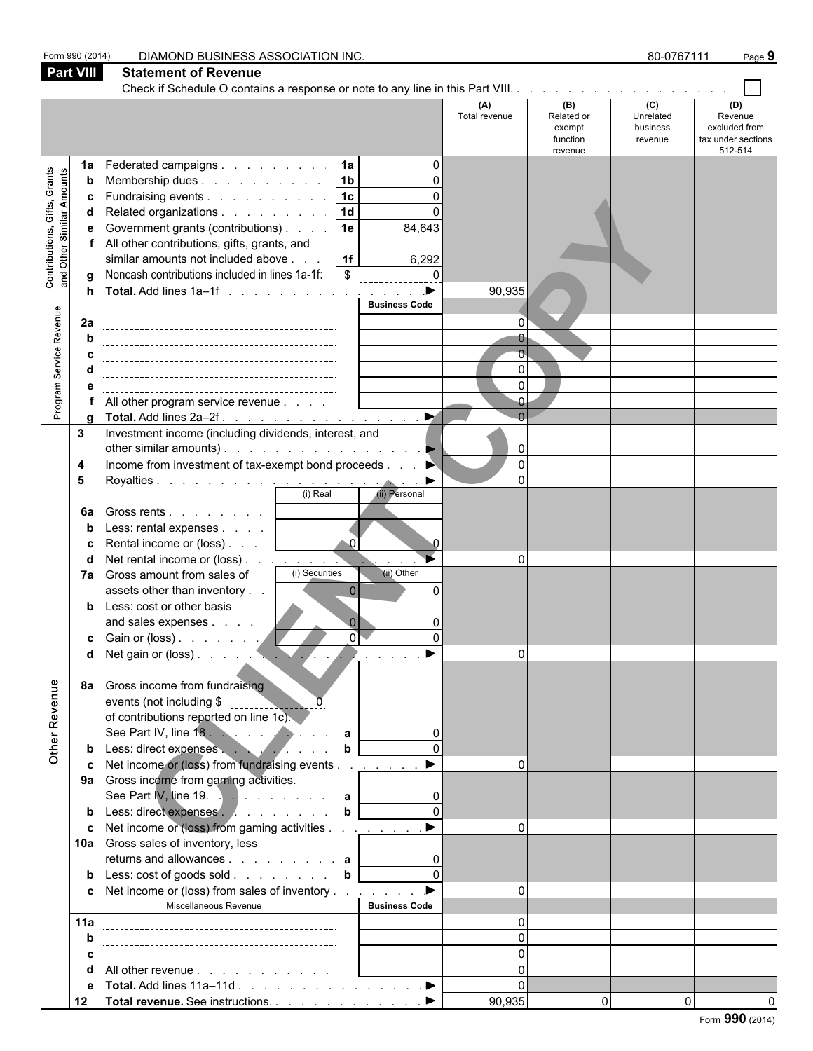| <b>Part VIII</b><br><b>Statement of Revenue</b><br>(C)<br>(B)<br>(D)<br>(A)<br>Unrelated<br>Revenue<br>Total revenue<br>Related or<br>excluded from<br>business<br>exempt<br>tax under sections<br>function<br>revenue<br>512-514<br>revenue<br> 1a <br>Federated campaigns<br>$\Omega$<br>1a<br>Contributions, Gifts, Grants<br>and Other Similar Amounts<br>1 <sub>b</sub><br>Membership dues<br>b<br> 1c <br>Fundraising events<br>c<br>1d<br>Related organizations<br>1e<br>Government grants (contributions)<br>84,643<br>е<br>All other contributions, gifts, grants, and<br>similar amounts not included above<br>1f<br>6,292<br>Noncash contributions included in lines 1a-1f:<br>\$<br>$\Omega$<br>$\blacktriangleright$<br>Total. Add lines 1a-1f<br>90,935<br><b>Business Code</b><br>Program Service Revenue<br>2a<br>0<br>$\Omega$<br>$\Omega$<br>All other program service revenue<br>$\blacktriangleright$<br>Total. Add lines 2a-2f.<br>Investment income (including dividends, interest, and<br>3<br>other similar amounts).<br>$\mathbf{0}$<br>$\overline{0}$<br>Income from investment of tax-exempt bond proceeds<br>4<br>$\Omega$<br>5<br>(i) Real<br>(ii) Personal<br>Gross rents<br>6а<br>Less: rental expenses<br>$\bullet$ 0<br>Rental income or (loss)<br>c<br>Net rental income or (loss)<br>0<br>(i) Securities<br>(ii) Other<br>Gross amount from sales of<br>7a<br>$\Omega$<br>assets other than inventory<br>Less: cost or other basis<br>and sales expenses<br>ΩÌ<br>c Gain or (loss).<br>Net gain or (loss).<br>$\blacktriangleright$<br>Other Revenue<br>Gross income from fundraising<br>8а<br>events (not including \$<br>of contributions reported on line 1c).<br>See Part IV, line 18.<br>Less: direct expenses<br>b<br>Net income or (loss) from fundraising events<br>9a Gross income from gaming activities.<br>See Part IV, line 19. $\therefore$ a<br>Less: direct expenses<br>$\mathbf b$<br>Net income or (loss) from gaming activities<br>$\Omega$<br>10a Gross sales of inventory, less<br>returns and allowances $\mathbf{a}$<br>c Net income or (loss) from sales of inventory<br>$\Omega$<br>Miscellaneous Revenue<br><b>Business Code</b><br>11a<br>0<br>$\Omega$<br>$\Omega$<br>$\Omega$<br>All other revenue<br>Total. Add lines 11a-11d ▶<br>$\Omega$<br>$\overline{0}$ | Form 990 (2014) |    | DIAMOND BUSINESS ASSOCIATION INC.  |        |          | 80-0767111 | Page 9 |
|--------------------------------------------------------------------------------------------------------------------------------------------------------------------------------------------------------------------------------------------------------------------------------------------------------------------------------------------------------------------------------------------------------------------------------------------------------------------------------------------------------------------------------------------------------------------------------------------------------------------------------------------------------------------------------------------------------------------------------------------------------------------------------------------------------------------------------------------------------------------------------------------------------------------------------------------------------------------------------------------------------------------------------------------------------------------------------------------------------------------------------------------------------------------------------------------------------------------------------------------------------------------------------------------------------------------------------------------------------------------------------------------------------------------------------------------------------------------------------------------------------------------------------------------------------------------------------------------------------------------------------------------------------------------------------------------------------------------------------------------------------------------------------------------------------------------------------------------------------------------------------------------------------------------------------------------------------------------------------------------------------------------------------------------------------------------------------------------------------------------------------------------------------------------------------------------------------------------------------------------------------------------------------------------------------------------------------|-----------------|----|------------------------------------|--------|----------|------------|--------|
|                                                                                                                                                                                                                                                                                                                                                                                                                                                                                                                                                                                                                                                                                                                                                                                                                                                                                                                                                                                                                                                                                                                                                                                                                                                                                                                                                                                                                                                                                                                                                                                                                                                                                                                                                                                                                                                                                                                                                                                                                                                                                                                                                                                                                                                                                                                                |                 |    |                                    |        |          |            |        |
|                                                                                                                                                                                                                                                                                                                                                                                                                                                                                                                                                                                                                                                                                                                                                                                                                                                                                                                                                                                                                                                                                                                                                                                                                                                                                                                                                                                                                                                                                                                                                                                                                                                                                                                                                                                                                                                                                                                                                                                                                                                                                                                                                                                                                                                                                                                                |                 |    |                                    |        |          |            |        |
|                                                                                                                                                                                                                                                                                                                                                                                                                                                                                                                                                                                                                                                                                                                                                                                                                                                                                                                                                                                                                                                                                                                                                                                                                                                                                                                                                                                                                                                                                                                                                                                                                                                                                                                                                                                                                                                                                                                                                                                                                                                                                                                                                                                                                                                                                                                                |                 |    |                                    |        |          |            |        |
|                                                                                                                                                                                                                                                                                                                                                                                                                                                                                                                                                                                                                                                                                                                                                                                                                                                                                                                                                                                                                                                                                                                                                                                                                                                                                                                                                                                                                                                                                                                                                                                                                                                                                                                                                                                                                                                                                                                                                                                                                                                                                                                                                                                                                                                                                                                                |                 |    |                                    |        |          |            |        |
|                                                                                                                                                                                                                                                                                                                                                                                                                                                                                                                                                                                                                                                                                                                                                                                                                                                                                                                                                                                                                                                                                                                                                                                                                                                                                                                                                                                                                                                                                                                                                                                                                                                                                                                                                                                                                                                                                                                                                                                                                                                                                                                                                                                                                                                                                                                                |                 |    |                                    |        |          |            |        |
|                                                                                                                                                                                                                                                                                                                                                                                                                                                                                                                                                                                                                                                                                                                                                                                                                                                                                                                                                                                                                                                                                                                                                                                                                                                                                                                                                                                                                                                                                                                                                                                                                                                                                                                                                                                                                                                                                                                                                                                                                                                                                                                                                                                                                                                                                                                                |                 |    |                                    |        |          |            |        |
| Form 990 (2014)                                                                                                                                                                                                                                                                                                                                                                                                                                                                                                                                                                                                                                                                                                                                                                                                                                                                                                                                                                                                                                                                                                                                                                                                                                                                                                                                                                                                                                                                                                                                                                                                                                                                                                                                                                                                                                                                                                                                                                                                                                                                                                                                                                                                                                                                                                                |                 | 12 | Total revenue. See instructions. ▶ | 90,935 | $\Omega$ |            |        |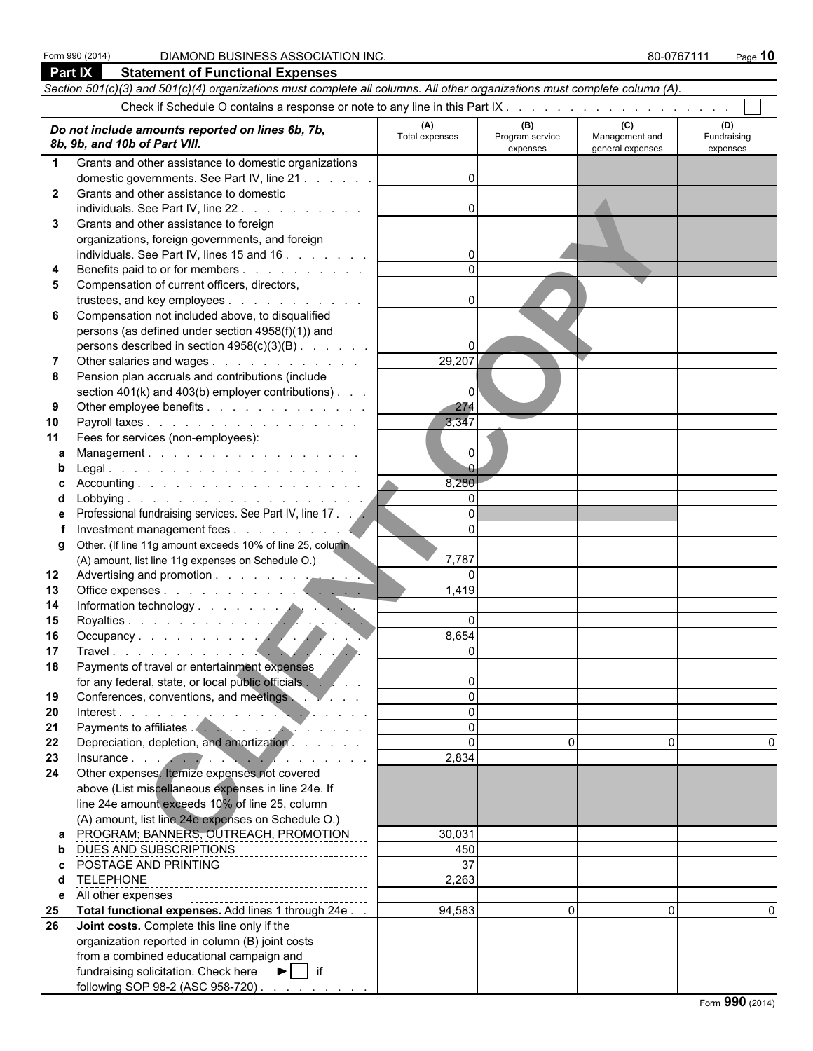### Form 990 (2014) DIAMOND BUSINESS ASSOCIATION INC. **80-0767111** Page 10

|              | Part IX<br><b>Statement of Functional Expenses</b>                                                                                                                                                                                                                             |                       |                                    |                                           |                                |  |  |  |  |
|--------------|--------------------------------------------------------------------------------------------------------------------------------------------------------------------------------------------------------------------------------------------------------------------------------|-----------------------|------------------------------------|-------------------------------------------|--------------------------------|--|--|--|--|
|              | Section 501(c)(3) and 501(c)(4) organizations must complete all columns. All other organizations must complete column (A).                                                                                                                                                     |                       |                                    |                                           |                                |  |  |  |  |
|              |                                                                                                                                                                                                                                                                                |                       |                                    |                                           |                                |  |  |  |  |
|              | Do not include amounts reported on lines 6b, 7b,<br>8b, 9b, and 10b of Part VIII.                                                                                                                                                                                              | (A)<br>Total expenses | (B)<br>Program service<br>expenses | (C)<br>Management and<br>general expenses | (D)<br>Fundraising<br>expenses |  |  |  |  |
| $\mathbf 1$  | Grants and other assistance to domestic organizations                                                                                                                                                                                                                          |                       |                                    |                                           |                                |  |  |  |  |
|              | domestic governments. See Part IV, line 21                                                                                                                                                                                                                                     | $\Omega$              |                                    |                                           |                                |  |  |  |  |
| $\mathbf{2}$ | Grants and other assistance to domestic                                                                                                                                                                                                                                        |                       |                                    |                                           |                                |  |  |  |  |
|              | individuals. See Part IV, line 22                                                                                                                                                                                                                                              | $\Omega$              |                                    |                                           |                                |  |  |  |  |
| 3            | Grants and other assistance to foreign                                                                                                                                                                                                                                         |                       |                                    |                                           |                                |  |  |  |  |
|              | organizations, foreign governments, and foreign                                                                                                                                                                                                                                |                       |                                    |                                           |                                |  |  |  |  |
|              | individuals. See Part IV, lines 15 and 16                                                                                                                                                                                                                                      | 0                     |                                    |                                           |                                |  |  |  |  |
|              | Benefits paid to or for members                                                                                                                                                                                                                                                |                       |                                    |                                           |                                |  |  |  |  |
| 5            | Compensation of current officers, directors,                                                                                                                                                                                                                                   |                       |                                    |                                           |                                |  |  |  |  |
|              | trustees, and key employees                                                                                                                                                                                                                                                    | $\Omega$              |                                    |                                           |                                |  |  |  |  |
| 6            | Compensation not included above, to disqualified                                                                                                                                                                                                                               |                       |                                    |                                           |                                |  |  |  |  |
|              | persons (as defined under section 4958(f)(1)) and                                                                                                                                                                                                                              |                       |                                    |                                           |                                |  |  |  |  |
|              | persons described in section 4958(c)(3)(B)                                                                                                                                                                                                                                     | 0                     |                                    |                                           |                                |  |  |  |  |
|              | Other salaries and wages                                                                                                                                                                                                                                                       | 29,207                |                                    |                                           |                                |  |  |  |  |
| 8            | Pension plan accruals and contributions (include                                                                                                                                                                                                                               | $\Omega$              |                                    |                                           |                                |  |  |  |  |
| 9            | section 401(k) and 403(b) employer contributions)<br>Other employee benefits                                                                                                                                                                                                   | 274                   |                                    |                                           |                                |  |  |  |  |
| 10           | Payroll taxes                                                                                                                                                                                                                                                                  | 3,347                 |                                    |                                           |                                |  |  |  |  |
| 11           | Fees for services (non-employees):                                                                                                                                                                                                                                             |                       |                                    |                                           |                                |  |  |  |  |
| a            | Management.                                                                                                                                                                                                                                                                    | 0                     |                                    |                                           |                                |  |  |  |  |
|              |                                                                                                                                                                                                                                                                                | $\overline{0}$        |                                    |                                           |                                |  |  |  |  |
|              |                                                                                                                                                                                                                                                                                | 8,280                 |                                    |                                           |                                |  |  |  |  |
| d            |                                                                                                                                                                                                                                                                                | $\Omega$              |                                    |                                           |                                |  |  |  |  |
| е            | Professional fundraising services. See Part IV, line 17.                                                                                                                                                                                                                       | $\Omega$              |                                    |                                           |                                |  |  |  |  |
|              |                                                                                                                                                                                                                                                                                | $\Omega$              |                                    |                                           |                                |  |  |  |  |
| g            | Other. (If line 11g amount exceeds 10% of line 25, column                                                                                                                                                                                                                      |                       |                                    |                                           |                                |  |  |  |  |
|              | (A) amount, list line 11g expenses on Schedule O.)                                                                                                                                                                                                                             | 7,787                 |                                    |                                           |                                |  |  |  |  |
| 12           |                                                                                                                                                                                                                                                                                | $\Omega$              |                                    |                                           |                                |  |  |  |  |
| 13           |                                                                                                                                                                                                                                                                                | 1,419                 |                                    |                                           |                                |  |  |  |  |
| 14           | <b>Contract</b>                                                                                                                                                                                                                                                                |                       |                                    |                                           |                                |  |  |  |  |
| 15           | Royalties<br>Occupancy<br>Travel<br>$\blacksquare$                                                                                                                                                                                                                             | $\Omega$              |                                    |                                           |                                |  |  |  |  |
| 16           |                                                                                                                                                                                                                                                                                | 8,654                 |                                    |                                           |                                |  |  |  |  |
| 17           |                                                                                                                                                                                                                                                                                | $\Omega$              |                                    |                                           |                                |  |  |  |  |
| 18           | Payments of travel or entertainment expenses<br>for any federal, state, or local public officials and the state of the state of the state of the state of the state of the state of the state of the state of the state of the state of the state of the state of the state of | 0                     |                                    |                                           |                                |  |  |  |  |
| 19           | Conferences, conventions, and meetings.                                                                                                                                                                                                                                        | $\Omega$              |                                    |                                           |                                |  |  |  |  |
| 20           | Interest.                                                                                                                                                                                                                                                                      | $\Omega$              |                                    |                                           |                                |  |  |  |  |
| 21           |                                                                                                                                                                                                                                                                                | $\Omega$              |                                    |                                           |                                |  |  |  |  |
| 22           | Depreciation, depletion, and amortization.                                                                                                                                                                                                                                     | $\Omega$              | $\Omega$                           | 0                                         |                                |  |  |  |  |
| 23           | Insurance in the contract of the contract of the contract of the contract of the contract of the contract of the contract of the contract of the contract of the contract of the contract of the contract of the contract of t                                                 | 2,834                 |                                    |                                           |                                |  |  |  |  |
| 24           | Other expenses. Itemize expenses not covered                                                                                                                                                                                                                                   |                       |                                    |                                           |                                |  |  |  |  |
|              | above (List miscellaneous expenses in line 24e. If                                                                                                                                                                                                                             |                       |                                    |                                           |                                |  |  |  |  |
|              | line 24e amount exceeds 10% of line 25, column                                                                                                                                                                                                                                 |                       |                                    |                                           |                                |  |  |  |  |
|              | (A) amount, list line 24e expenses on Schedule O.)                                                                                                                                                                                                                             |                       |                                    |                                           |                                |  |  |  |  |
| a            | PROGRAM; BANNERS, OUTREACH, PROMOTION                                                                                                                                                                                                                                          | 30,031                |                                    |                                           |                                |  |  |  |  |
| b            | DUES AND SUBSCRIPTIONS<br>------------------------                                                                                                                                                                                                                             | 450                   |                                    |                                           |                                |  |  |  |  |
| C.           | POSTAGE AND PRINTING<br>________________________________                                                                                                                                                                                                                       | 37                    |                                    |                                           |                                |  |  |  |  |
| d            | <b>TELEPHONE</b><br>-------------------------------------                                                                                                                                                                                                                      | 2,263                 |                                    |                                           |                                |  |  |  |  |
| e            | All other expenses<br>--------------------------------------                                                                                                                                                                                                                   |                       |                                    |                                           |                                |  |  |  |  |
| 25<br>26     | Total functional expenses. Add lines 1 through 24e<br>Joint costs. Complete this line only if the                                                                                                                                                                              | 94,583                | $\mathbf{0}$                       | $\Omega$                                  |                                |  |  |  |  |
|              | organization reported in column (B) joint costs                                                                                                                                                                                                                                |                       |                                    |                                           |                                |  |  |  |  |
|              | from a combined educational campaign and                                                                                                                                                                                                                                       |                       |                                    |                                           |                                |  |  |  |  |
|              | fundraising solicitation. Check here ▶   if                                                                                                                                                                                                                                    |                       |                                    |                                           |                                |  |  |  |  |
|              | following SOP 98-2 (ASC 958-720)                                                                                                                                                                                                                                               |                       |                                    |                                           |                                |  |  |  |  |
|              |                                                                                                                                                                                                                                                                                |                       |                                    |                                           |                                |  |  |  |  |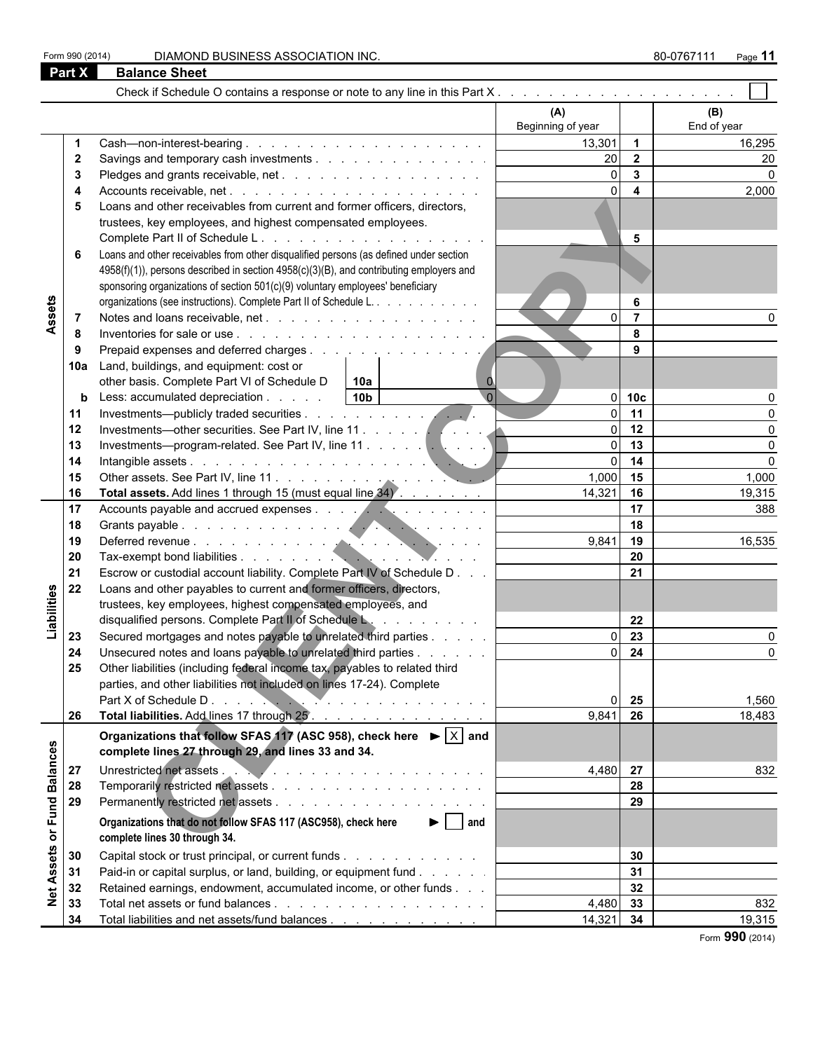Form 990 (2014) DIAMOND BUSINESS ASSOCIATION INC. **80-0767111** Page 11

|                 | Part X               | <b>Balance Sheet</b>                                                                                                                                                                                                                                                                                                                                                                                          |                                              |                                                                                                      |                       |
|-----------------|----------------------|---------------------------------------------------------------------------------------------------------------------------------------------------------------------------------------------------------------------------------------------------------------------------------------------------------------------------------------------------------------------------------------------------------------|----------------------------------------------|------------------------------------------------------------------------------------------------------|-----------------------|
|                 |                      |                                                                                                                                                                                                                                                                                                                                                                                                               |                                              |                                                                                                      |                       |
|                 |                      |                                                                                                                                                                                                                                                                                                                                                                                                               | (A)<br>Beginning of year                     |                                                                                                      | (B)<br>End of year    |
|                 | 2<br>5<br>6          | Loans and other receivables from current and former officers, directors,<br>trustees, key employees, and highest compensated employees.<br>Loans and other receivables from other disqualified persons (as defined under section<br>4958(f)(1)), persons described in section 4958(c)(3)(B), and contributing employers and<br>sponsoring organizations of section 501(c)(9) voluntary employees' beneficiary | 13,301<br>20<br>$\Omega$<br>$\Omega$         | $\overline{1}$<br>$\overline{\mathbf{2}}$<br>$\overline{\mathbf{3}}$<br>$\overline{\mathbf{4}}$<br>5 | 16,295<br>20<br>2,000 |
| Assets          | 7<br>8<br>9          | organizations (see instructions). Complete Part II of Schedule L.                                                                                                                                                                                                                                                                                                                                             |                                              | 6<br>$\overline{7}$<br>8<br>9                                                                        |                       |
|                 | 10a<br>b<br>11<br>12 | Land, buildings, and equipment: cost or<br>other basis. Complete Part VI of Schedule D<br>l 10a<br>$\mathbf 0$<br>$\overline{0}$<br>10 <sub>b</sub><br>Less: accumulated depreciation                                                                                                                                                                                                                         | $\Omega$<br>$\Omega$<br>$\Omega$             | 10 <sub>c</sub><br>11<br>12                                                                          |                       |
|                 | 13<br>14<br>15<br>16 | Total assets. Add lines 1 through 15 (must equal line 34)                                                                                                                                                                                                                                                                                                                                                     | $\Omega$<br>$\Omega$<br>$1,000$ 15<br>14,321 | 13<br>14<br>16                                                                                       | 1,000<br>19,315       |
|                 | 17<br>18<br>19<br>20 |                                                                                                                                                                                                                                                                                                                                                                                                               | 9,841                                        | 17<br>18<br>19<br>20                                                                                 | 388<br>16,535         |
| Liabilities     | 21<br>22             | Escrow or custodial account liability. Complete Part IV of Schedule D<br>Loans and other payables to current and former officers, directors,<br>trustees, key employees, highest compensated employees, and<br>disqualified persons. Complete Part II of Schedule L.                                                                                                                                          |                                              | 21<br>22                                                                                             |                       |
|                 | 23<br>24<br>25       | Secured mortgages and notes payable to unrelated third parties<br>Unsecured notes and loans payable to unrelated third parties<br>Other liabilities (including federal income tax, payables to related third                                                                                                                                                                                                  | $\Omega$<br>ΩI                               | 23<br>24                                                                                             |                       |
|                 | 26                   | parties, and other liabilities not included on lines 17-24). Complete<br>Total liabilities. Add lines 17 through 25.                                                                                                                                                                                                                                                                                          | $\Omega$<br>9,841                            | 25<br>26                                                                                             | 1,560<br>18,483       |
| <b>Balances</b> | 27                   | Organizations that follow SFAS 117 (ASC 958), check here $\blacktriangleright$ $\boxed{\times}$ and<br>complete lines 27 through 29, and lines 33 and 34.<br>Unrestricted net assets . New York and a series when we have a series when the series of the series of the series of the series of the series of the series of the series of the series of the series of the series of the ser                   | 4,480 27                                     |                                                                                                      | 832                   |
| or Fund         | 28<br>29             | $\blacktriangleright$   and<br>Organizations that do not follow SFAS 117 (ASC958), check here                                                                                                                                                                                                                                                                                                                 |                                              | 28<br>29                                                                                             |                       |
| Assets          | 30<br>31             | complete lines 30 through 34.<br>Capital stock or trust principal, or current funds<br>Paid-in or capital surplus, or land, building, or equipment fund                                                                                                                                                                                                                                                       |                                              | 30<br>31                                                                                             |                       |
| $\frac{1}{2}$   | 32<br>33<br>34       | Retained earnings, endowment, accumulated income, or other funds<br>Total liabilities and net assets/fund balances                                                                                                                                                                                                                                                                                            | 4,480 33<br>$14,321$ 34                      | 32                                                                                                   | 832<br>19,315         |

Form **990** (2014)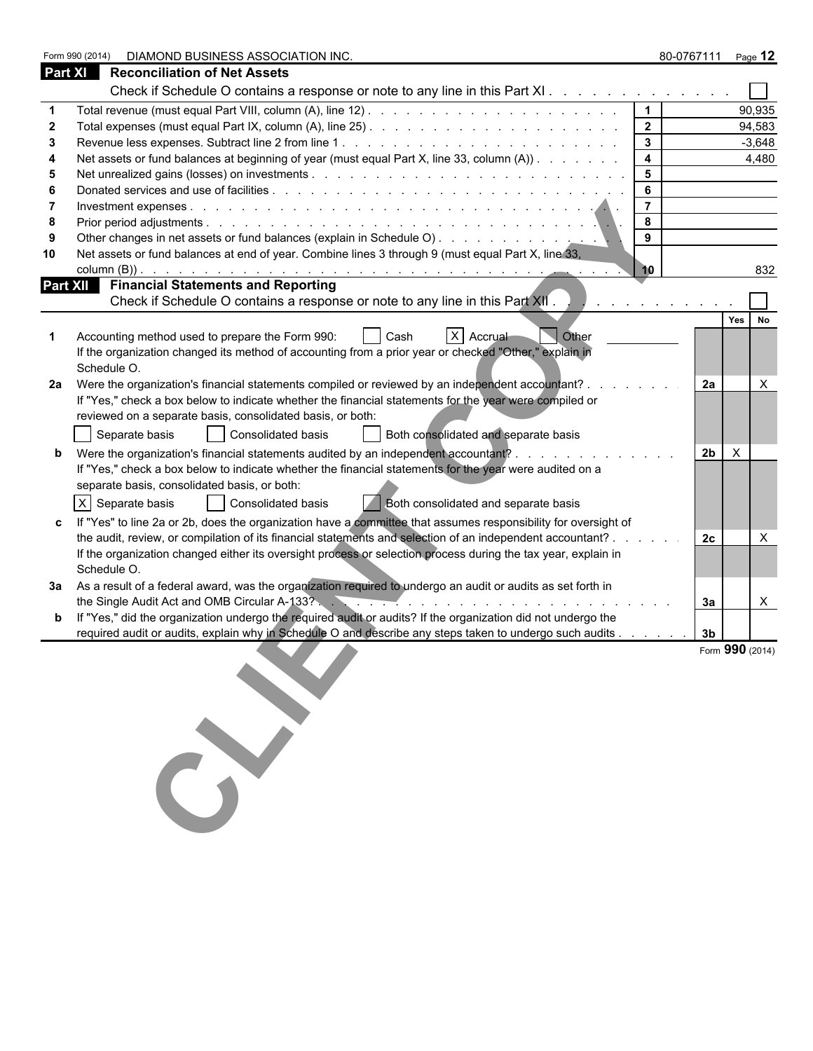|                | Form 990 (2014)<br>DIAMOND BUSINESS ASSOCIATION INC.                                                                                                                                                                          |                  | 80-0767111 Page 12 |                 |
|----------------|-------------------------------------------------------------------------------------------------------------------------------------------------------------------------------------------------------------------------------|------------------|--------------------|-----------------|
| <b>Part XI</b> | <b>Reconciliation of Net Assets</b>                                                                                                                                                                                           |                  |                    |                 |
|                | Check if Schedule O contains a response or note to any line in this Part XI                                                                                                                                                   |                  |                    |                 |
|                |                                                                                                                                                                                                                               | $\overline{1}$   |                    | 90,935          |
|                |                                                                                                                                                                                                                               | $\overline{2}$   |                    | 94,583          |
|                |                                                                                                                                                                                                                               | $\mathbf{3}$     |                    | $-3,648$        |
|                | Net assets or fund balances at beginning of year (must equal Part X, line 33, column (A))                                                                                                                                     | $\boldsymbol{4}$ |                    | 4,480           |
|                |                                                                                                                                                                                                                               | $5\phantom{.0}$  |                    |                 |
|                |                                                                                                                                                                                                                               | 6                |                    |                 |
|                |                                                                                                                                                                                                                               | $\overline{7}$   |                    |                 |
|                |                                                                                                                                                                                                                               | 8                |                    |                 |
|                |                                                                                                                                                                                                                               | 9                |                    |                 |
| 10             | Net assets or fund balances at end of year. Combine lines 3 through 9 (must equal Part X, line 33,                                                                                                                            |                  |                    |                 |
|                |                                                                                                                                                                                                                               | 10               |                    | 832             |
|                | <b>Part XII</b> Financial Statements and Reporting                                                                                                                                                                            |                  |                    |                 |
|                | Check if Schedule O contains a response or note to any line in this Part XII.                                                                                                                                                 |                  |                    |                 |
|                |                                                                                                                                                                                                                               |                  |                    | Yes<br>No       |
|                | X Accrual<br><b>Other</b><br>Accounting method used to prepare the Form 990:<br>Cash<br>If the organization changed its method of accounting from a prior year or checked "Other," explain in<br>Schedule O.                  |                  |                    |                 |
| 2a             | Were the organization's financial statements compiled or reviewed by an independent accountant? .                                                                                                                             |                  | 2a                 | X               |
|                | If "Yes," check a box below to indicate whether the financial statements for the year were compiled or                                                                                                                        |                  |                    |                 |
|                | reviewed on a separate basis, consolidated basis, or both:                                                                                                                                                                    |                  |                    |                 |
|                | Consolidated basis<br>Both consolidated and separate basis<br>Separate basis                                                                                                                                                  |                  |                    |                 |
|                |                                                                                                                                                                                                                               |                  | 2 <sub>b</sub>     |                 |
|                | Were the organization's financial statements audited by an independent accountant?                                                                                                                                            |                  |                    | $\times$        |
|                | If "Yes," check a box below to indicate whether the financial statements for the year were audited on a                                                                                                                       |                  |                    |                 |
|                | separate basis, consolidated basis, or both:                                                                                                                                                                                  |                  |                    |                 |
|                | $X$ Separate basis<br>  Consolidated basis<br><b>Both consolidated and separate basis</b>                                                                                                                                     |                  |                    |                 |
|                | If "Yes" to line 2a or 2b, does the organization have a committee that assumes responsibility for oversight of                                                                                                                |                  |                    |                 |
|                | the audit, review, or compilation of its financial statements and selection of an independent accountant? .                                                                                                                   |                  | 2c                 | X               |
|                | If the organization changed either its oversight process or selection process during the tax year, explain in                                                                                                                 |                  |                    |                 |
|                | Schedule O.                                                                                                                                                                                                                   |                  |                    |                 |
| За             | As a result of a federal award, was the organization required to undergo an audit or audits as set forth in                                                                                                                   |                  |                    |                 |
|                | the Single Audit Act and OMB Circular A-133? And Action And A-133? And Act and A-133? And Act and A-133? And Act and Act and A-133? And Act and A-133 Act and Act and A-133 Act and Act and A-133 Act and Act and Act and Act |                  | За                 | $\mathsf{X}$    |
|                | If "Yes," did the organization undergo the required audit or audits? If the organization did not undergo the                                                                                                                  |                  |                    |                 |
|                | required audit or audits, explain why in Schedule O and describe any steps taken to undergo such audits                                                                                                                       |                  | 3 <sub>b</sub>     |                 |
|                |                                                                                                                                                                                                                               |                  |                    | Form 990 (2014) |
|                |                                                                                                                                                                                                                               |                  |                    |                 |
|                |                                                                                                                                                                                                                               |                  |                    |                 |
|                |                                                                                                                                                                                                                               |                  |                    |                 |
|                |                                                                                                                                                                                                                               |                  |                    |                 |
|                |                                                                                                                                                                                                                               |                  |                    |                 |
|                |                                                                                                                                                                                                                               |                  |                    |                 |
|                |                                                                                                                                                                                                                               |                  |                    |                 |
|                |                                                                                                                                                                                                                               |                  |                    |                 |
|                |                                                                                                                                                                                                                               |                  |                    |                 |
|                |                                                                                                                                                                                                                               |                  |                    |                 |
|                |                                                                                                                                                                                                                               |                  |                    |                 |
|                |                                                                                                                                                                                                                               |                  |                    |                 |
|                |                                                                                                                                                                                                                               |                  |                    |                 |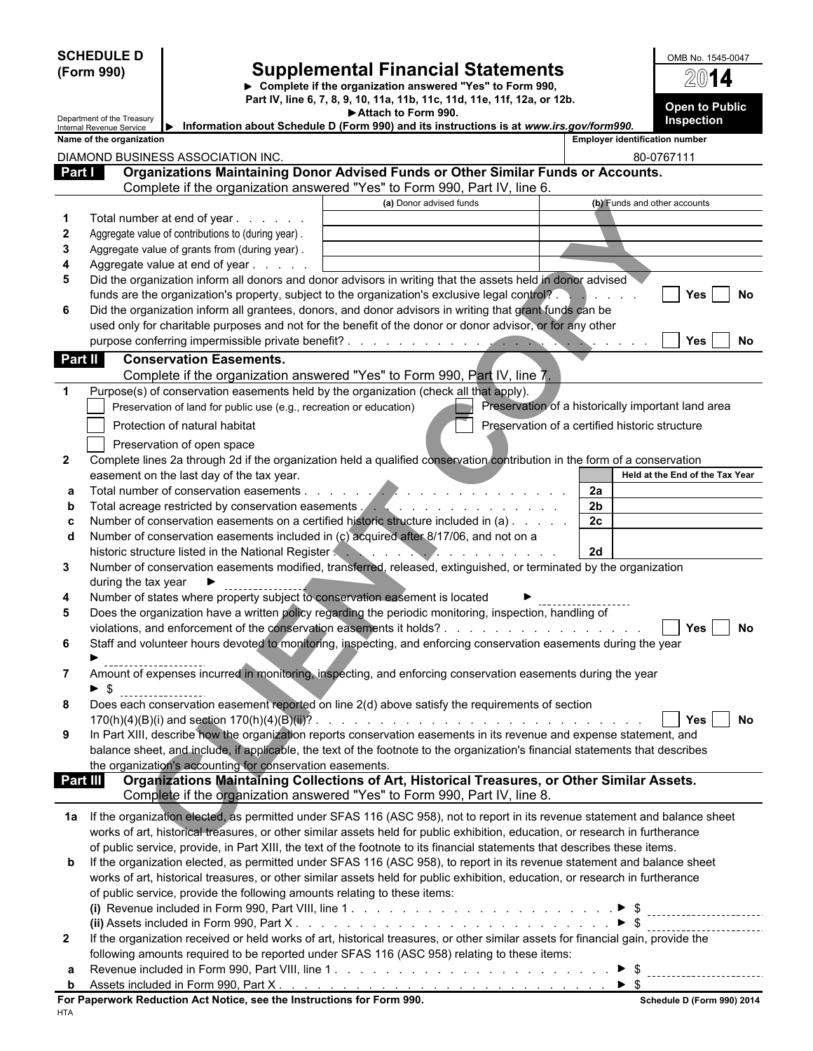|                                                 | <b>SCHEDULE D</b><br>(Form 990)                        |                                                                                                                                                                      | <b>Supplemental Financial Statements</b><br>> Complete if the organization answered "Yes" to Form 990,<br>Part IV, line 6, 7, 8, 9, 10, 11a, 11b, 11c, 11d, 11e, 11f, 12a, or 12b.                                                                                                                                                                                                             |                      | OMB No. 1545-0047<br>2014<br><b>Open to Public</b>  |  |
|-------------------------------------------------|--------------------------------------------------------|----------------------------------------------------------------------------------------------------------------------------------------------------------------------|------------------------------------------------------------------------------------------------------------------------------------------------------------------------------------------------------------------------------------------------------------------------------------------------------------------------------------------------------------------------------------------------|----------------------|-----------------------------------------------------|--|
|                                                 | Department of the Treasury<br>Internal Revenue Service | ▶                                                                                                                                                                    | Attach to Form 990.<br>Information about Schedule D (Form 990) and its instructions is at www.irs.gov/form990.                                                                                                                                                                                                                                                                                 |                      | Inspection                                          |  |
| Part I                                          | Name of the organization                               | DIAMOND BUSINESS ASSOCIATION INC.                                                                                                                                    | Organizations Maintaining Donor Advised Funds or Other Similar Funds or Accounts.<br>Complete if the organization answered "Yes" to Form 990, Part IV, line 6.                                                                                                                                                                                                                                 |                      | <b>Employer identification number</b><br>80-0767111 |  |
|                                                 |                                                        |                                                                                                                                                                      | (a) Donor advised funds                                                                                                                                                                                                                                                                                                                                                                        |                      | (b) Funds and other accounts                        |  |
| $\mathbf 1$<br>$\mathbf{2}$<br>3<br>4<br>5<br>6 |                                                        | Total number at end of year<br>Aggregate value of contributions to (during year).<br>Aggregate value of grants from (during year).<br>Aggregate value at end of year | Did the organization inform all donors and donor advisors in writing that the assets held in donor advised<br>funds are the organization's property, subject to the organization's exclusive legal control?<br>Did the organization inform all grantees, donors, and donor advisors in writing that grant funds can be                                                                         |                      | No<br>Yes                                           |  |
|                                                 |                                                        |                                                                                                                                                                      | used only for charitable purposes and not for the benefit of the donor or donor advisor, or for any other                                                                                                                                                                                                                                                                                      |                      | Yes<br>No                                           |  |
| Part II                                         |                                                        | <b>Conservation Easements.</b>                                                                                                                                       |                                                                                                                                                                                                                                                                                                                                                                                                |                      |                                                     |  |
|                                                 |                                                        |                                                                                                                                                                      | Complete if the organization answered "Yes" to Form 990, Part IV, line 7.                                                                                                                                                                                                                                                                                                                      |                      |                                                     |  |
| $\mathbf{1}$                                    |                                                        | Preservation of land for public use (e.g., recreation or education)<br>Protection of natural habitat                                                                 | Purpose(s) of conservation easements held by the organization (check all that apply).<br>Preservation of a certified historic structure                                                                                                                                                                                                                                                        |                      | Preservation of a historically important land area  |  |
| $\mathbf{2}$                                    |                                                        | Preservation of open space                                                                                                                                           | Complete lines 2a through 2d if the organization held a qualified conservation contribution in the form of a conservation                                                                                                                                                                                                                                                                      |                      |                                                     |  |
|                                                 |                                                        | easement on the last day of the tax year.                                                                                                                            |                                                                                                                                                                                                                                                                                                                                                                                                |                      | Held at the End of the Tax Year                     |  |
| a                                               |                                                        | Total number of conservation easements                                                                                                                               | .<br>Total acreage restricted by conservation easements . A construction of the set of the set of the set of the set of the set of the set of the set of the set of the set of the set of the set of the set of the set of the set                                                                                                                                                             | 2a<br>2 <sub>b</sub> |                                                     |  |
| b<br>c                                          |                                                        |                                                                                                                                                                      | Number of conservation easements on a certified historic structure included in (a)                                                                                                                                                                                                                                                                                                             | 2c                   |                                                     |  |
| d                                               |                                                        |                                                                                                                                                                      | Number of conservation easements included in (c) acquired after 8/17/06, and not on a                                                                                                                                                                                                                                                                                                          |                      |                                                     |  |
| 3                                               |                                                        | historic structure listed in the National Register                                                                                                                   | <b>TAN AND AND AND AND AND A</b><br>Number of conservation easements modified, transferred, released, extinguished, or terminated by the organization                                                                                                                                                                                                                                          | 2d                   |                                                     |  |
| 4                                               | during the tax year                                    |                                                                                                                                                                      | Number of states where property subject to conservation easement is located                                                                                                                                                                                                                                                                                                                    |                      |                                                     |  |
| 5                                               |                                                        |                                                                                                                                                                      | Does the organization have a written policy regarding the periodic monitoring, inspection, handling of                                                                                                                                                                                                                                                                                         |                      |                                                     |  |
| 6                                               |                                                        |                                                                                                                                                                      | violations, and enforcement of the conservation easements it holds?<br>Staff and volunteer hours devoted to monitoring, inspecting, and enforcing conservation easements during the year                                                                                                                                                                                                       |                      | No<br>Yes                                           |  |
| $\mathbf{7}$                                    |                                                        |                                                                                                                                                                      | Amount of expenses incurred in monitoring, inspecting, and enforcing conservation easements during the year                                                                                                                                                                                                                                                                                    |                      |                                                     |  |
| 8                                               | $\blacktriangleright$ s                                |                                                                                                                                                                      | Does each conservation easement reported on line 2(d) above satisfy the requirements of section                                                                                                                                                                                                                                                                                                |                      |                                                     |  |
| 9                                               |                                                        | the organization's accounting for conservation easements.                                                                                                            | In Part XIII, describe how the organization reports conservation easements in its revenue and expense statement, and<br>balance sheet, and include, if applicable, the text of the footnote to the organization's financial statements that describes                                                                                                                                          |                      | No<br><b>Yes</b>                                    |  |
| Part III                                        |                                                        |                                                                                                                                                                      | Organizations Maintaining Collections of Art, Historical Treasures, or Other Similar Assets.                                                                                                                                                                                                                                                                                                   |                      |                                                     |  |
|                                                 |                                                        |                                                                                                                                                                      | Complete if the organization answered "Yes" to Form 990, Part IV, line 8.                                                                                                                                                                                                                                                                                                                      |                      |                                                     |  |
|                                                 |                                                        |                                                                                                                                                                      | 1a If the organization elected, as permitted under SFAS 116 (ASC 958), not to report in its revenue statement and balance sheet<br>works of art, historical treasures, or other similar assets held for public exhibition, education, or research in furtherance<br>of public service, provide, in Part XIII, the text of the footnote to its financial statements that describes these items. |                      |                                                     |  |
| b                                               |                                                        | of public service, provide the following amounts relating to these items:                                                                                            | If the organization elected, as permitted under SFAS 116 (ASC 958), to report in its revenue statement and balance sheet<br>works of art, historical treasures, or other similar assets held for public exhibition, education, or research in furtherance                                                                                                                                      |                      |                                                     |  |
|                                                 |                                                        |                                                                                                                                                                      |                                                                                                                                                                                                                                                                                                                                                                                                |                      |                                                     |  |
|                                                 |                                                        |                                                                                                                                                                      |                                                                                                                                                                                                                                                                                                                                                                                                |                      |                                                     |  |
| $\mathbf{2}$                                    |                                                        |                                                                                                                                                                      | If the organization received or held works of art, historical treasures, or other similar assets for financial gain, provide the<br>following amounts required to be reported under SFAS 116 (ASC 958) relating to these items:                                                                                                                                                                |                      |                                                     |  |
| а<br>$\mathbf{p}$                               |                                                        |                                                                                                                                                                      |                                                                                                                                                                                                                                                                                                                                                                                                |                      |                                                     |  |
|                                                 |                                                        | For Paperwork Reduction Act Notice, see the Instructions for Form 990.                                                                                               |                                                                                                                                                                                                                                                                                                                                                                                                |                      | Schedule D (Form 990) 2014                          |  |

|--|--|--|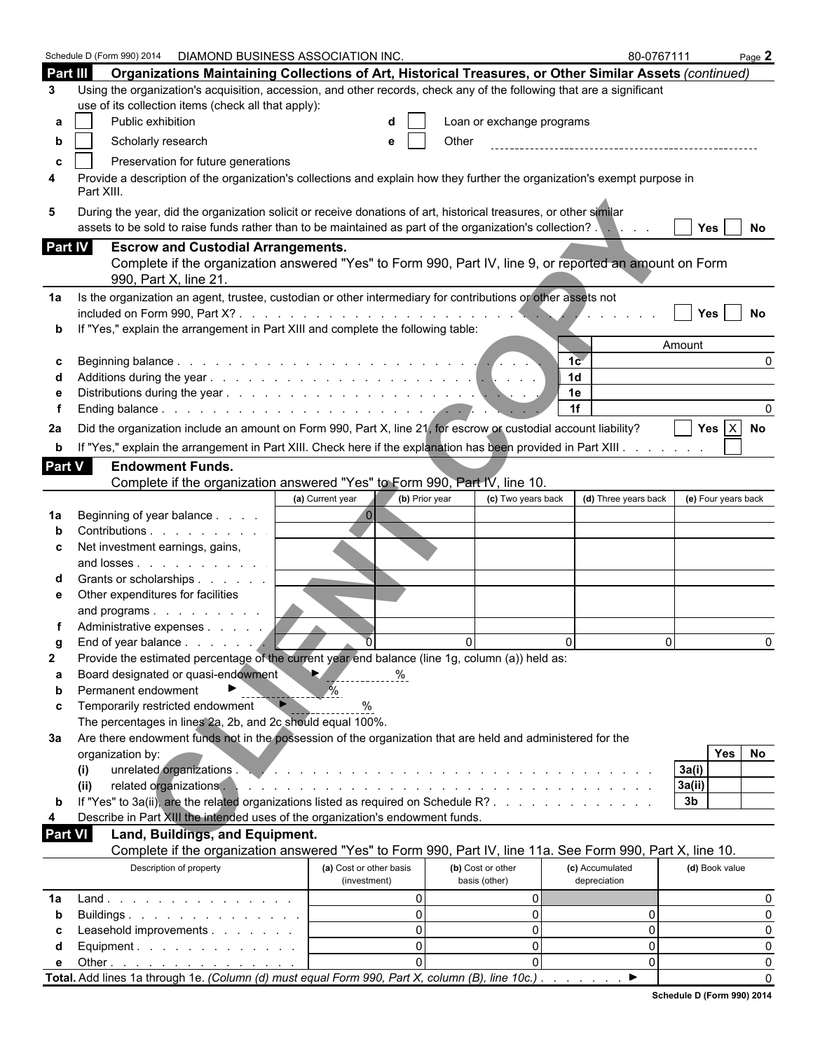|                | Schedule D (Form 990) 2014  DIAMOND BUSINESS ASSOCIATION INC.                                                                                                                                                                         |                                         |                                    | 80-0767111                      | Page 2              |
|----------------|---------------------------------------------------------------------------------------------------------------------------------------------------------------------------------------------------------------------------------------|-----------------------------------------|------------------------------------|---------------------------------|---------------------|
| Part III       | Organizations Maintaining Collections of Art, Historical Treasures, or Other Similar Assets (continued)                                                                                                                               |                                         |                                    |                                 |                     |
| 3              | Using the organization's acquisition, accession, and other records, check any of the following that are a significant                                                                                                                 |                                         |                                    |                                 |                     |
|                | use of its collection items (check all that apply):                                                                                                                                                                                   |                                         |                                    |                                 |                     |
| а              | Public exhibition                                                                                                                                                                                                                     |                                         | Loan or exchange programs          |                                 |                     |
|                |                                                                                                                                                                                                                                       |                                         |                                    |                                 |                     |
| b              | Scholarly research                                                                                                                                                                                                                    |                                         | Other                              |                                 |                     |
| c              | Preservation for future generations                                                                                                                                                                                                   |                                         |                                    |                                 |                     |
| 4              | Provide a description of the organization's collections and explain how they further the organization's exempt purpose in<br>Part XIII.                                                                                               |                                         |                                    |                                 |                     |
| 5              | During the year, did the organization solicit or receive donations of art, historical treasures, or other similar<br>assets to be sold to raise funds rather than to be maintained as part of the organization's collection? Networks |                                         |                                    |                                 | Yes<br>No           |
| Part IV        | <b>Escrow and Custodial Arrangements.</b>                                                                                                                                                                                             |                                         |                                    |                                 |                     |
|                | Complete if the organization answered "Yes" to Form 990, Part IV, line 9, or reported an amount on Form<br>990, Part X, line 21.                                                                                                      |                                         |                                    |                                 |                     |
| 1a             | Is the organization an agent, trustee, custodian or other intermediary for contributions or other assets not                                                                                                                          |                                         |                                    |                                 |                     |
|                |                                                                                                                                                                                                                                       |                                         |                                    |                                 | Yes<br>No           |
|                | If "Yes," explain the arrangement in Part XIII and complete the following table:                                                                                                                                                      |                                         |                                    |                                 |                     |
|                |                                                                                                                                                                                                                                       |                                         |                                    | Amount                          |                     |
|                |                                                                                                                                                                                                                                       |                                         |                                    | 1 <sub>c</sub>                  |                     |
|                |                                                                                                                                                                                                                                       |                                         |                                    | 1 <sub>d</sub>                  |                     |
|                |                                                                                                                                                                                                                                       |                                         |                                    | 1e                              |                     |
|                |                                                                                                                                                                                                                                       |                                         |                                    | 1f                              |                     |
| 2a             | Did the organization include an amount on Form 990, Part X, line 21, for escrow or custodial account liability?                                                                                                                       |                                         |                                    |                                 | Yes $X$ No          |
| b              | If "Yes," explain the arrangement in Part XIII. Check here if the explanation has been provided in Part XIII.                                                                                                                         |                                         |                                    |                                 |                     |
| <b>Part V</b>  | <b>Endowment Funds.</b>                                                                                                                                                                                                               |                                         |                                    |                                 |                     |
|                | Complete if the organization answered "Yes" to Form 990, Part IV, line 10.                                                                                                                                                            |                                         |                                    |                                 |                     |
|                |                                                                                                                                                                                                                                       | (b) Prior year<br>(a) Current year      | (c) Two years back                 | (d) Three years back            | (e) Four years back |
| 1a             | Beginning of year balance                                                                                                                                                                                                             |                                         |                                    |                                 |                     |
|                | Contributions                                                                                                                                                                                                                         |                                         |                                    |                                 |                     |
| c              | Net investment earnings, gains,                                                                                                                                                                                                       |                                         |                                    |                                 |                     |
|                | and losses                                                                                                                                                                                                                            |                                         |                                    |                                 |                     |
|                | Grants or scholarships                                                                                                                                                                                                                |                                         |                                    |                                 |                     |
| е              | Other expenditures for facilities                                                                                                                                                                                                     |                                         |                                    |                                 |                     |
|                | and programs                                                                                                                                                                                                                          |                                         |                                    |                                 |                     |
|                | Administrative expenses                                                                                                                                                                                                               |                                         |                                    |                                 |                     |
|                | End of vear balance                                                                                                                                                                                                                   |                                         | $\Omega$<br>0                      | $\cap$                          | <sup>n</sup>        |
| $\mathbf{2}$   | Provide the estimated percentage of the current year end balance (line 1g, column (a)) held as:                                                                                                                                       |                                         |                                    |                                 |                     |
| a              | Board designated or quasi-endowment                                                                                                                                                                                                   | IÞ.<br>%                                |                                    |                                 |                     |
| b              | Permanent endowment                                                                                                                                                                                                                   |                                         |                                    |                                 |                     |
| c              | Temporarily restricted endowment                                                                                                                                                                                                      |                                         |                                    |                                 |                     |
|                | The percentages in lines 2a, 2b, and 2c should equal 100%.                                                                                                                                                                            |                                         |                                    |                                 |                     |
| За             | Are there endowment funds not in the possession of the organization that are held and administered for the                                                                                                                            |                                         |                                    |                                 |                     |
|                | organization by:                                                                                                                                                                                                                      |                                         |                                    |                                 | Yes<br>No           |
|                | unrelated organizations.<br>(i)                                                                                                                                                                                                       |                                         |                                    | 3a(i)                           |                     |
|                | related organizations.<br>(ii)                                                                                                                                                                                                        |                                         |                                    | 3a(ii)                          |                     |
| b              | If "Yes" to 3a(ii), are the related organizations listed as required on Schedule R?                                                                                                                                                   |                                         |                                    | 3 <sub>b</sub>                  |                     |
| 4              | Describe in Part XIII the intended uses of the organization's endowment funds.                                                                                                                                                        |                                         |                                    |                                 |                     |
| <b>Part VI</b> | Land, Buildings, and Equipment.<br>Complete if the organization answered "Yes" to Form 990, Part IV, line 11a. See Form 990, Part X, line 10.                                                                                         |                                         |                                    |                                 |                     |
|                |                                                                                                                                                                                                                                       |                                         |                                    |                                 |                     |
|                | Description of property                                                                                                                                                                                                               | (a) Cost or other basis<br>(investment) | (b) Cost or other<br>basis (other) | (c) Accumulated<br>depreciation | (d) Book value      |
| 1a             | Land.                                                                                                                                                                                                                                 | $\Omega$                                | 0                                  |                                 | O                   |
| b              | Buildings                                                                                                                                                                                                                             | $\Omega$                                | 0                                  | $\Omega$                        | 0                   |
|                | Leasehold improvements                                                                                                                                                                                                                | $\Omega$                                | 0                                  | $\Omega$                        | $\Omega$            |
| d              | Equipment. $\ldots$ $\ldots$ $\ldots$ $\ldots$ $\ldots$                                                                                                                                                                               | $\Omega$                                | 0                                  | $\Omega$                        | $\Omega$            |
| е              | Other $\ldots$ $\ldots$ $\ldots$ $\ldots$ $\ldots$ $\ldots$                                                                                                                                                                           |                                         | $\Omega$                           | $\Omega$                        | 0                   |
|                | Total. Add lines 1a through 1e. (Column (d) must equal Form 990, Part X, column (B), line 10c.).                                                                                                                                      |                                         |                                    | ▶                               | $\Omega$            |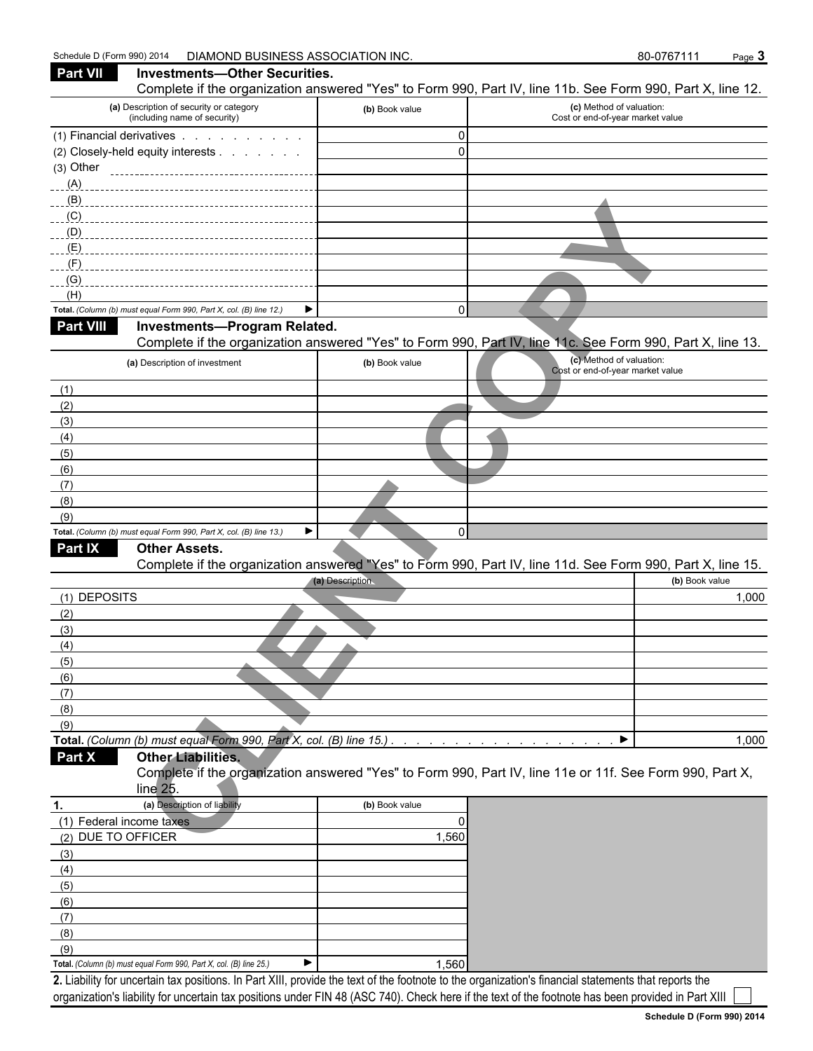## **COPY AND A CALCULATE COPY AND COPY AND COPY AND COPY AND COPY AND COPY AND COPY AND COPY AND COPY AND COPY AND COPY AND COPY AND COPY AND COPY AND COPY AND COPY AND COPY AND COPY AND COPY AND COPY AND COPY AND COPY AND CO Part VII Investments—Other Securities.** Complete if the organization answered "Yes" to Form 990, Part IV, line 11b. See Form 990, Part X, line 12. **(a)** Description of security or category (including name of security) **(b)** Book value **(c)** Method of valuation: Cost or end-of-year market value (1) Financial derivatives . . . . . . . . . . . . . . . . . . . . . . . . . . . . . . . . . . . . . . . . . . . . . . . . 0 (2) Closely-held equity interests . . . . . . . . . . . . . . . . . . . . . . . . . . . . . . . . . . . . . . . . . . . . . . . . . . . . . . 0 (3) Other (A) (B) (C)  $\overline{\phantom{a}}$  $\overline{\phantom{a}}$  $\overline{\phantom{a}}$  $\overline{\phantom{a}}$  $\overline{\phantom{a}}$ (E) (F) (G) (H) **Total.** *(Column (b) must equal Form 990, Part X, col. (B) line 12.)* 0  **Part VIII Investments—Program Related.** Complete if the organization answered "Yes" to Form 990, Part IV, line 11c. See Form 990, Part X, line 13. **(a)** Description of investment **(b)** Book value **(c)** Method of valuation: Cost or end-of-year market value (1) (2) (3) (4) (5) (6) (7) (8) (9) **Total.** *(Column (b) must equal Form 990, Part X, col. (B) line 13.)* 0  **Part IX Other Assets.** Complete if the organization answered "Yes" to Form 990, Part IV, line 11d. See Form 990, Part X, line 15. **(a)** Description **(b)** Book value (1) DEPOSITS 1,000 (2) (3) (4) (5) (6) (7) (8) (9) **Total.** *(Column (b) must equal Form 990, Part X, col. (B) line 15.) . . . . . . . . . . . . . . . . . . . . . . . . . . . . . . . . . . . . . . . . . . . .* 1,000  **Part X Other Liabilities.** Complete if the organization answered "Yes" to Form 990, Part IV, line 11e or 11f. See Form 990, Part X, line 25. **1. (a)** Description of liability **(b)** Book value

| л.                       | (a) Description of indivitiv                                       | <b>(D)</b> DOOK Value |
|--------------------------|--------------------------------------------------------------------|-----------------------|
| (1) Federal income taxes |                                                                    | 0                     |
| (2) DUE TO OFFICER       |                                                                    | 1,560                 |
| (3)                      |                                                                    |                       |
| (4)                      |                                                                    |                       |
| (5)                      |                                                                    |                       |
| (6)                      |                                                                    |                       |
| (7)                      |                                                                    |                       |
| (8)                      |                                                                    |                       |
| (9)                      |                                                                    |                       |
|                          | Total. (Column (b) must equal Form 990, Part X, col. (B) line 25.) | 1.560                 |

**2.** Liability for uncertain tax positions. In Part XIII, provide the text of the footnote to the organization's financial statements that reports the organization's liability for uncertain tax positions under FIN 48 (ASC 740). Check here if the text of the footnote has been provided in Part XIII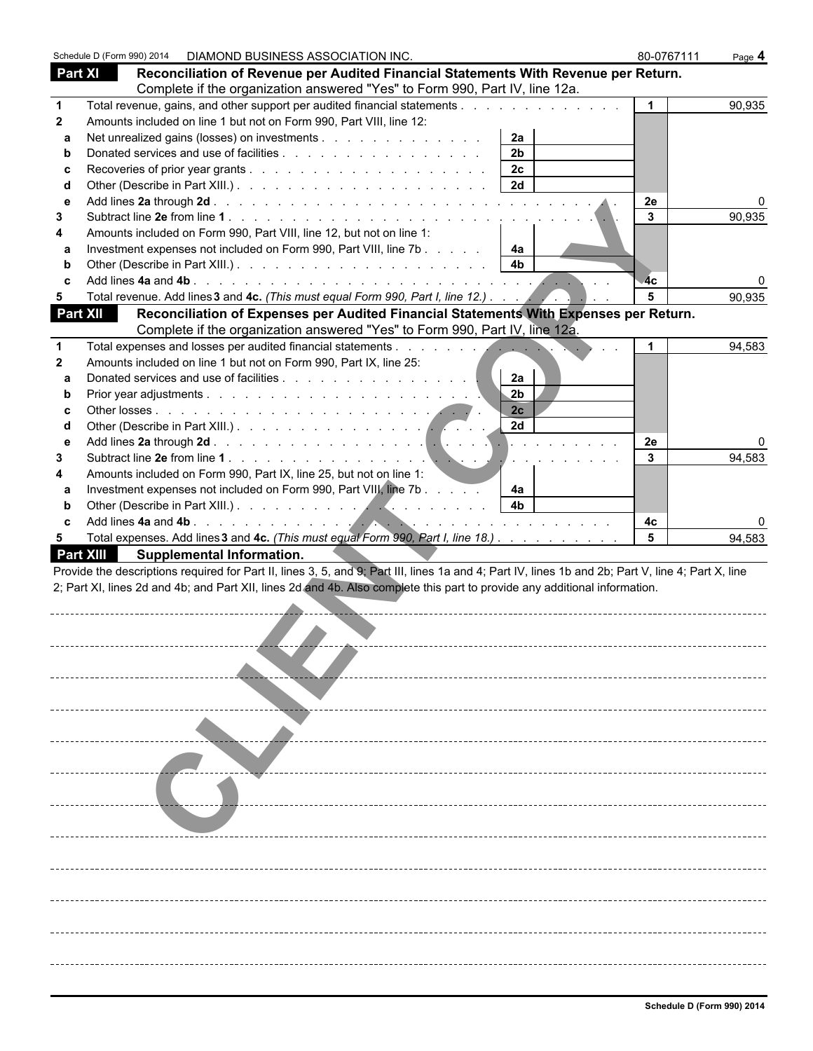| <b>Part XI</b><br>Reconciliation of Revenue per Audited Financial Statements With Revenue per Return.<br>Complete if the organization answered "Yes" to Form 990, Part IV, line 12a.<br>Total revenue, gains, and other support per audited financial statements and an analyzing statements of the statements of the statements of the statements of the statements of the statements of the statements of the statem<br>90,935<br>$\mathbf{1}$<br>1<br>Amounts included on line 1 but not on Form 990, Part VIII, line 12:<br>$\mathbf{2}$<br>Net unrealized gains (losses) on investments<br>2a<br>a<br>2 <sub>b</sub><br>b<br>2c<br>c<br>2d<br>d<br>2e<br>e<br>3<br>3<br>Amounts included on Form 990, Part VIII, line 12, but not on line 1:<br>4<br>Investment expenses not included on Form 990, Part VIII, line 7b<br>4a<br>а<br>4 <sub>b</sub><br>b<br>4c<br>C<br>Total revenue. Add lines 3 and 4c. (This must equal Form 990, Part I, line 12.)<br>5<br>90,935<br>5<br>Reconciliation of Expenses per Audited Financial Statements With Expenses per Return.<br>Complete if the organization answered "Yes" to Form 990, Part IV, line 12a.<br>94,583<br>1<br>$\mathbf{2}$<br>Amounts included on line 1 but not on Form 990, Part IX, line 25:<br>2a<br>a<br>2 <sub>b</sub><br>b<br>2c<br>C<br>2d<br>d<br>2e<br>e<br>3<br>3<br>94,583<br>and a company of the<br>Amounts included on Form 990, Part IX, line 25, but not on line 1:<br>4<br>Investment expenses not included on Form 990, Part VIII, line 7b<br>4a<br>a<br>4 <sub>b</sub><br>b<br>C<br>4с<br>Total expenses. Add lines 3 and 4c. (This must equal Form 990, Part I, line 18.)<br>5<br>5<br><b>Supplemental Information.</b> |  | Schedule D (Form 990) 2014  DIAMOND BUSINESS ASSOCIATION INC. |  | 80-0767111 | Page 4 |
|---------------------------------------------------------------------------------------------------------------------------------------------------------------------------------------------------------------------------------------------------------------------------------------------------------------------------------------------------------------------------------------------------------------------------------------------------------------------------------------------------------------------------------------------------------------------------------------------------------------------------------------------------------------------------------------------------------------------------------------------------------------------------------------------------------------------------------------------------------------------------------------------------------------------------------------------------------------------------------------------------------------------------------------------------------------------------------------------------------------------------------------------------------------------------------------------------------------------------------------------------------------------------------------------------------------------------------------------------------------------------------------------------------------------------------------------------------------------------------------------------------------------------------------------------------------------------------------------------------------------------------------------------------------------------------------------------------|--|---------------------------------------------------------------|--|------------|--------|
|                                                                                                                                                                                                                                                                                                                                                                                                                                                                                                                                                                                                                                                                                                                                                                                                                                                                                                                                                                                                                                                                                                                                                                                                                                                                                                                                                                                                                                                                                                                                                                                                                                                                                                         |  |                                                               |  |            |        |
|                                                                                                                                                                                                                                                                                                                                                                                                                                                                                                                                                                                                                                                                                                                                                                                                                                                                                                                                                                                                                                                                                                                                                                                                                                                                                                                                                                                                                                                                                                                                                                                                                                                                                                         |  |                                                               |  |            |        |
| <b>Part XII</b><br><b>Part XIII</b><br>Provide the descriptions required for Part II, lines 3, 5, and 9; Part III, lines 1a and 4; Part IV, lines 1b and 2b; Part V, line 4; Part X, line<br>2; Part XI, lines 2d and 4b; and Part XII, lines 2d and 4b. Also complete this part to provide any additional information.                                                                                                                                                                                                                                                                                                                                                                                                                                                                                                                                                                                                                                                                                                                                                                                                                                                                                                                                                                                                                                                                                                                                                                                                                                                                                                                                                                                 |  |                                                               |  |            |        |
|                                                                                                                                                                                                                                                                                                                                                                                                                                                                                                                                                                                                                                                                                                                                                                                                                                                                                                                                                                                                                                                                                                                                                                                                                                                                                                                                                                                                                                                                                                                                                                                                                                                                                                         |  |                                                               |  |            |        |
|                                                                                                                                                                                                                                                                                                                                                                                                                                                                                                                                                                                                                                                                                                                                                                                                                                                                                                                                                                                                                                                                                                                                                                                                                                                                                                                                                                                                                                                                                                                                                                                                                                                                                                         |  |                                                               |  |            |        |
|                                                                                                                                                                                                                                                                                                                                                                                                                                                                                                                                                                                                                                                                                                                                                                                                                                                                                                                                                                                                                                                                                                                                                                                                                                                                                                                                                                                                                                                                                                                                                                                                                                                                                                         |  |                                                               |  |            |        |
|                                                                                                                                                                                                                                                                                                                                                                                                                                                                                                                                                                                                                                                                                                                                                                                                                                                                                                                                                                                                                                                                                                                                                                                                                                                                                                                                                                                                                                                                                                                                                                                                                                                                                                         |  |                                                               |  |            |        |
|                                                                                                                                                                                                                                                                                                                                                                                                                                                                                                                                                                                                                                                                                                                                                                                                                                                                                                                                                                                                                                                                                                                                                                                                                                                                                                                                                                                                                                                                                                                                                                                                                                                                                                         |  |                                                               |  |            |        |
|                                                                                                                                                                                                                                                                                                                                                                                                                                                                                                                                                                                                                                                                                                                                                                                                                                                                                                                                                                                                                                                                                                                                                                                                                                                                                                                                                                                                                                                                                                                                                                                                                                                                                                         |  |                                                               |  |            |        |
|                                                                                                                                                                                                                                                                                                                                                                                                                                                                                                                                                                                                                                                                                                                                                                                                                                                                                                                                                                                                                                                                                                                                                                                                                                                                                                                                                                                                                                                                                                                                                                                                                                                                                                         |  |                                                               |  |            | 90,935 |
|                                                                                                                                                                                                                                                                                                                                                                                                                                                                                                                                                                                                                                                                                                                                                                                                                                                                                                                                                                                                                                                                                                                                                                                                                                                                                                                                                                                                                                                                                                                                                                                                                                                                                                         |  |                                                               |  |            |        |
|                                                                                                                                                                                                                                                                                                                                                                                                                                                                                                                                                                                                                                                                                                                                                                                                                                                                                                                                                                                                                                                                                                                                                                                                                                                                                                                                                                                                                                                                                                                                                                                                                                                                                                         |  |                                                               |  |            |        |
|                                                                                                                                                                                                                                                                                                                                                                                                                                                                                                                                                                                                                                                                                                                                                                                                                                                                                                                                                                                                                                                                                                                                                                                                                                                                                                                                                                                                                                                                                                                                                                                                                                                                                                         |  |                                                               |  |            |        |
|                                                                                                                                                                                                                                                                                                                                                                                                                                                                                                                                                                                                                                                                                                                                                                                                                                                                                                                                                                                                                                                                                                                                                                                                                                                                                                                                                                                                                                                                                                                                                                                                                                                                                                         |  |                                                               |  |            |        |
|                                                                                                                                                                                                                                                                                                                                                                                                                                                                                                                                                                                                                                                                                                                                                                                                                                                                                                                                                                                                                                                                                                                                                                                                                                                                                                                                                                                                                                                                                                                                                                                                                                                                                                         |  |                                                               |  |            |        |
|                                                                                                                                                                                                                                                                                                                                                                                                                                                                                                                                                                                                                                                                                                                                                                                                                                                                                                                                                                                                                                                                                                                                                                                                                                                                                                                                                                                                                                                                                                                                                                                                                                                                                                         |  |                                                               |  |            |        |
|                                                                                                                                                                                                                                                                                                                                                                                                                                                                                                                                                                                                                                                                                                                                                                                                                                                                                                                                                                                                                                                                                                                                                                                                                                                                                                                                                                                                                                                                                                                                                                                                                                                                                                         |  |                                                               |  |            |        |
|                                                                                                                                                                                                                                                                                                                                                                                                                                                                                                                                                                                                                                                                                                                                                                                                                                                                                                                                                                                                                                                                                                                                                                                                                                                                                                                                                                                                                                                                                                                                                                                                                                                                                                         |  |                                                               |  |            |        |
|                                                                                                                                                                                                                                                                                                                                                                                                                                                                                                                                                                                                                                                                                                                                                                                                                                                                                                                                                                                                                                                                                                                                                                                                                                                                                                                                                                                                                                                                                                                                                                                                                                                                                                         |  |                                                               |  |            |        |
|                                                                                                                                                                                                                                                                                                                                                                                                                                                                                                                                                                                                                                                                                                                                                                                                                                                                                                                                                                                                                                                                                                                                                                                                                                                                                                                                                                                                                                                                                                                                                                                                                                                                                                         |  |                                                               |  |            |        |
|                                                                                                                                                                                                                                                                                                                                                                                                                                                                                                                                                                                                                                                                                                                                                                                                                                                                                                                                                                                                                                                                                                                                                                                                                                                                                                                                                                                                                                                                                                                                                                                                                                                                                                         |  |                                                               |  |            |        |
|                                                                                                                                                                                                                                                                                                                                                                                                                                                                                                                                                                                                                                                                                                                                                                                                                                                                                                                                                                                                                                                                                                                                                                                                                                                                                                                                                                                                                                                                                                                                                                                                                                                                                                         |  |                                                               |  |            |        |
|                                                                                                                                                                                                                                                                                                                                                                                                                                                                                                                                                                                                                                                                                                                                                                                                                                                                                                                                                                                                                                                                                                                                                                                                                                                                                                                                                                                                                                                                                                                                                                                                                                                                                                         |  |                                                               |  |            |        |
|                                                                                                                                                                                                                                                                                                                                                                                                                                                                                                                                                                                                                                                                                                                                                                                                                                                                                                                                                                                                                                                                                                                                                                                                                                                                                                                                                                                                                                                                                                                                                                                                                                                                                                         |  |                                                               |  |            |        |
|                                                                                                                                                                                                                                                                                                                                                                                                                                                                                                                                                                                                                                                                                                                                                                                                                                                                                                                                                                                                                                                                                                                                                                                                                                                                                                                                                                                                                                                                                                                                                                                                                                                                                                         |  |                                                               |  |            |        |
|                                                                                                                                                                                                                                                                                                                                                                                                                                                                                                                                                                                                                                                                                                                                                                                                                                                                                                                                                                                                                                                                                                                                                                                                                                                                                                                                                                                                                                                                                                                                                                                                                                                                                                         |  |                                                               |  |            |        |
|                                                                                                                                                                                                                                                                                                                                                                                                                                                                                                                                                                                                                                                                                                                                                                                                                                                                                                                                                                                                                                                                                                                                                                                                                                                                                                                                                                                                                                                                                                                                                                                                                                                                                                         |  |                                                               |  |            |        |
|                                                                                                                                                                                                                                                                                                                                                                                                                                                                                                                                                                                                                                                                                                                                                                                                                                                                                                                                                                                                                                                                                                                                                                                                                                                                                                                                                                                                                                                                                                                                                                                                                                                                                                         |  |                                                               |  |            |        |
|                                                                                                                                                                                                                                                                                                                                                                                                                                                                                                                                                                                                                                                                                                                                                                                                                                                                                                                                                                                                                                                                                                                                                                                                                                                                                                                                                                                                                                                                                                                                                                                                                                                                                                         |  |                                                               |  |            | 94,583 |
|                                                                                                                                                                                                                                                                                                                                                                                                                                                                                                                                                                                                                                                                                                                                                                                                                                                                                                                                                                                                                                                                                                                                                                                                                                                                                                                                                                                                                                                                                                                                                                                                                                                                                                         |  |                                                               |  |            |        |
|                                                                                                                                                                                                                                                                                                                                                                                                                                                                                                                                                                                                                                                                                                                                                                                                                                                                                                                                                                                                                                                                                                                                                                                                                                                                                                                                                                                                                                                                                                                                                                                                                                                                                                         |  |                                                               |  |            |        |
|                                                                                                                                                                                                                                                                                                                                                                                                                                                                                                                                                                                                                                                                                                                                                                                                                                                                                                                                                                                                                                                                                                                                                                                                                                                                                                                                                                                                                                                                                                                                                                                                                                                                                                         |  |                                                               |  |            |        |
|                                                                                                                                                                                                                                                                                                                                                                                                                                                                                                                                                                                                                                                                                                                                                                                                                                                                                                                                                                                                                                                                                                                                                                                                                                                                                                                                                                                                                                                                                                                                                                                                                                                                                                         |  |                                                               |  |            |        |
|                                                                                                                                                                                                                                                                                                                                                                                                                                                                                                                                                                                                                                                                                                                                                                                                                                                                                                                                                                                                                                                                                                                                                                                                                                                                                                                                                                                                                                                                                                                                                                                                                                                                                                         |  |                                                               |  |            |        |
|                                                                                                                                                                                                                                                                                                                                                                                                                                                                                                                                                                                                                                                                                                                                                                                                                                                                                                                                                                                                                                                                                                                                                                                                                                                                                                                                                                                                                                                                                                                                                                                                                                                                                                         |  |                                                               |  |            |        |
|                                                                                                                                                                                                                                                                                                                                                                                                                                                                                                                                                                                                                                                                                                                                                                                                                                                                                                                                                                                                                                                                                                                                                                                                                                                                                                                                                                                                                                                                                                                                                                                                                                                                                                         |  |                                                               |  |            |        |
|                                                                                                                                                                                                                                                                                                                                                                                                                                                                                                                                                                                                                                                                                                                                                                                                                                                                                                                                                                                                                                                                                                                                                                                                                                                                                                                                                                                                                                                                                                                                                                                                                                                                                                         |  |                                                               |  |            |        |
|                                                                                                                                                                                                                                                                                                                                                                                                                                                                                                                                                                                                                                                                                                                                                                                                                                                                                                                                                                                                                                                                                                                                                                                                                                                                                                                                                                                                                                                                                                                                                                                                                                                                                                         |  |                                                               |  |            |        |
|                                                                                                                                                                                                                                                                                                                                                                                                                                                                                                                                                                                                                                                                                                                                                                                                                                                                                                                                                                                                                                                                                                                                                                                                                                                                                                                                                                                                                                                                                                                                                                                                                                                                                                         |  |                                                               |  |            |        |
|                                                                                                                                                                                                                                                                                                                                                                                                                                                                                                                                                                                                                                                                                                                                                                                                                                                                                                                                                                                                                                                                                                                                                                                                                                                                                                                                                                                                                                                                                                                                                                                                                                                                                                         |  |                                                               |  |            |        |
|                                                                                                                                                                                                                                                                                                                                                                                                                                                                                                                                                                                                                                                                                                                                                                                                                                                                                                                                                                                                                                                                                                                                                                                                                                                                                                                                                                                                                                                                                                                                                                                                                                                                                                         |  |                                                               |  |            |        |
|                                                                                                                                                                                                                                                                                                                                                                                                                                                                                                                                                                                                                                                                                                                                                                                                                                                                                                                                                                                                                                                                                                                                                                                                                                                                                                                                                                                                                                                                                                                                                                                                                                                                                                         |  |                                                               |  |            |        |
|                                                                                                                                                                                                                                                                                                                                                                                                                                                                                                                                                                                                                                                                                                                                                                                                                                                                                                                                                                                                                                                                                                                                                                                                                                                                                                                                                                                                                                                                                                                                                                                                                                                                                                         |  |                                                               |  |            |        |
|                                                                                                                                                                                                                                                                                                                                                                                                                                                                                                                                                                                                                                                                                                                                                                                                                                                                                                                                                                                                                                                                                                                                                                                                                                                                                                                                                                                                                                                                                                                                                                                                                                                                                                         |  |                                                               |  |            |        |
|                                                                                                                                                                                                                                                                                                                                                                                                                                                                                                                                                                                                                                                                                                                                                                                                                                                                                                                                                                                                                                                                                                                                                                                                                                                                                                                                                                                                                                                                                                                                                                                                                                                                                                         |  |                                                               |  |            |        |
|                                                                                                                                                                                                                                                                                                                                                                                                                                                                                                                                                                                                                                                                                                                                                                                                                                                                                                                                                                                                                                                                                                                                                                                                                                                                                                                                                                                                                                                                                                                                                                                                                                                                                                         |  |                                                               |  |            |        |
|                                                                                                                                                                                                                                                                                                                                                                                                                                                                                                                                                                                                                                                                                                                                                                                                                                                                                                                                                                                                                                                                                                                                                                                                                                                                                                                                                                                                                                                                                                                                                                                                                                                                                                         |  |                                                               |  |            |        |
|                                                                                                                                                                                                                                                                                                                                                                                                                                                                                                                                                                                                                                                                                                                                                                                                                                                                                                                                                                                                                                                                                                                                                                                                                                                                                                                                                                                                                                                                                                                                                                                                                                                                                                         |  |                                                               |  |            |        |
|                                                                                                                                                                                                                                                                                                                                                                                                                                                                                                                                                                                                                                                                                                                                                                                                                                                                                                                                                                                                                                                                                                                                                                                                                                                                                                                                                                                                                                                                                                                                                                                                                                                                                                         |  |                                                               |  |            |        |
|                                                                                                                                                                                                                                                                                                                                                                                                                                                                                                                                                                                                                                                                                                                                                                                                                                                                                                                                                                                                                                                                                                                                                                                                                                                                                                                                                                                                                                                                                                                                                                                                                                                                                                         |  |                                                               |  |            |        |
|                                                                                                                                                                                                                                                                                                                                                                                                                                                                                                                                                                                                                                                                                                                                                                                                                                                                                                                                                                                                                                                                                                                                                                                                                                                                                                                                                                                                                                                                                                                                                                                                                                                                                                         |  |                                                               |  |            |        |
|                                                                                                                                                                                                                                                                                                                                                                                                                                                                                                                                                                                                                                                                                                                                                                                                                                                                                                                                                                                                                                                                                                                                                                                                                                                                                                                                                                                                                                                                                                                                                                                                                                                                                                         |  |                                                               |  |            |        |
|                                                                                                                                                                                                                                                                                                                                                                                                                                                                                                                                                                                                                                                                                                                                                                                                                                                                                                                                                                                                                                                                                                                                                                                                                                                                                                                                                                                                                                                                                                                                                                                                                                                                                                         |  |                                                               |  |            |        |
|                                                                                                                                                                                                                                                                                                                                                                                                                                                                                                                                                                                                                                                                                                                                                                                                                                                                                                                                                                                                                                                                                                                                                                                                                                                                                                                                                                                                                                                                                                                                                                                                                                                                                                         |  |                                                               |  |            |        |
|                                                                                                                                                                                                                                                                                                                                                                                                                                                                                                                                                                                                                                                                                                                                                                                                                                                                                                                                                                                                                                                                                                                                                                                                                                                                                                                                                                                                                                                                                                                                                                                                                                                                                                         |  |                                                               |  |            |        |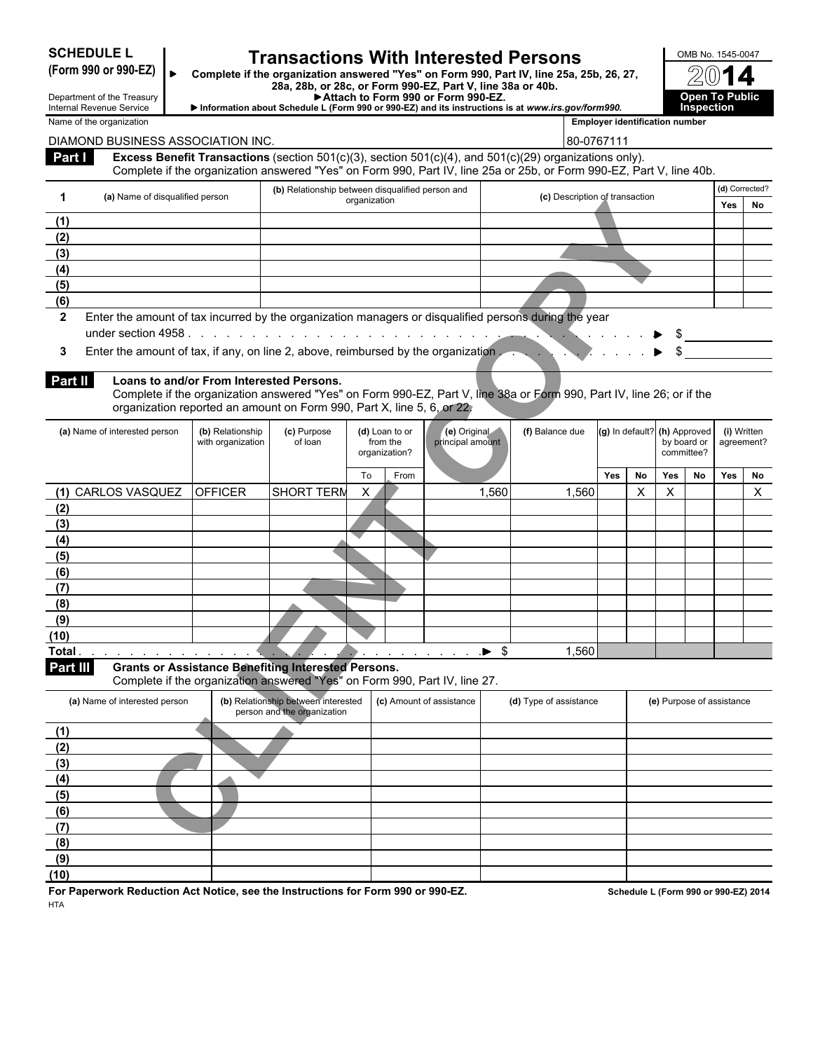# **SCHEDULE L Transactions With Interested Persons DECITED A 26 AMB No. 1545-0047**<br>(Form 990 or 990-EZ)

Complete if the organization answered "Yes" on Form 990, Part IV, line 25a, 25b, 26, 27, **28a, 28b, or 28c, or Form 990-EZ, Part V, line 38a or 40b.**

**(c)** Description of transaction **Yes No** 

| ▶ Attach to Form 990 or Form 990-EZ.                                                              | <b>Open To Public</b> |
|---------------------------------------------------------------------------------------------------|-----------------------|
| Information about Schedule L (Form 990 or 990-EZ) and its instructions is at www.irs.gov/form990. | <b>Inspection</b>     |

Department of the Treasury Internal Revenue Service Name of the organization **Employer identification number Employer identification number** DIAMOND BUSINESS ASSOCIATION INC. 
BO-0767111 **Part I Excess Benefit Transactions** (section 501(c)(3), section 501(c)(4), and 501(c)(29) organizations only). Complete if the organization answered "Yes" on Form 990, Part IV, line 25a or 25b, or Form 990-EZ, Part V, line 40b. **1 (a)** Name of disqualified person **(a) (b)** Detail of transmit between disquality organization **(b)** Relationship between disqualified person and **(d)** Corrected? **(1) (2) (3) (4) (5) (6) 2** Enter the amount of tax incurred by the organization managers or disqualified persons during the year under section 4958 . . . . . . . . . . . . . . . . . . . . . . . . . . . . . . . . . . . . . . . . . . . . . . . . . . . . . . . . . \$ **3** Enter the amount of tax, if any, on line 2, above, reimbursed by the organization . . . . . . . . . . . . . . . . . . . . . . . . . . . . . . . . . . . . . . . . . \$ **Part II Loans to and/or From Interested Persons.** Complete if the organization answered "Yes" on Form 990-EZ, Part V, line 38a or Form 990, Part IV, line 26; or if the organization reported an amount on Form 990, Part X, line 5, 6, or 22. **(a)** Name of interested person **(b)** Relationship with organization **(c)** Purpose of loan **(d)** Loan to or from the organization? To From **Yes No Yes No Yes No (2)**

| (a) ivalifie of disqualified person                                                                                                                                                                                                    |                                       |                                                                            | organization               |                                  | <b>ICI DESCRIPTION OF THEIR SECTION</b>                                                                               |                   |                |                              |             | Yes                       | No |
|----------------------------------------------------------------------------------------------------------------------------------------------------------------------------------------------------------------------------------------|---------------------------------------|----------------------------------------------------------------------------|----------------------------|----------------------------------|-----------------------------------------------------------------------------------------------------------------------|-------------------|----------------|------------------------------|-------------|---------------------------|----|
| (1)                                                                                                                                                                                                                                    |                                       |                                                                            |                            |                                  |                                                                                                                       |                   |                |                              |             |                           |    |
| (2)                                                                                                                                                                                                                                    |                                       |                                                                            |                            |                                  |                                                                                                                       |                   |                |                              |             |                           |    |
| (3)                                                                                                                                                                                                                                    |                                       |                                                                            |                            |                                  |                                                                                                                       |                   |                |                              |             |                           |    |
| (4)                                                                                                                                                                                                                                    |                                       |                                                                            |                            |                                  |                                                                                                                       |                   |                |                              |             |                           |    |
| (5)                                                                                                                                                                                                                                    |                                       |                                                                            |                            |                                  |                                                                                                                       |                   |                |                              |             |                           |    |
| (6)                                                                                                                                                                                                                                    |                                       |                                                                            |                            |                                  |                                                                                                                       |                   |                |                              |             |                           |    |
| Enter the amount of tax incurred by the organization managers or disqualified persons during the year<br>$\mathbf{2}$                                                                                                                  |                                       |                                                                            |                            |                                  |                                                                                                                       |                   |                |                              |             |                           |    |
|                                                                                                                                                                                                                                        |                                       |                                                                            |                            |                                  |                                                                                                                       | $\sim$ 100 $\sim$ |                | S                            |             |                           |    |
| Enter the amount of tax, if any, on line 2, above, reimbursed by the organization<br>3                                                                                                                                                 |                                       |                                                                            |                            |                                  |                                                                                                                       |                   |                |                              |             | $\sim$                    |    |
|                                                                                                                                                                                                                                        |                                       |                                                                            |                            |                                  |                                                                                                                       |                   |                |                              |             |                           |    |
| <b>Part II</b><br>Loans to and/or From Interested Persons.                                                                                                                                                                             |                                       |                                                                            |                            |                                  | Complete if the organization answered "Yes" on Form 990-EZ, Part V, line 38a or Form 990, Part IV, line 26; or if the |                   |                |                              |             |                           |    |
|                                                                                                                                                                                                                                        |                                       | organization reported an amount on Form 990, Part X, line 5, 6, or 22,     |                            |                                  |                                                                                                                       |                   |                |                              |             |                           |    |
|                                                                                                                                                                                                                                        |                                       |                                                                            |                            |                                  |                                                                                                                       |                   |                |                              |             |                           |    |
| (a) Name of interested person                                                                                                                                                                                                          | (b) Relationship<br>with organization | (c) Purpose<br>of loan                                                     | (d) Loan to or<br>from the | (e) Original<br>principal amount | (f) Balance due                                                                                                       |                   |                | (g) In default? (h) Approved | by board or | (i) Written<br>agreement? |    |
|                                                                                                                                                                                                                                        |                                       |                                                                            | organization?              |                                  |                                                                                                                       |                   |                |                              | committee?  |                           |    |
|                                                                                                                                                                                                                                        |                                       |                                                                            | To<br>From                 |                                  |                                                                                                                       | <b>Yes</b>        | No             | Yes                          | No          | Yes                       | No |
| (1) CARLOS VASQUEZ                                                                                                                                                                                                                     | <b>OFFICER</b>                        | <b>SHORT TERM</b>                                                          | X                          | 1,560                            | 1,560                                                                                                                 |                   | $\pmb{\times}$ | X                            |             |                           | X  |
| (2)                                                                                                                                                                                                                                    |                                       |                                                                            |                            |                                  |                                                                                                                       |                   |                |                              |             |                           |    |
| (3)                                                                                                                                                                                                                                    |                                       |                                                                            |                            |                                  |                                                                                                                       |                   |                |                              |             |                           |    |
| (4)                                                                                                                                                                                                                                    |                                       |                                                                            |                            |                                  |                                                                                                                       |                   |                |                              |             |                           |    |
| (5)                                                                                                                                                                                                                                    |                                       |                                                                            |                            |                                  |                                                                                                                       |                   |                |                              |             |                           |    |
| (6)                                                                                                                                                                                                                                    |                                       |                                                                            |                            |                                  |                                                                                                                       |                   |                |                              |             |                           |    |
| (7)                                                                                                                                                                                                                                    |                                       |                                                                            |                            |                                  |                                                                                                                       |                   |                |                              |             |                           |    |
| (8)                                                                                                                                                                                                                                    |                                       |                                                                            |                            |                                  |                                                                                                                       |                   |                |                              |             |                           |    |
| (9)                                                                                                                                                                                                                                    |                                       |                                                                            |                            |                                  |                                                                                                                       |                   |                |                              |             |                           |    |
| (10)                                                                                                                                                                                                                                   |                                       |                                                                            |                            |                                  |                                                                                                                       |                   |                |                              |             |                           |    |
| Total<br>the company of the company of the company of the company of the company of the company of the company of the company of the company of the company of the company of the company of the company of the company of the company |                                       |                                                                            |                            | $\blacksquare$                   | 1,560                                                                                                                 |                   |                |                              |             |                           |    |
| <b>Part III</b>                                                                                                                                                                                                                        |                                       | <b>Grants or Assistance Benefiting Interested Persons.</b>                 |                            |                                  |                                                                                                                       |                   |                |                              |             |                           |    |
|                                                                                                                                                                                                                                        |                                       | Complete if the organization answered "Yes" on Form 990, Part IV, line 27. |                            |                                  |                                                                                                                       |                   |                |                              |             |                           |    |
| (a) Name of interested person                                                                                                                                                                                                          |                                       | (b) Relationship between interested<br>person and the organization         |                            | (c) Amount of assistance         | (d) Type of assistance                                                                                                |                   |                |                              |             | (e) Purpose of assistance |    |
| (1)                                                                                                                                                                                                                                    |                                       |                                                                            |                            |                                  |                                                                                                                       |                   |                |                              |             |                           |    |
| (2)                                                                                                                                                                                                                                    |                                       |                                                                            |                            |                                  |                                                                                                                       |                   |                |                              |             |                           |    |
| (3)                                                                                                                                                                                                                                    |                                       |                                                                            |                            |                                  |                                                                                                                       |                   |                |                              |             |                           |    |
| (4)                                                                                                                                                                                                                                    |                                       |                                                                            |                            |                                  |                                                                                                                       |                   |                |                              |             |                           |    |
| (5)                                                                                                                                                                                                                                    |                                       |                                                                            |                            |                                  |                                                                                                                       |                   |                |                              |             |                           |    |
| (6)                                                                                                                                                                                                                                    |                                       |                                                                            |                            |                                  |                                                                                                                       |                   |                |                              |             |                           |    |
| (7)                                                                                                                                                                                                                                    |                                       |                                                                            |                            |                                  |                                                                                                                       |                   |                |                              |             |                           |    |
| (8)                                                                                                                                                                                                                                    |                                       |                                                                            |                            |                                  |                                                                                                                       |                   |                |                              |             |                           |    |
|                                                                                                                                                                                                                                        |                                       |                                                                            |                            |                                  |                                                                                                                       |                   |                |                              |             |                           |    |

| (a) Name of interested person | (b) Relationship between interested<br>person and the organization | (c) Amount of assistance | (d) Type of assistance | (e) Purpose of assistance |
|-------------------------------|--------------------------------------------------------------------|--------------------------|------------------------|---------------------------|
| (1)                           |                                                                    |                          |                        |                           |
| (2)                           |                                                                    |                          |                        |                           |
| (3)                           |                                                                    |                          |                        |                           |
| (4)                           |                                                                    |                          |                        |                           |
| (5)                           |                                                                    |                          |                        |                           |
| (6)                           |                                                                    |                          |                        |                           |
| (7)                           |                                                                    |                          |                        |                           |
| (8)                           |                                                                    |                          |                        |                           |
| (9)                           |                                                                    |                          |                        |                           |
| (10)                          |                                                                    |                          |                        |                           |

**For Paperwork Reduction Act Notice, see the Instructions for Form 990 or 990-EZ. Schedule L (Form 990 or 990-EZ) 2014** HTA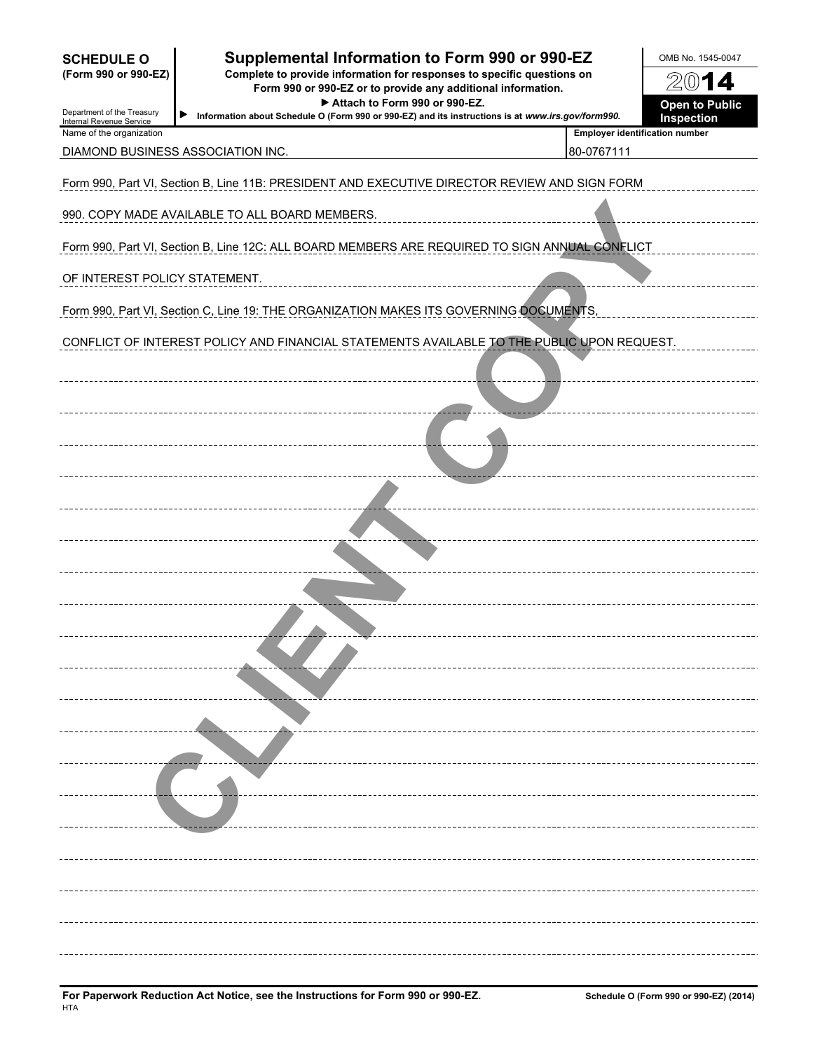| <b>SCHEDULE O</b><br>(Form 990 or 990-EZ)<br>Department of the Treasury<br>Internal Revenue Service | Supplemental Information to Form 990 or 990-EZ<br>Complete to provide information for responses to specific questions on<br>Form 990 or 990-EZ or to provide any additional information.<br>Information about Schedule O (Form 990 or 990-EZ) and its instructions is at www.irs.gov/form990. | OMB No. 1545-0047<br>2014<br><b>Open to Public</b><br>Inspection |  |
|-----------------------------------------------------------------------------------------------------|-----------------------------------------------------------------------------------------------------------------------------------------------------------------------------------------------------------------------------------------------------------------------------------------------|------------------------------------------------------------------|--|
| Name of the organization                                                                            | DIAMOND BUSINESS ASSOCIATION INC.                                                                                                                                                                                                                                                             | <b>Employer identification number</b><br>80-0767111              |  |
|                                                                                                     | Form 990, Part VI, Section B, Line 11B: PRESIDENT AND EXECUTIVE DIRECTOR REVIEW AND SIGN FORM                                                                                                                                                                                                 |                                                                  |  |
|                                                                                                     | 990. COPY MADE AVAILABLE TO ALL BOARD MEMBERS.                                                                                                                                                                                                                                                |                                                                  |  |
|                                                                                                     | Form 990, Part VI, Section B, Line 12C: ALL BOARD MEMBERS ARE REQUIRED TO SIGN ANNUAL CONFLICT                                                                                                                                                                                                |                                                                  |  |
| OF INTEREST POLICY STATEMENT.                                                                       |                                                                                                                                                                                                                                                                                               |                                                                  |  |
|                                                                                                     | Form 990, Part VI, Section C, Line 19: THE ORGANIZATION MAKES ITS GOVERNING OOCUMENTS,                                                                                                                                                                                                        |                                                                  |  |
|                                                                                                     | CONFLICT OF INTEREST POLICY AND FINANCIAL STATEMENTS AVAILABLE TO THE PUBLIC UPON REQUEST.                                                                                                                                                                                                    |                                                                  |  |
|                                                                                                     |                                                                                                                                                                                                                                                                                               |                                                                  |  |
|                                                                                                     |                                                                                                                                                                                                                                                                                               |                                                                  |  |
|                                                                                                     |                                                                                                                                                                                                                                                                                               |                                                                  |  |
|                                                                                                     |                                                                                                                                                                                                                                                                                               |                                                                  |  |
|                                                                                                     |                                                                                                                                                                                                                                                                                               |                                                                  |  |
|                                                                                                     |                                                                                                                                                                                                                                                                                               |                                                                  |  |
|                                                                                                     |                                                                                                                                                                                                                                                                                               |                                                                  |  |
|                                                                                                     |                                                                                                                                                                                                                                                                                               |                                                                  |  |
|                                                                                                     |                                                                                                                                                                                                                                                                                               |                                                                  |  |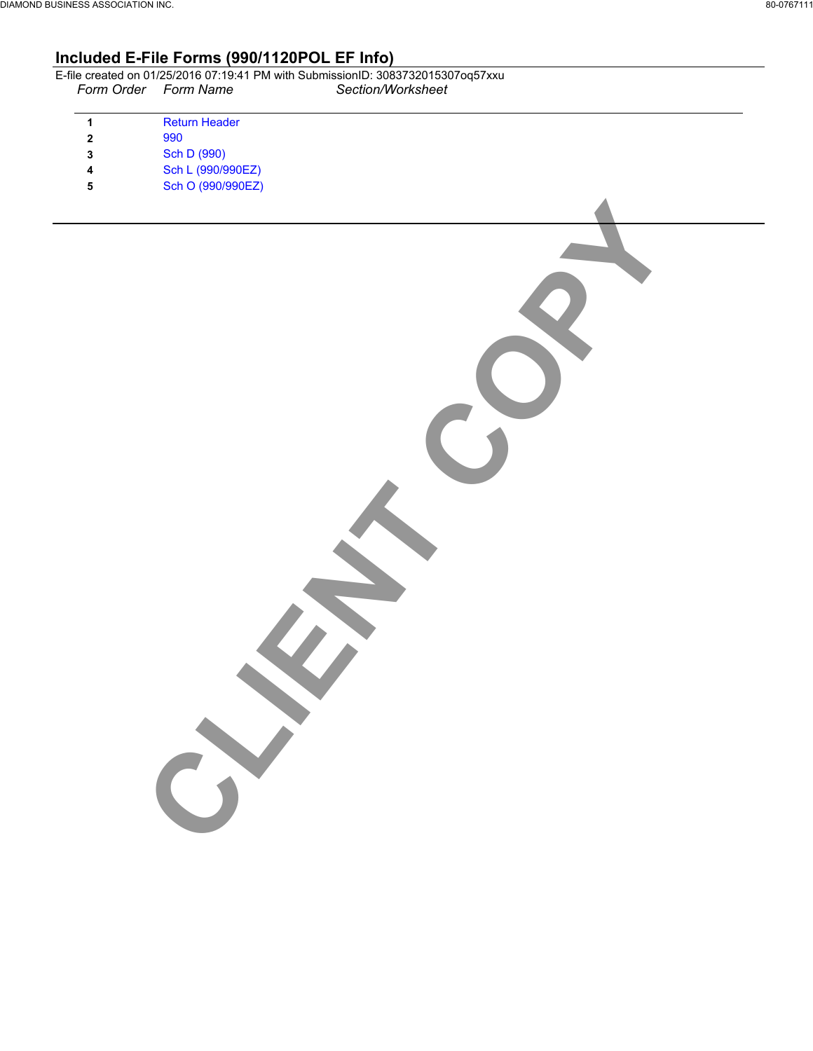# **Included E-File Forms (990/1120POL EF Info)**

|                      | E-file created on 01/25/2016 07:19:41 PM with SubmissionID: 3083732015307og57xxu |
|----------------------|----------------------------------------------------------------------------------|
| Form Order Form Name | Section/Worksheet                                                                |

CLIENT COPY

| 1            | <b>Return Header</b> |
|--------------|----------------------|
| $\mathbf{c}$ | 990                  |
| 3            | Sch D (990)          |
| 4            | Sch L (990/990EZ)    |
| 5            | Sch O (990/990EZ)    |
|              |                      |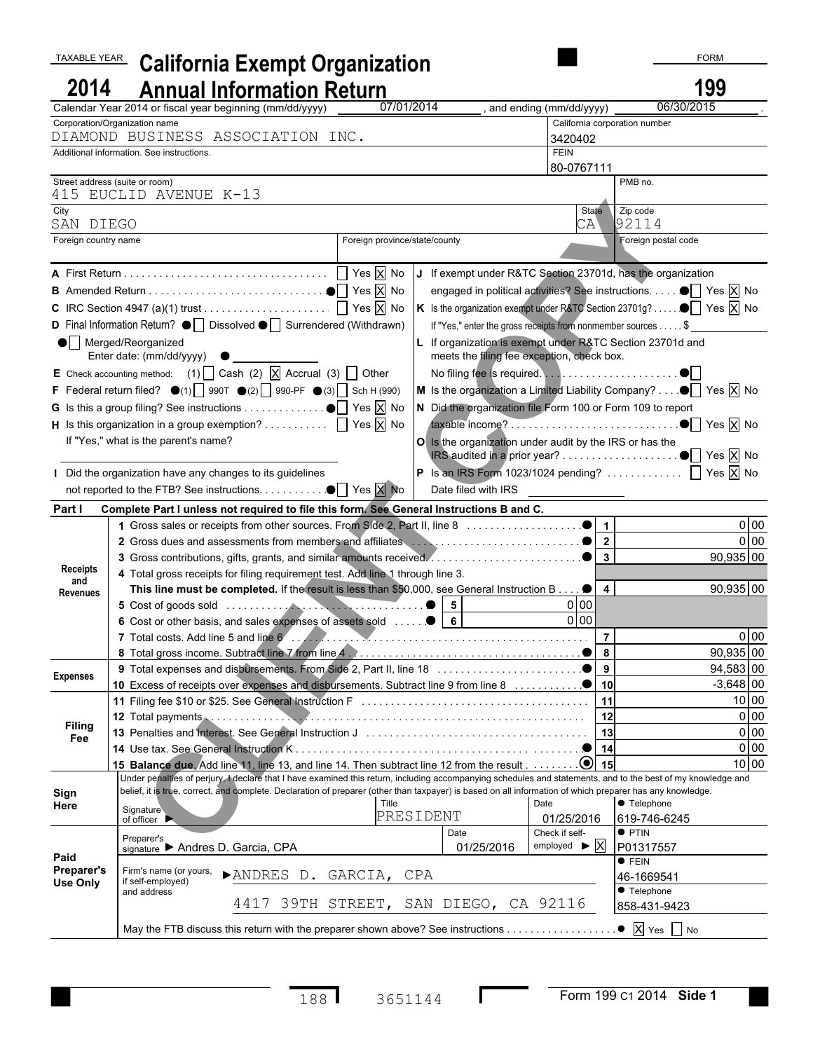| TAXABLE YEAR                         |                                                            | <b>California Exempt Organization</b>                                                                                                                        |                               |                                                              |                                             |                                                                                                                 | <b>FORM</b>          |
|--------------------------------------|------------------------------------------------------------|--------------------------------------------------------------------------------------------------------------------------------------------------------------|-------------------------------|--------------------------------------------------------------|---------------------------------------------|-----------------------------------------------------------------------------------------------------------------|----------------------|
| 2014                                 |                                                            | <b>Annual Information Return</b>                                                                                                                             |                               |                                                              |                                             |                                                                                                                 | 199                  |
|                                      |                                                            | Calendar Year 2014 or fiscal year beginning (mm/dd/yyyy)                                                                                                     | 07/01/2014                    |                                                              | and ending (mm/dd/yyyy)                     | 06/30/2015                                                                                                      |                      |
|                                      | Corporation/Organization name                              |                                                                                                                                                              |                               |                                                              |                                             | California corporation number                                                                                   |                      |
|                                      |                                                            | DIAMOND BUSINESS ASSOCIATION INC.                                                                                                                            |                               |                                                              | 3420402                                     |                                                                                                                 |                      |
|                                      | Additional information. See instructions.                  |                                                                                                                                                              |                               |                                                              | <b>FEIN</b>                                 |                                                                                                                 |                      |
|                                      |                                                            |                                                                                                                                                              |                               |                                                              | 80-0767111                                  |                                                                                                                 |                      |
|                                      | Street address (suite or room)<br>415 EUCLID AVENUE K-13   |                                                                                                                                                              |                               |                                                              |                                             | PMB no.                                                                                                         |                      |
| City                                 |                                                            |                                                                                                                                                              |                               |                                                              | State                                       | Zip code                                                                                                        |                      |
| SAN DIEGO                            |                                                            |                                                                                                                                                              |                               |                                                              | CA                                          | 92114                                                                                                           |                      |
| Foreign country name                 |                                                            |                                                                                                                                                              | Foreign province/state/county |                                                              |                                             | Foreign postal code                                                                                             |                      |
|                                      |                                                            |                                                                                                                                                              |                               |                                                              |                                             | If exempt under R&TC Section 23701d, has the organization                                                       |                      |
|                                      |                                                            |                                                                                                                                                              |                               |                                                              |                                             | engaged in political activities? See instructions. ■ Yes X No                                                   |                      |
|                                      |                                                            |                                                                                                                                                              |                               |                                                              |                                             | K Is the organization exempt under R&TC Section 23701g? $\bullet$ $\boxed{\phantom{1}}$ Yes $\boxed{\times}$ No |                      |
|                                      |                                                            | D Final Information Return? $\bullet$   Dissolved $\bullet$   Surrendered (Withdrawn)                                                                        |                               |                                                              |                                             |                                                                                                                 |                      |
|                                      |                                                            |                                                                                                                                                              |                               | If "Yes," enter the gross receipts from nonmember sources \$ |                                             |                                                                                                                 |                      |
|                                      | $\bullet$ Merged/Reorganized<br>Enter date: (mm/dd/yyyy) ● |                                                                                                                                                              |                               | meets the filing fee exception, check box.                   |                                             | If organization is exempt under R&TC Section 23701d and                                                         |                      |
|                                      |                                                            | E Check accounting method: (1) $\Box$ Cash (2) $\Box$ Accrual (3) $\Box$ Other                                                                               |                               |                                                              |                                             |                                                                                                                 |                      |
|                                      |                                                            | F Federal return filed? $\bullet$ (1) 990T $\bullet$ (2) 990-PF $\bullet$ (3) Sch H (990)                                                                    |                               |                                                              |                                             | M Is the organization a Limited Liability Company? $\bullet \bullet$ Yes $\overline{X}$ No                      |                      |
|                                      |                                                            |                                                                                                                                                              |                               |                                                              |                                             | N Did the organization file Form 100 or Form 109 to report                                                      |                      |
|                                      |                                                            | <b>H</b> Is this organization in a group exemption? $\Box$ Yes $\overline{X}$ No                                                                             |                               |                                                              |                                             |                                                                                                                 |                      |
|                                      | If "Yes," what is the parent's name?                       |                                                                                                                                                              |                               | O Is the organization under audit by the IRS or has the      |                                             |                                                                                                                 |                      |
|                                      |                                                            |                                                                                                                                                              |                               |                                                              |                                             |                                                                                                                 |                      |
|                                      |                                                            | Did the organization have any changes to its guidelines                                                                                                      |                               |                                                              |                                             | <b>P</b> Is an IRS Form 1023/1024 pending? $\Box$ Yes $\overline{X}$ No                                         |                      |
|                                      |                                                            |                                                                                                                                                              |                               |                                                              |                                             |                                                                                                                 |                      |
| Part I                               |                                                            | Complete Part I unless not required to file this form. See General Instructions B and C.                                                                     |                               |                                                              |                                             |                                                                                                                 |                      |
|                                      |                                                            |                                                                                                                                                              |                               |                                                              |                                             |                                                                                                                 | $0$ 00               |
|                                      |                                                            |                                                                                                                                                              |                               |                                                              |                                             |                                                                                                                 | 0 00                 |
|                                      |                                                            |                                                                                                                                                              |                               |                                                              |                                             |                                                                                                                 | 90,935 00            |
| <b>Receipts</b><br>and               |                                                            | 4 Total gross receipts for filing requirement test. Add line 1 through line 3.                                                                               |                               |                                                              |                                             |                                                                                                                 |                      |
| Revenues                             |                                                            | This line must be completed. If the result is less than \$50,000, see General Instruction B                                                                  |                               |                                                              | $\overline{\mathbf{4}}$                     |                                                                                                                 | 90,935 00            |
|                                      |                                                            |                                                                                                                                                              |                               | $5\phantom{.0}$                                              | 0 00                                        |                                                                                                                 |                      |
|                                      |                                                            | 6 Cost or other basis, and sales expenses of assets sold                                                                                                     |                               | $6\phantom{a}$                                               | 0 <sub>0</sub>                              |                                                                                                                 |                      |
|                                      |                                                            |                                                                                                                                                              |                               |                                                              | $\overline{7}$                              |                                                                                                                 | 0 00                 |
|                                      |                                                            |                                                                                                                                                              |                               |                                                              | 8                                           |                                                                                                                 | 90,935 00            |
| <b>Expenses</b>                      |                                                            |                                                                                                                                                              |                               |                                                              |                                             |                                                                                                                 | 94,583 00            |
|                                      |                                                            |                                                                                                                                                              |                               |                                                              | 11                                          |                                                                                                                 | $-3,648$ 00<br>10 00 |
|                                      |                                                            |                                                                                                                                                              |                               |                                                              |                                             |                                                                                                                 | 0 <sub>0</sub>       |
| <b>Filing</b>                        |                                                            |                                                                                                                                                              |                               |                                                              |                                             |                                                                                                                 | 0 <sub>0</sub>       |
| Fee                                  |                                                            |                                                                                                                                                              |                               |                                                              |                                             |                                                                                                                 | 0 <sub>0</sub>       |
|                                      |                                                            | 15 Balance due, Add line 11, line 13, and line 14. Then subtract line 12 from the result 0 15                                                                |                               |                                                              |                                             |                                                                                                                 | $10$ 00              |
|                                      |                                                            | Under penalties of perjury, I declare that I have examined this return, including accompanying schedules and statements, and to the best of my knowledge and |                               |                                                              |                                             |                                                                                                                 |                      |
| Sign                                 |                                                            | belief, it is true, correct, and complete. Declaration of preparer (other than taxpayer) is based on all information of which preparer has any knowledge.    |                               |                                                              |                                             |                                                                                                                 |                      |
| Here                                 | Signature                                                  |                                                                                                                                                              | Title<br>PRESIDENT            |                                                              | Date                                        | ● Telephone                                                                                                     |                      |
|                                      | of officer $\blacktriangleright$                           |                                                                                                                                                              |                               | Date                                                         | 01/25/2016<br>Check if self-                | 619-746-6245<br>$\bullet$ PTIN                                                                                  |                      |
|                                      | Preparer's<br>signature Andres D. Garcia, CPA              |                                                                                                                                                              |                               | 01/25/2016                                                   | employed $\blacktriangleright \overline{X}$ | P01317557                                                                                                       |                      |
| Paid                                 |                                                            |                                                                                                                                                              |                               |                                                              |                                             | $\bullet$ FEIN                                                                                                  |                      |
| <b>Preparer's</b><br><b>Use Only</b> | Firm's name (or yours,<br>if self-employed)                | >ANDRES D. GARCIA, CPA                                                                                                                                       |                               |                                                              |                                             | 46-1669541                                                                                                      |                      |
|                                      | and address                                                |                                                                                                                                                              |                               |                                                              |                                             | <b>•</b> Telephone                                                                                              |                      |
|                                      |                                                            | 4417 39TH STREET, SAN DIEGO, CA 92116                                                                                                                        |                               |                                                              |                                             | 858-431-9423                                                                                                    |                      |
|                                      |                                                            | May the FTB discuss this return with the preparer shown above? See instructions                                                                              |                               |                                                              |                                             | $\bullet$ $\overline{X}$ Yes $\Box$ No                                                                          |                      |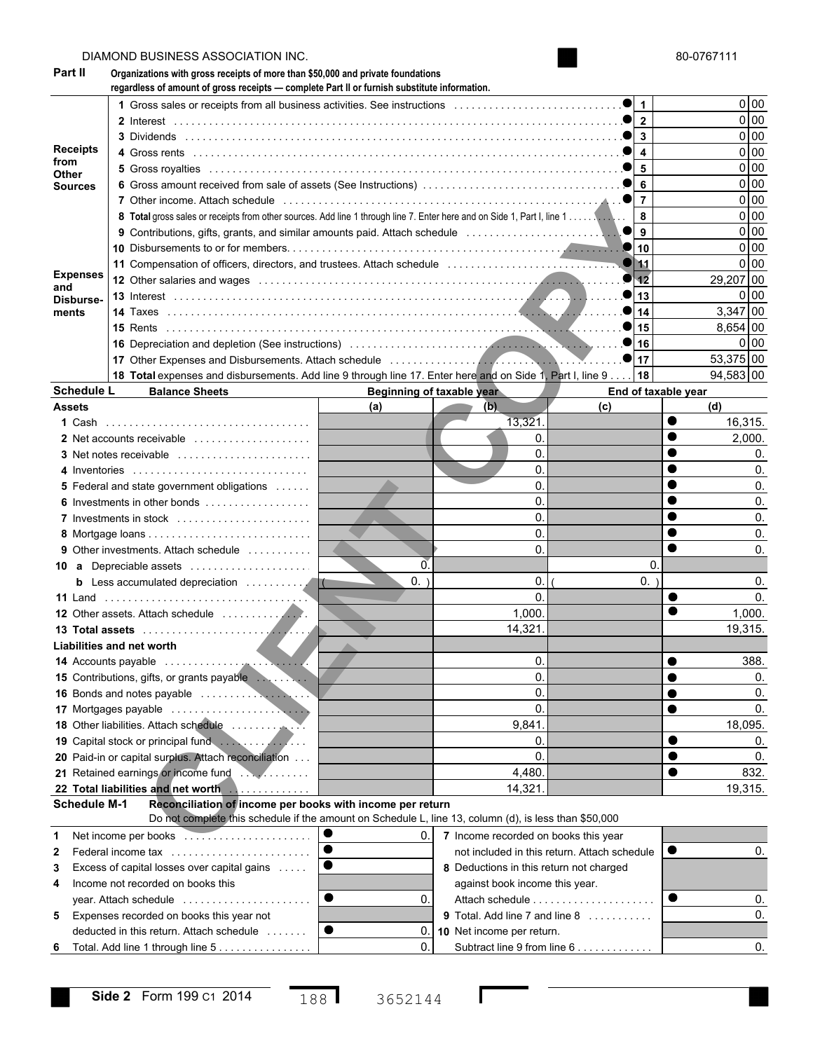|                        |                     | DIAMOND BUSINESS ASSOCIATION INC.                                                                                                                                                                                              |        |                                         |                                              |           | 80-0767111     |  |
|------------------------|---------------------|--------------------------------------------------------------------------------------------------------------------------------------------------------------------------------------------------------------------------------|--------|-----------------------------------------|----------------------------------------------|-----------|----------------|--|
| Part II                |                     | Organizations with gross receipts of more than \$50,000 and private foundations<br>regardless of amount of gross receipts - complete Part II or furnish substitute information.                                                |        |                                         |                                              |           |                |  |
|                        |                     |                                                                                                                                                                                                                                |        |                                         | $\mathbf 1$                                  |           | 0 <sub>0</sub> |  |
|                        |                     |                                                                                                                                                                                                                                |        |                                         | $\overline{\mathbf{2}}$                      |           | $0$ 00         |  |
|                        |                     |                                                                                                                                                                                                                                |        |                                         | 3                                            |           | $0$ 00         |  |
| <b>Receipts</b>        |                     |                                                                                                                                                                                                                                |        |                                         | $\overline{\mathbf{4}}$                      |           | $0$ 00         |  |
| from<br>Other          |                     |                                                                                                                                                                                                                                |        |                                         | 5                                            |           | $0$ 00         |  |
| <b>Sources</b>         |                     |                                                                                                                                                                                                                                |        |                                         | 6                                            |           | 0 <sub>0</sub> |  |
|                        |                     | 7 Other income. Attach schedule entertainment in the contract of the state of the state of the state of the state of the state of the state of the state of the state of the state of the state of the state of the state of t |        |                                         | $\overline{7}$                               |           | 0 00           |  |
|                        |                     |                                                                                                                                                                                                                                |        |                                         | 8                                            |           | 0 <sub>0</sub> |  |
|                        |                     |                                                                                                                                                                                                                                |        |                                         | 9                                            |           | 0 <sub>0</sub> |  |
|                        |                     |                                                                                                                                                                                                                                |        |                                         | 10                                           |           | 0 <sub>0</sub> |  |
|                        |                     |                                                                                                                                                                                                                                |        |                                         | 11                                           |           | 0 <sub>0</sub> |  |
| <b>Expenses</b><br>and |                     | 12 Other salaries and wages entertainment contains and wages and wages and contained and contained and contained and contained and contained and contained and contained and contained and contained and contained and contain |        |                                         | 12                                           |           | 29,207 00      |  |
| Disburse-              |                     |                                                                                                                                                                                                                                |        |                                         | 13                                           |           | 0100           |  |
| ments                  |                     |                                                                                                                                                                                                                                |        |                                         | 14                                           |           | 3,347 00       |  |
|                        |                     |                                                                                                                                                                                                                                |        |                                         | 15                                           |           | 8,654 00       |  |
|                        |                     |                                                                                                                                                                                                                                |        |                                         | 16                                           |           | 0100           |  |
|                        |                     |                                                                                                                                                                                                                                |        |                                         | 17                                           |           | 53,375 00      |  |
|                        |                     | 18 Total expenses and disbursements. Add line 9 through line 17. Enter here and on Side 1, Part I, line 9                                                                                                                      |        |                                         | 18                                           |           | 94,583 00      |  |
|                        | <b>Schedule L</b>   | <b>Balance Sheets</b>                                                                                                                                                                                                          |        | Beginning of taxable year               | End of taxable year                          |           |                |  |
| <b>Assets</b>          |                     |                                                                                                                                                                                                                                | (a)    | (b)                                     | (c)                                          |           | (d)            |  |
|                        |                     |                                                                                                                                                                                                                                |        | 13,321.                                 |                                              |           | 16,315.        |  |
|                        |                     | 2 Net accounts receivable                                                                                                                                                                                                      |        | 0.                                      |                                              |           | 2,000.         |  |
|                        |                     |                                                                                                                                                                                                                                |        | 0.                                      |                                              |           | 0.             |  |
|                        |                     | 4 Inventories                                                                                                                                                                                                                  |        | 0.                                      |                                              |           | 0.             |  |
|                        |                     | 5 Federal and state government obligations                                                                                                                                                                                     |        | 0.                                      |                                              |           | 0.             |  |
|                        |                     | 6 Investments in other bonds                                                                                                                                                                                                   |        | 0.                                      |                                              |           | 0.             |  |
|                        |                     | 7 Investments in stock                                                                                                                                                                                                         |        | 0.                                      |                                              |           | 0.             |  |
|                        |                     |                                                                                                                                                                                                                                |        | 0.                                      |                                              |           | 0.             |  |
|                        |                     | <b>9</b> Other investments. Attach schedule                                                                                                                                                                                    |        | 0.                                      |                                              |           | 0.             |  |
|                        |                     | 10 a Depreciable assets                                                                                                                                                                                                        | 0.     |                                         |                                              | 0.        |                |  |
|                        |                     | <b>b</b> Less accumulated depreciation<br>IC.                                                                                                                                                                                  | $0.$ ) | 0.<br>0.                                | $0.$ )                                       |           | 0.             |  |
|                        |                     |                                                                                                                                                                                                                                |        | 1,000.                                  |                                              |           | 0.<br>1.000.   |  |
|                        |                     |                                                                                                                                                                                                                                |        | 14,321.                                 |                                              |           | 19,315.        |  |
|                        |                     |                                                                                                                                                                                                                                |        |                                         |                                              |           |                |  |
|                        |                     | Liabilities and net worth                                                                                                                                                                                                      |        | 0.                                      |                                              |           | 388.           |  |
|                        |                     | 15 Contributions, gifts, or grants payable                                                                                                                                                                                     |        | 0.                                      |                                              |           | 0.             |  |
|                        |                     |                                                                                                                                                                                                                                |        | 0.                                      |                                              |           | 0.             |  |
|                        |                     |                                                                                                                                                                                                                                |        | 0.                                      |                                              |           | 0.             |  |
|                        |                     |                                                                                                                                                                                                                                |        | 9,841.                                  |                                              |           | 18,095.        |  |
|                        |                     |                                                                                                                                                                                                                                |        | 0.                                      |                                              |           | 0.             |  |
|                        |                     | 20 Paid-in or capital surplus. Attach reconciliation                                                                                                                                                                           |        | 0.                                      |                                              |           | 0.             |  |
|                        |                     |                                                                                                                                                                                                                                |        | 4,480.                                  |                                              |           | 832.           |  |
|                        |                     | 22 Total liabilities and net worth                                                                                                                                                                                             |        | 14,321.                                 |                                              |           | 19,315.        |  |
|                        | <b>Schedule M-1</b> | Reconciliation of income per books with income per return                                                                                                                                                                      |        |                                         |                                              |           |                |  |
|                        |                     | Do not complete this schedule if the amount on Schedule L, line 13, column (d), is less than \$50,000                                                                                                                          |        |                                         |                                              |           |                |  |
| 1                      |                     |                                                                                                                                                                                                                                | 0.     | 7 Income recorded on books this year    |                                              |           |                |  |
| 2                      |                     | $\bullet$<br>Federal income tax                                                                                                                                                                                                |        |                                         | not included in this return. Attach schedule | $\bullet$ | 0.             |  |
| 3                      |                     | Excess of capital losses over capital gains                                                                                                                                                                                    |        | 8 Deductions in this return not charged |                                              |           |                |  |
| 4                      |                     | Income not recorded on books this                                                                                                                                                                                              |        | against book income this year.          |                                              |           |                |  |
|                        |                     | year. Attach schedule                                                                                                                                                                                                          | 0.     |                                         | Attach schedule                              |           | 0.             |  |
| 5                      |                     | Expenses recorded on books this year not                                                                                                                                                                                       |        | 9 Total. Add line 7 and line 8          |                                              |           | 0.             |  |
|                        |                     | ●<br>deducted in this return. Attach schedule                                                                                                                                                                                  | 0.     | 10 Net income per return.               |                                              |           |                |  |
| 6                      |                     | Total. Add line 1 through line 5                                                                                                                                                                                               | 0.     |                                         | Subtract line 9 from line 6                  |           | 0.             |  |
|                        |                     |                                                                                                                                                                                                                                |        |                                         |                                              |           |                |  |

 $\mathbf l$ 

188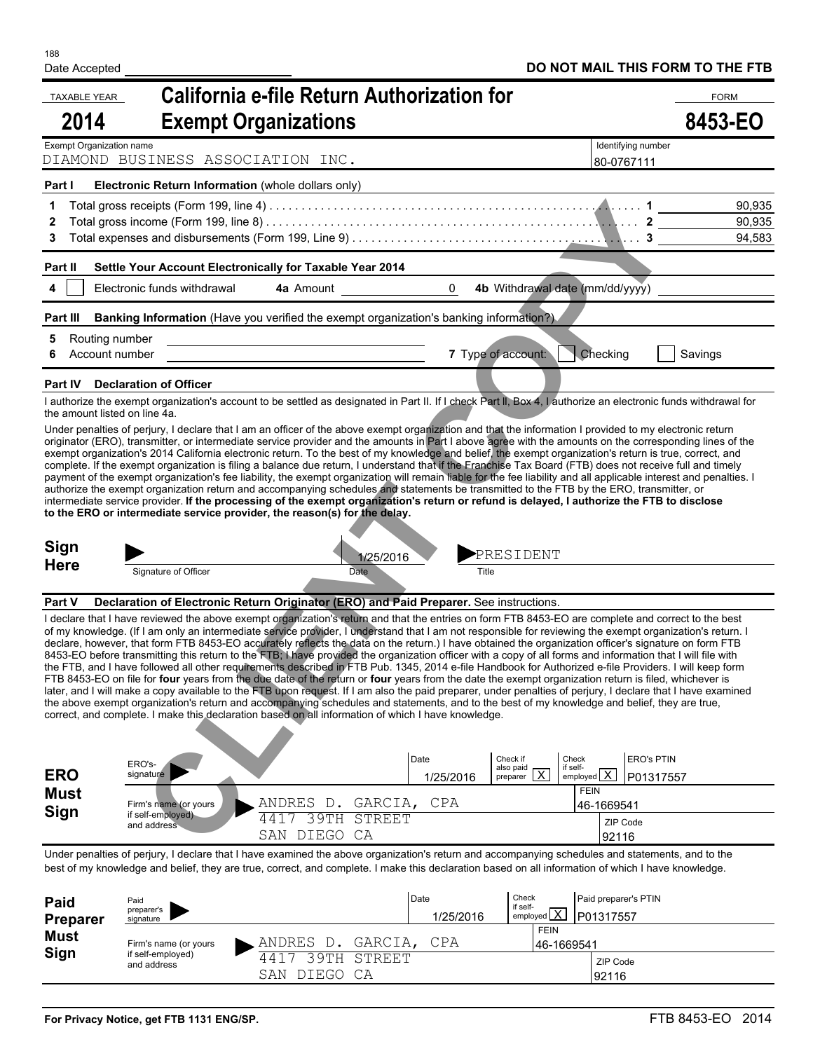| <b>TAXABLE YEAR</b><br>2014 |                                                    | California e-file Return Authorization for<br><b>Exempt Organizations</b>                                                                                                                                                                                                                                                                                                                                                                                                                                                                                                                                                                                                                                                                                                                                                                                                                                                                                                                                                                                                                                                                                                                                                                                                                                                                                                       |                |                                                                   |                                         |                                  | <b>FORM</b><br>8453-EO |
|-----------------------------|----------------------------------------------------|---------------------------------------------------------------------------------------------------------------------------------------------------------------------------------------------------------------------------------------------------------------------------------------------------------------------------------------------------------------------------------------------------------------------------------------------------------------------------------------------------------------------------------------------------------------------------------------------------------------------------------------------------------------------------------------------------------------------------------------------------------------------------------------------------------------------------------------------------------------------------------------------------------------------------------------------------------------------------------------------------------------------------------------------------------------------------------------------------------------------------------------------------------------------------------------------------------------------------------------------------------------------------------------------------------------------------------------------------------------------------------|----------------|-------------------------------------------------------------------|-----------------------------------------|----------------------------------|------------------------|
| Exempt Organization name    | DIAMOND BUSINESS ASSOCIATION INC.                  |                                                                                                                                                                                                                                                                                                                                                                                                                                                                                                                                                                                                                                                                                                                                                                                                                                                                                                                                                                                                                                                                                                                                                                                                                                                                                                                                                                                 |                |                                                                   |                                         | Identifying number<br>80-0767111 |                        |
| Part I                      | Electronic Return Information (whole dollars only) |                                                                                                                                                                                                                                                                                                                                                                                                                                                                                                                                                                                                                                                                                                                                                                                                                                                                                                                                                                                                                                                                                                                                                                                                                                                                                                                                                                                 |                |                                                                   |                                         |                                  |                        |
| 1.                          |                                                    |                                                                                                                                                                                                                                                                                                                                                                                                                                                                                                                                                                                                                                                                                                                                                                                                                                                                                                                                                                                                                                                                                                                                                                                                                                                                                                                                                                                 |                |                                                                   |                                         |                                  | 90,935                 |
| 3                           |                                                    | Total gross income (Form 199, line 8) $\dots\dots\dots\dots\dots\dots\dots\dots\dots\dots\dots\dots\dots\dots\dots\dots\dots\dots$                                                                                                                                                                                                                                                                                                                                                                                                                                                                                                                                                                                                                                                                                                                                                                                                                                                                                                                                                                                                                                                                                                                                                                                                                                              |                |                                                                   |                                         |                                  | 90,935<br>94,583       |
| Part II                     |                                                    | Settle Your Account Electronically for Taxable Year 2014                                                                                                                                                                                                                                                                                                                                                                                                                                                                                                                                                                                                                                                                                                                                                                                                                                                                                                                                                                                                                                                                                                                                                                                                                                                                                                                        |                |                                                                   |                                         |                                  |                        |
| 4                           | Electronic funds withdrawal                        | 4a Amount                                                                                                                                                                                                                                                                                                                                                                                                                                                                                                                                                                                                                                                                                                                                                                                                                                                                                                                                                                                                                                                                                                                                                                                                                                                                                                                                                                       | $\overline{0}$ | 4b Withdrawal date (mm/dd/yyyy)                                   |                                         |                                  |                        |
| Part III                    |                                                    | <b>Banking Information</b> (Have you verified the exempt organization's banking information?)                                                                                                                                                                                                                                                                                                                                                                                                                                                                                                                                                                                                                                                                                                                                                                                                                                                                                                                                                                                                                                                                                                                                                                                                                                                                                   |                |                                                                   |                                         |                                  |                        |
| 5                           | Routing number<br>Account number                   |                                                                                                                                                                                                                                                                                                                                                                                                                                                                                                                                                                                                                                                                                                                                                                                                                                                                                                                                                                                                                                                                                                                                                                                                                                                                                                                                                                                 |                | 7 Type of account:                                                | Checking                                |                                  | Savings                |
| Part IV                     | <b>Declaration of Officer</b>                      |                                                                                                                                                                                                                                                                                                                                                                                                                                                                                                                                                                                                                                                                                                                                                                                                                                                                                                                                                                                                                                                                                                                                                                                                                                                                                                                                                                                 |                |                                                                   |                                         |                                  |                        |
|                             | the amount listed on line 4a.                      | I authorize the exempt organization's account to be settled as designated in Part II. If I check Part II, Box 4, I authorize an electronic funds withdrawal for                                                                                                                                                                                                                                                                                                                                                                                                                                                                                                                                                                                                                                                                                                                                                                                                                                                                                                                                                                                                                                                                                                                                                                                                                 |                |                                                                   |                                         |                                  |                        |
| <b>Sign</b>                 |                                                    | payment of the exempt organization's fee liability, the exempt organization will remain liable for the fee liability and all applicable interest and penalties. I<br>authorize the exempt organization return and accompanying schedules and statements be transmitted to the FTB by the ERO, transmitter, or<br>intermediate service provider. If the processing of the exempt organization's return or refund is delayed, I authorize the FTB to disclose<br>to the ERO or intermediate service provider, the reason(s) for the delay.<br>1/25/2016                                                                                                                                                                                                                                                                                                                                                                                                                                                                                                                                                                                                                                                                                                                                                                                                                           |                | PRESIDENT                                                         |                                         |                                  |                        |
| <b>Here</b>                 | Signature of Officer                               | Date                                                                                                                                                                                                                                                                                                                                                                                                                                                                                                                                                                                                                                                                                                                                                                                                                                                                                                                                                                                                                                                                                                                                                                                                                                                                                                                                                                            |                | Title                                                             |                                         |                                  |                        |
| Part V                      |                                                    | Declaration of Electronic Return Originator (ERO) and Paid Preparer. See instructions.                                                                                                                                                                                                                                                                                                                                                                                                                                                                                                                                                                                                                                                                                                                                                                                                                                                                                                                                                                                                                                                                                                                                                                                                                                                                                          |                |                                                                   |                                         |                                  |                        |
|                             |                                                    | I declare that I have reviewed the above exempt organization's return and that the entries on form FTB 8453-EO are complete and correct to the best<br>of my knowledge. (If I am only an intermediate service provider, I understand that I am not responsible for reviewing the exempt organization's return. I<br>declare, however, that form FTB 8453-EO accurately reflects the data on the return.) I have obtained the organization officer's signature on form FTB<br>8453-EO before transmitting this return to the FTB; I have provided the organization officer with a copy of all forms and information that I will file with<br>the FTB, and I have followed all other requirements described in FTB Pub. 1345, 2014 e-file Handbook for Authorized e-file Providers. I will keep form<br>FTB 8453-EO on file for four years from the due date of the return or four years from the date the exempt organization return is filed, whichever is<br>later, and I will make a copy available to the FTB upon request. If I am also the paid preparer, under penalties of perjury, I declare that I have examined<br>the above exempt organization's return and accompanying schedules and statements, and to the best of my knowledge and belief, they are true,<br>correct, and complete. I make this declaration based on all information of which I have knowledge. |                |                                                                   |                                         |                                  |                        |
|                             | ERO's-                                             |                                                                                                                                                                                                                                                                                                                                                                                                                                                                                                                                                                                                                                                                                                                                                                                                                                                                                                                                                                                                                                                                                                                                                                                                                                                                                                                                                                                 | Date           | Check if                                                          | Check                                   | <b>ERO's PTIN</b>                |                        |
| <b>ERO</b>                  | signature                                          |                                                                                                                                                                                                                                                                                                                                                                                                                                                                                                                                                                                                                                                                                                                                                                                                                                                                                                                                                                                                                                                                                                                                                                                                                                                                                                                                                                                 | 1/25/2016      | also paid<br>$\frac{200 \text{ p} \cdot \text{m}}{200 \text{ p}}$ | if self-<br>employed $X$<br><b>FEIN</b> | P01317557                        |                        |
| <b>Must</b><br><b>Sign</b>  | Firm's name (or yours<br>if self-employed)         | D. GARCIA, CPA<br>ANDRES                                                                                                                                                                                                                                                                                                                                                                                                                                                                                                                                                                                                                                                                                                                                                                                                                                                                                                                                                                                                                                                                                                                                                                                                                                                                                                                                                        |                |                                                                   | 46-1669541                              |                                  |                        |
|                             | and address                                        | 39TH STREET<br>4417<br>SAN DIEGO CA                                                                                                                                                                                                                                                                                                                                                                                                                                                                                                                                                                                                                                                                                                                                                                                                                                                                                                                                                                                                                                                                                                                                                                                                                                                                                                                                             |                |                                                                   | 92116                                   | ZIP Code                         |                        |
|                             |                                                    | Under penalties of perjury, I declare that I have examined the above organization's return and accompanying schedules and statements, and to the<br>best of my knowledge and belief, they are true, correct, and complete. I make this declaration based on all information of which I have knowledge.                                                                                                                                                                                                                                                                                                                                                                                                                                                                                                                                                                                                                                                                                                                                                                                                                                                                                                                                                                                                                                                                          |                |                                                                   |                                         |                                  |                        |
|                             |                                                    |                                                                                                                                                                                                                                                                                                                                                                                                                                                                                                                                                                                                                                                                                                                                                                                                                                                                                                                                                                                                                                                                                                                                                                                                                                                                                                                                                                                 |                |                                                                   |                                         |                                  |                        |
| <b>Daid</b>                 | Paid                                               |                                                                                                                                                                                                                                                                                                                                                                                                                                                                                                                                                                                                                                                                                                                                                                                                                                                                                                                                                                                                                                                                                                                                                                                                                                                                                                                                                                                 | Date           | Check                                                             | Paid preparer's PTIN                    |                                  |                        |

| Paid<br>preparer's<br>signature                           |                         | Date<br>1/25/2016 | Check                     | Paid preparer's PTIN<br>P01317557                 |
|-----------------------------------------------------------|-------------------------|-------------------|---------------------------|---------------------------------------------------|
| Firm's name (or yours<br>if self-employed)<br>and address | ANDRES D.               | CPA               | <b>FEIN</b><br>46-1669541 |                                                   |
|                                                           | RAGR<br>DIEGO CA<br>SAN |                   |                           | ZIP Code<br>92116                                 |
|                                                           |                         |                   | GARCIA.<br>STREET         | if self-<br>$\frac{1}{2}$ employed $\overline{X}$ |